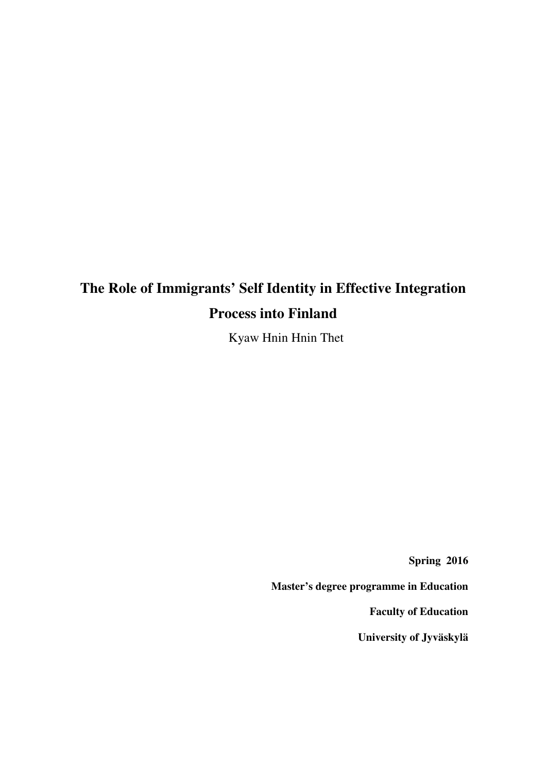# **The Role of Immigrants' Self Identity in Effective Integration Process into Finland**

Kyaw Hnin Hnin Thet

**Spring 2016** 

**Master's degree programme in Education** 

**Faculty of Education** 

**University of Jyväskylä**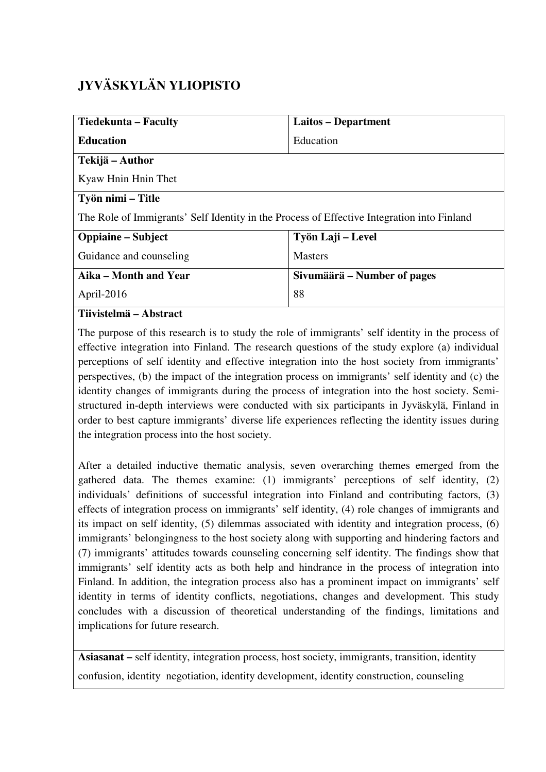# **JYVÄSKYLÄN YLIOPISTO**

| <b>Tiedekunta – Faculty</b>                                                                | Laitos – Department                 |  |  |  |
|--------------------------------------------------------------------------------------------|-------------------------------------|--|--|--|
| <b>Education</b>                                                                           | Education                           |  |  |  |
| Tekijä – Author                                                                            |                                     |  |  |  |
| Kyaw Hnin Hnin Thet                                                                        |                                     |  |  |  |
| Työn nimi – Title                                                                          |                                     |  |  |  |
| The Role of Immigrants' Self Identity in the Process of Effective Integration into Finland |                                     |  |  |  |
| <b>Oppiaine</b> – Subject                                                                  | Työn Laji – Level<br><b>Masters</b> |  |  |  |
| Guidance and counseling                                                                    |                                     |  |  |  |
| Aika – Month and Year                                                                      | Sivumäärä – Number of pages         |  |  |  |
| April-2016                                                                                 | 88                                  |  |  |  |
| Tiivistelmä – Abstract                                                                     |                                     |  |  |  |

The purpose of this research is to study the role of immigrants' self identity in the process of effective integration into Finland. The research questions of the study explore (a) individual perceptions of self identity and effective integration into the host society from immigrants' perspectives, (b) the impact of the integration process on immigrants' self identity and (c) the identity changes of immigrants during the process of integration into the host society. Semistructured in-depth interviews were conducted with six participants in Jyväskylä, Finland in order to best capture immigrants' diverse life experiences reflecting the identity issues during the integration process into the host society.

After a detailed inductive thematic analysis, seven overarching themes emerged from the gathered data. The themes examine: (1) immigrants' perceptions of self identity, (2) individuals' definitions of successful integration into Finland and contributing factors, (3) effects of integration process on immigrants' self identity, (4) role changes of immigrants and its impact on self identity, (5) dilemmas associated with identity and integration process, (6) immigrants' belongingness to the host society along with supporting and hindering factors and (7) immigrants' attitudes towards counseling concerning self identity. The findings show that immigrants' self identity acts as both help and hindrance in the process of integration into Finland. In addition, the integration process also has a prominent impact on immigrants' self identity in terms of identity conflicts, negotiations, changes and development. This study concludes with a discussion of theoretical understanding of the findings, limitations and implications for future research.

**Asiasanat –** self identity, integration process, host society, immigrants, transition, identity confusion, identity negotiation, identity development, identity construction, counseling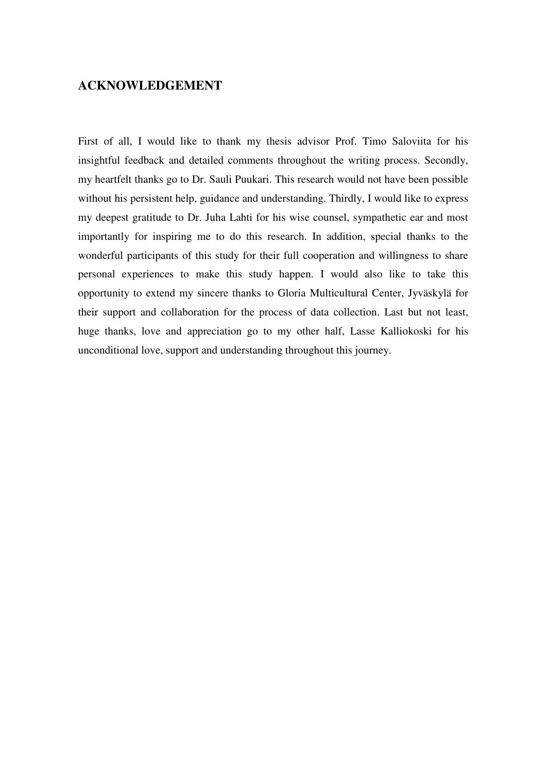# **ACKNOWLEDGEMENT**

First of all, I would like to thank my thesis advisor Prof. Timo Saloviita for his insightful feedback and detailed comments throughout the writing process. Secondly, my heartfelt thanks go to Dr. Sauli Puukari. This research would not have been possible without his persistent help, guidance and understanding. Thirdly, I would like to express my deepest gratitude to Dr. Juha Lahti for his wise counsel, sympathetic ear and most importantly for inspiring me to do this research. In addition, special thanks to the wonderful participants of this study for their full cooperation and willingness to share personal experiences to make this study happen. I would also like to take this opportunity to extend my sincere thanks to Gloria Multicultural Center, Jyväskylä for their support and collaboration for the process of data collection. Last but not least, huge thanks, love and appreciation go to my other half, Lasse Kalliokoski for his unconditional love, support and understanding throughout this journey.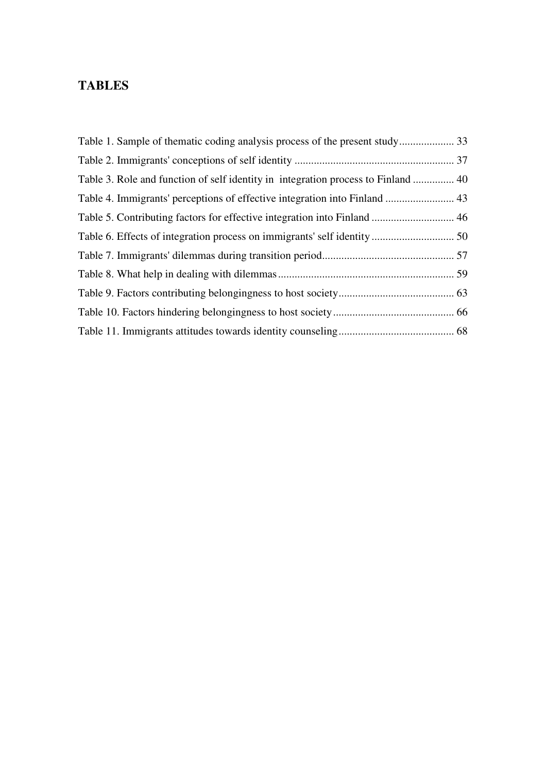# **TABLES**

| Table 3. Role and function of self identity in integration process to Finland  40 |  |
|-----------------------------------------------------------------------------------|--|
| Table 4. Immigrants' perceptions of effective integration into Finland  43        |  |
| Table 5. Contributing factors for effective integration into Finland  46          |  |
|                                                                                   |  |
|                                                                                   |  |
|                                                                                   |  |
|                                                                                   |  |
|                                                                                   |  |
|                                                                                   |  |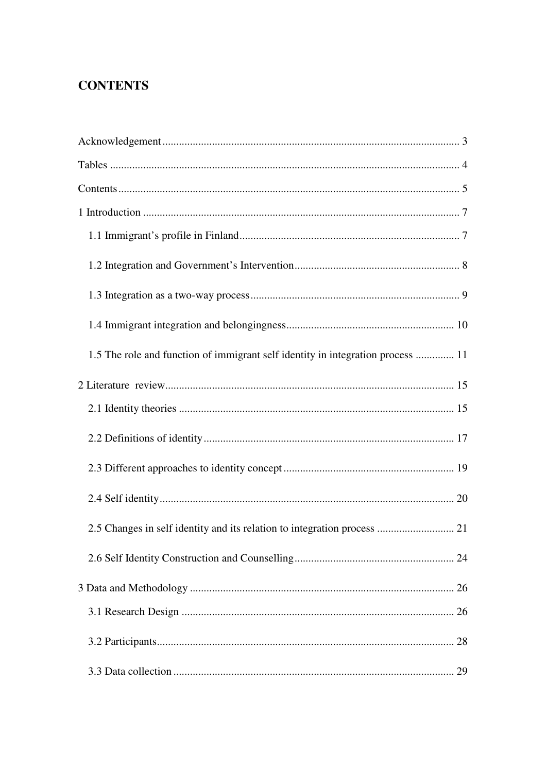# **CONTENTS**

| 1.5 The role and function of immigrant self identity in integration process  11 |
|---------------------------------------------------------------------------------|
|                                                                                 |
|                                                                                 |
|                                                                                 |
|                                                                                 |
|                                                                                 |
| 2.5 Changes in self identity and its relation to integration process  21        |
|                                                                                 |
|                                                                                 |
|                                                                                 |
|                                                                                 |
|                                                                                 |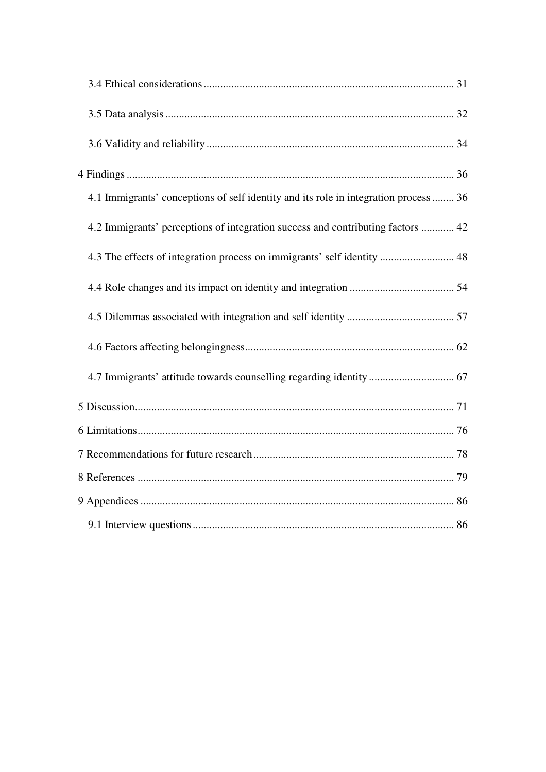| 4.1 Immigrants' conceptions of self identity and its role in integration process  36 |  |
|--------------------------------------------------------------------------------------|--|
| 4.2 Immigrants' perceptions of integration success and contributing factors  42      |  |
| 4.3 The effects of integration process on immigrants' self identity  48              |  |
|                                                                                      |  |
|                                                                                      |  |
|                                                                                      |  |
|                                                                                      |  |
|                                                                                      |  |
|                                                                                      |  |
|                                                                                      |  |
|                                                                                      |  |
|                                                                                      |  |
|                                                                                      |  |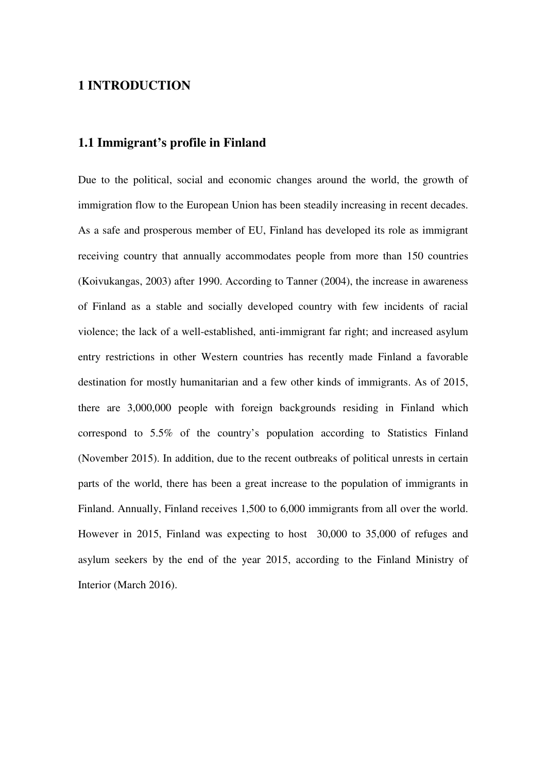# **1 INTRODUCTION**

## **1.1 Immigrant's profile in Finland**

Due to the political, social and economic changes around the world, the growth of immigration flow to the European Union has been steadily increasing in recent decades. As a safe and prosperous member of EU, Finland has developed its role as immigrant receiving country that annually accommodates people from more than 150 countries (Koivukangas, 2003) after 1990. According to Tanner (2004), the increase in awareness of Finland as a stable and socially developed country with few incidents of racial violence; the lack of a well-established, anti-immigrant far right; and increased asylum entry restrictions in other Western countries has recently made Finland a favorable destination for mostly humanitarian and a few other kinds of immigrants. As of 2015, there are 3,000,000 people with foreign backgrounds residing in Finland which correspond to 5.5% of the country's population according to Statistics Finland (November 2015). In addition, due to the recent outbreaks of political unrests in certain parts of the world, there has been a great increase to the population of immigrants in Finland. Annually, Finland receives 1,500 to 6,000 immigrants from all over the world. However in 2015, Finland was expecting to host 30,000 to 35,000 of refuges and asylum seekers by the end of the year 2015, according to the Finland Ministry of Interior (March 2016).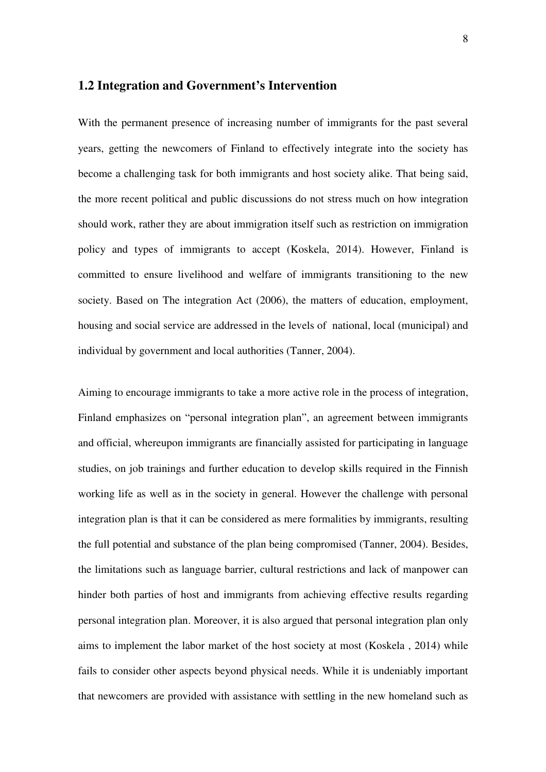## **1.2 Integration and Government's Intervention**

With the permanent presence of increasing number of immigrants for the past several years, getting the newcomers of Finland to effectively integrate into the society has become a challenging task for both immigrants and host society alike. That being said, the more recent political and public discussions do not stress much on how integration should work, rather they are about immigration itself such as restriction on immigration policy and types of immigrants to accept (Koskela, 2014). However, Finland is committed to ensure livelihood and welfare of immigrants transitioning to the new society. Based on The integration Act (2006), the matters of education, employment, housing and social service are addressed in the levels of national, local (municipal) and individual by government and local authorities (Tanner, 2004).

Aiming to encourage immigrants to take a more active role in the process of integration, Finland emphasizes on "personal integration plan", an agreement between immigrants and official, whereupon immigrants are financially assisted for participating in language studies, on job trainings and further education to develop skills required in the Finnish working life as well as in the society in general. However the challenge with personal integration plan is that it can be considered as mere formalities by immigrants, resulting the full potential and substance of the plan being compromised (Tanner, 2004). Besides, the limitations such as language barrier, cultural restrictions and lack of manpower can hinder both parties of host and immigrants from achieving effective results regarding personal integration plan. Moreover, it is also argued that personal integration plan only aims to implement the labor market of the host society at most (Koskela , 2014) while fails to consider other aspects beyond physical needs. While it is undeniably important that newcomers are provided with assistance with settling in the new homeland such as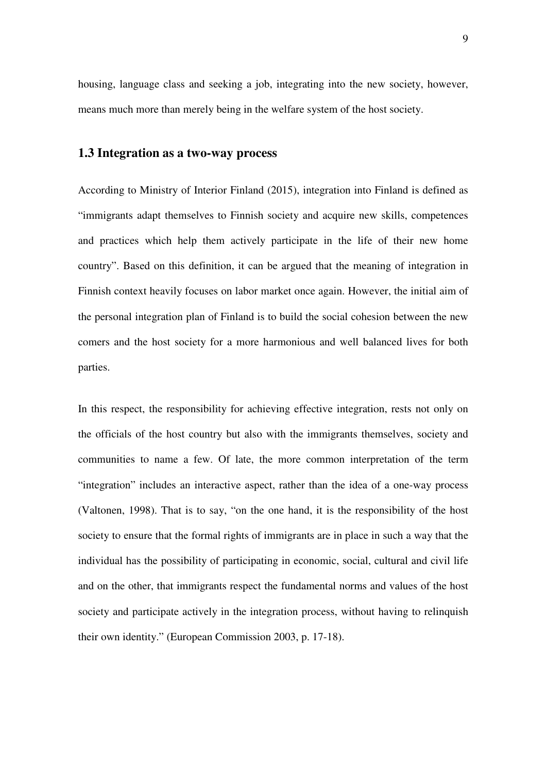housing, language class and seeking a job, integrating into the new society, however, means much more than merely being in the welfare system of the host society.

#### **1.3 Integration as a two-way process**

According to Ministry of Interior Finland (2015), integration into Finland is defined as "immigrants adapt themselves to Finnish society and acquire new skills, competences and practices which help them actively participate in the life of their new home country". Based on this definition, it can be argued that the meaning of integration in Finnish context heavily focuses on labor market once again. However, the initial aim of the personal integration plan of Finland is to build the social cohesion between the new comers and the host society for a more harmonious and well balanced lives for both parties.

In this respect, the responsibility for achieving effective integration, rests not only on the officials of the host country but also with the immigrants themselves, society and communities to name a few. Of late, the more common interpretation of the term "integration" includes an interactive aspect, rather than the idea of a one-way process (Valtonen, 1998). That is to say, "on the one hand, it is the responsibility of the host society to ensure that the formal rights of immigrants are in place in such a way that the individual has the possibility of participating in economic, social, cultural and civil life and on the other, that immigrants respect the fundamental norms and values of the host society and participate actively in the integration process, without having to relinquish their own identity." (European Commission 2003, p. 17-18).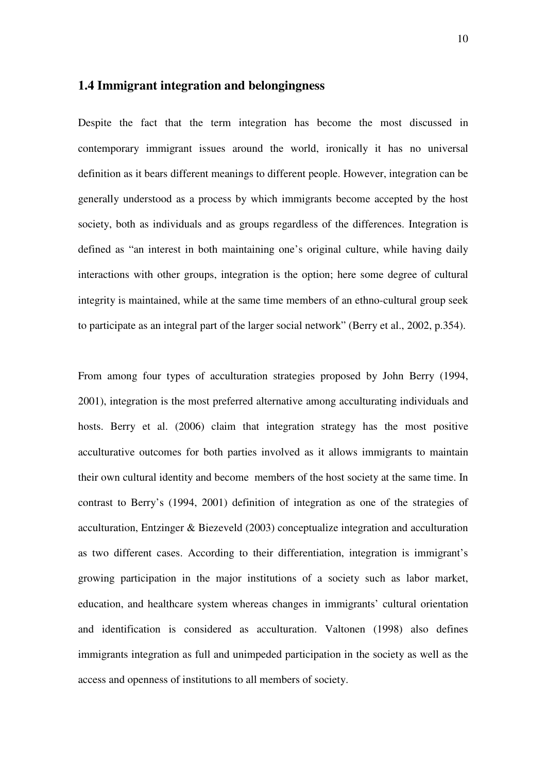## **1.4 Immigrant integration and belongingness**

Despite the fact that the term integration has become the most discussed in contemporary immigrant issues around the world, ironically it has no universal definition as it bears different meanings to different people. However, integration can be generally understood as a process by which immigrants become accepted by the host society, both as individuals and as groups regardless of the differences. Integration is defined as "an interest in both maintaining one's original culture, while having daily interactions with other groups, integration is the option; here some degree of cultural integrity is maintained, while at the same time members of an ethno-cultural group seek to participate as an integral part of the larger social network" (Berry et al., 2002, p.354).

From among four types of acculturation strategies proposed by John Berry (1994, 2001), integration is the most preferred alternative among acculturating individuals and hosts. Berry et al. (2006) claim that integration strategy has the most positive acculturative outcomes for both parties involved as it allows immigrants to maintain their own cultural identity and become members of the host society at the same time. In contrast to Berry's (1994, 2001) definition of integration as one of the strategies of acculturation, Entzinger & Biezeveld (2003) conceptualize integration and acculturation as two different cases. According to their differentiation, integration is immigrant's growing participation in the major institutions of a society such as labor market, education, and healthcare system whereas changes in immigrants' cultural orientation and identification is considered as acculturation. Valtonen (1998) also defines immigrants integration as full and unimpeded participation in the society as well as the access and openness of institutions to all members of society.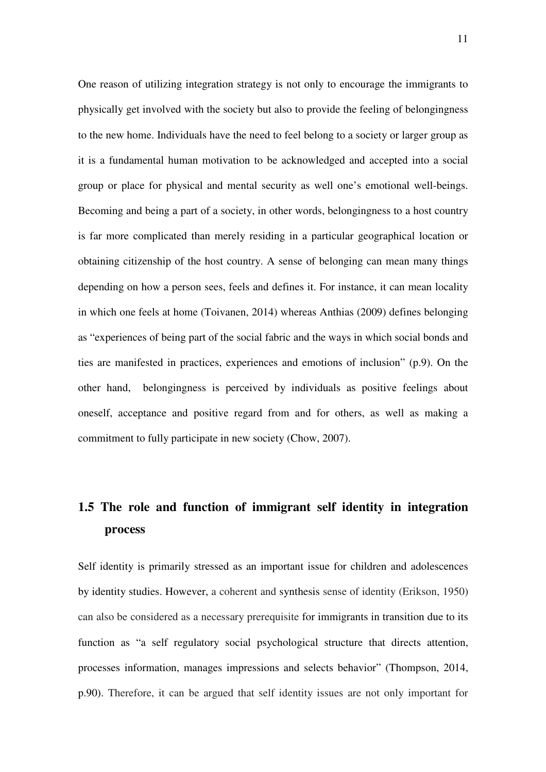One reason of utilizing integration strategy is not only to encourage the immigrants to physically get involved with the society but also to provide the feeling of belongingness to the new home. Individuals have the need to feel belong to a society or larger group as it is a fundamental human motivation to be acknowledged and accepted into a social group or place for physical and mental security as well one's emotional well-beings. Becoming and being a part of a society, in other words, belongingness to a host country is far more complicated than merely residing in a particular geographical location or obtaining citizenship of the host country. A sense of belonging can mean many things depending on how a person sees, feels and defines it. For instance, it can mean locality in which one feels at home (Toivanen, 2014) whereas Anthias (2009) defines belonging as "experiences of being part of the social fabric and the ways in which social bonds and ties are manifested in practices, experiences and emotions of inclusion" (p.9). On the other hand, belongingness is perceived by individuals as positive feelings about oneself, acceptance and positive regard from and for others, as well as making a commitment to fully participate in new society (Chow, 2007).

# **1.5 The role and function of immigrant self identity in integration process**

Self identity is primarily stressed as an important issue for children and adolescences by identity studies. However, a coherent and synthesis sense of identity (Erikson, 1950) can also be considered as a necessary prerequisite for immigrants in transition due to its function as "a self regulatory social psychological structure that directs attention, processes information, manages impressions and selects behavior" (Thompson, 2014, p.90). Therefore, it can be argued that self identity issues are not only important for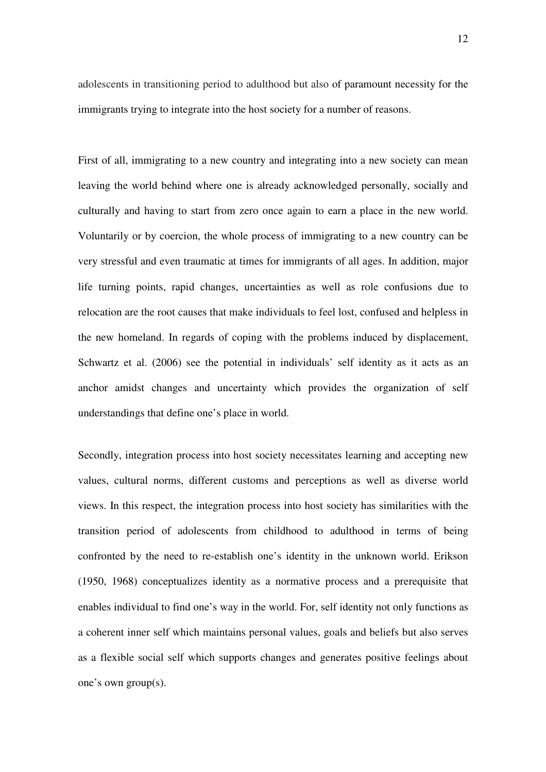adolescents in transitioning period to adulthood but also of paramount necessity for the immigrants trying to integrate into the host society for a number of reasons.

First of all, immigrating to a new country and integrating into a new society can mean leaving the world behind where one is already acknowledged personally, socially and culturally and having to start from zero once again to earn a place in the new world. Voluntarily or by coercion, the whole process of immigrating to a new country can be very stressful and even traumatic at times for immigrants of all ages. In addition, major life turning points, rapid changes, uncertainties as well as role confusions due to relocation are the root causes that make individuals to feel lost, confused and helpless in the new homeland. In regards of coping with the problems induced by displacement, Schwartz et al. (2006) see the potential in individuals' self identity as it acts as an anchor amidst changes and uncertainty which provides the organization of self understandings that define one's place in world.

Secondly, integration process into host society necessitates learning and accepting new values, cultural norms, different customs and perceptions as well as diverse world views. In this respect, the integration process into host society has similarities with the transition period of adolescents from childhood to adulthood in terms of being confronted by the need to re-establish one's identity in the unknown world. Erikson (1950, 1968) conceptualizes identity as a normative process and a prerequisite that enables individual to find one's way in the world. For, self identity not only functions as a coherent inner self which maintains personal values, goals and beliefs but also serves as a flexible social self which supports changes and generates positive feelings about one's own group(s).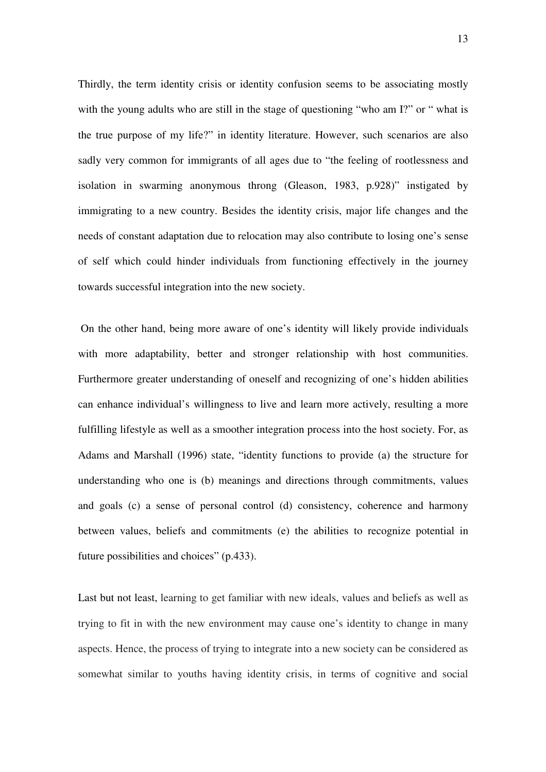Thirdly, the term identity crisis or identity confusion seems to be associating mostly with the young adults who are still in the stage of questioning "who am I?" or " what is the true purpose of my life?" in identity literature. However, such scenarios are also sadly very common for immigrants of all ages due to "the feeling of rootlessness and isolation in swarming anonymous throng (Gleason, 1983, p.928)" instigated by immigrating to a new country. Besides the identity crisis, major life changes and the needs of constant adaptation due to relocation may also contribute to losing one's sense of self which could hinder individuals from functioning effectively in the journey towards successful integration into the new society.

 On the other hand, being more aware of one's identity will likely provide individuals with more adaptability, better and stronger relationship with host communities. Furthermore greater understanding of oneself and recognizing of one's hidden abilities can enhance individual's willingness to live and learn more actively, resulting a more fulfilling lifestyle as well as a smoother integration process into the host society. For, as Adams and Marshall (1996) state, "identity functions to provide (a) the structure for understanding who one is (b) meanings and directions through commitments, values and goals (c) a sense of personal control (d) consistency, coherence and harmony between values, beliefs and commitments (e) the abilities to recognize potential in future possibilities and choices" (p.433).

Last but not least, learning to get familiar with new ideals, values and beliefs as well as trying to fit in with the new environment may cause one's identity to change in many aspects. Hence, the process of trying to integrate into a new society can be considered as somewhat similar to youths having identity crisis, in terms of cognitive and social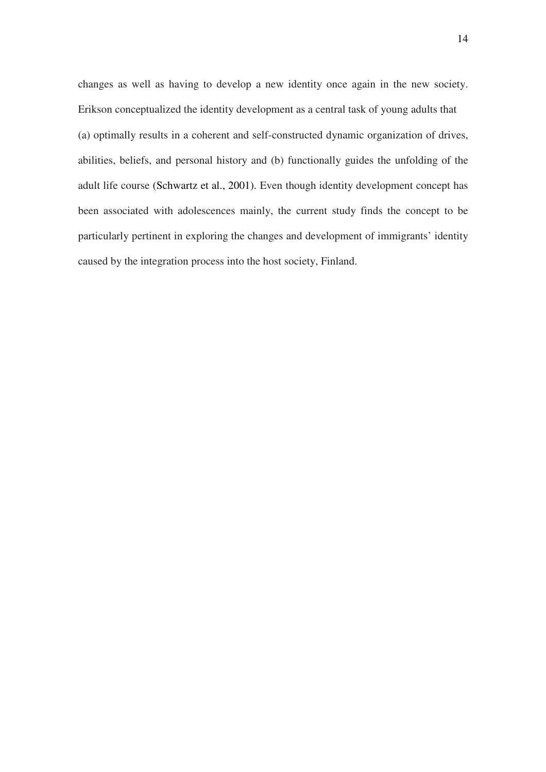changes as well as having to develop a new identity once again in the new society. Erikson conceptualized the identity development as a central task of young adults that (a) optimally results in a coherent and self-constructed dynamic organization of drives, abilities, beliefs, and personal history and (b) functionally guides the unfolding of the adult life course (Schwartz et al., 2001). Even though identity development concept has been associated with adolescences mainly, the current study finds the concept to be particularly pertinent in exploring the changes and development of immigrants' identity caused by the integration process into the host society, Finland.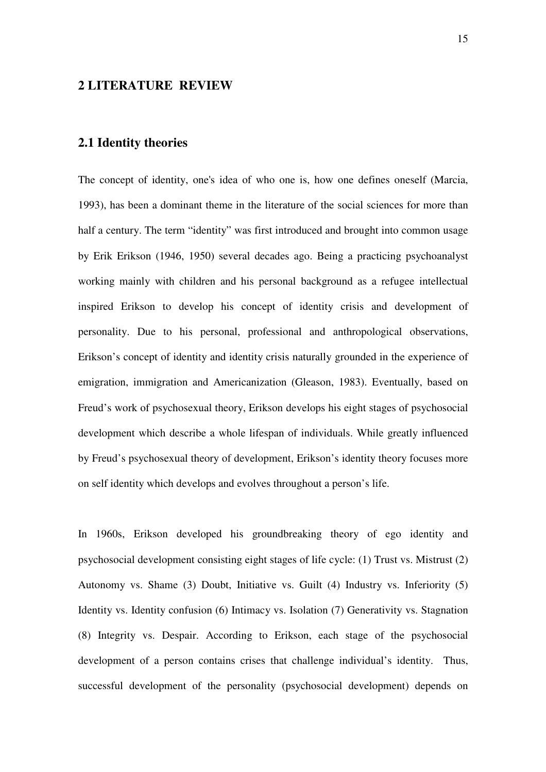## **2 LITERATURE REVIEW**

## **2.1 Identity theories**

The concept of identity, one's idea of who one is, how one defines oneself (Marcia, 1993), has been a dominant theme in the literature of the social sciences for more than half a century. The term "identity" was first introduced and brought into common usage by Erik Erikson (1946, 1950) several decades ago. Being a practicing psychoanalyst working mainly with children and his personal background as a refugee intellectual inspired Erikson to develop his concept of identity crisis and development of personality. Due to his personal, professional and anthropological observations, Erikson's concept of identity and identity crisis naturally grounded in the experience of emigration, immigration and Americanization (Gleason, 1983). Eventually, based on Freud's work of psychosexual theory, Erikson develops his eight stages of psychosocial development which describe a whole lifespan of individuals. While greatly influenced by Freud's psychosexual theory of development, Erikson's identity theory focuses more on self identity which develops and evolves throughout a person's life.

In 1960s, Erikson developed his groundbreaking theory of ego identity and psychosocial development consisting eight stages of life cycle: (1) Trust vs. Mistrust (2) Autonomy vs. Shame (3) Doubt, Initiative vs. Guilt (4) Industry vs. Inferiority (5) Identity vs. Identity confusion (6) Intimacy vs. Isolation (7) Generativity vs. Stagnation (8) Integrity vs. Despair. According to Erikson, each stage of the psychosocial development of a person contains crises that challenge individual's identity. Thus, successful development of the personality (psychosocial development) depends on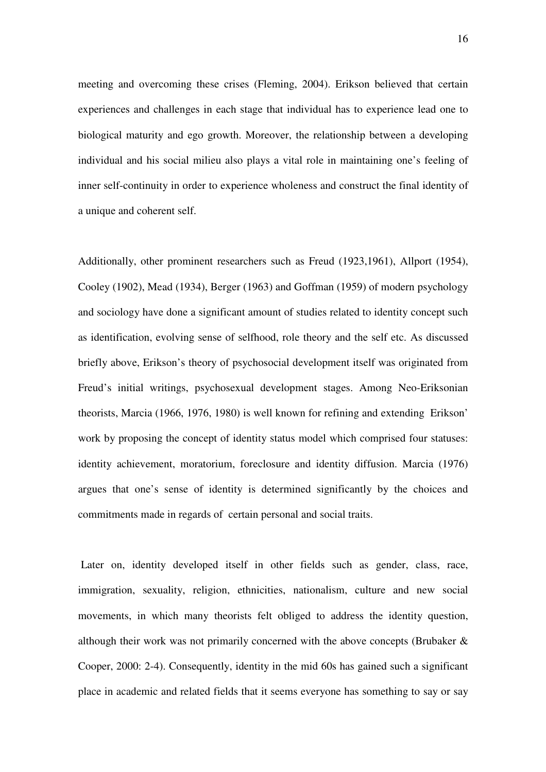meeting and overcoming these crises (Fleming, 2004). Erikson believed that certain experiences and challenges in each stage that individual has to experience lead one to biological maturity and ego growth. Moreover, the relationship between a developing individual and his social milieu also plays a vital role in maintaining one's feeling of inner self-continuity in order to experience wholeness and construct the final identity of a unique and coherent self.

Additionally, other prominent researchers such as Freud (1923,1961), Allport (1954), Cooley (1902), Mead (1934), Berger (1963) and Goffman (1959) of modern psychology and sociology have done a significant amount of studies related to identity concept such as identification, evolving sense of selfhood, role theory and the self etc. As discussed briefly above, Erikson's theory of psychosocial development itself was originated from Freud's initial writings, psychosexual development stages. Among Neo-Eriksonian theorists, Marcia (1966, 1976, 1980) is well known for refining and extending Erikson' work by proposing the concept of identity status model which comprised four statuses: identity achievement, moratorium, foreclosure and identity diffusion. Marcia (1976) argues that one's sense of identity is determined significantly by the choices and commitments made in regards of certain personal and social traits.

 Later on, identity developed itself in other fields such as gender, class, race, immigration, sexuality, religion, ethnicities, nationalism, culture and new social movements, in which many theorists felt obliged to address the identity question, although their work was not primarily concerned with the above concepts (Brubaker & Cooper, 2000: 2-4). Consequently, identity in the mid 60s has gained such a significant place in academic and related fields that it seems everyone has something to say or say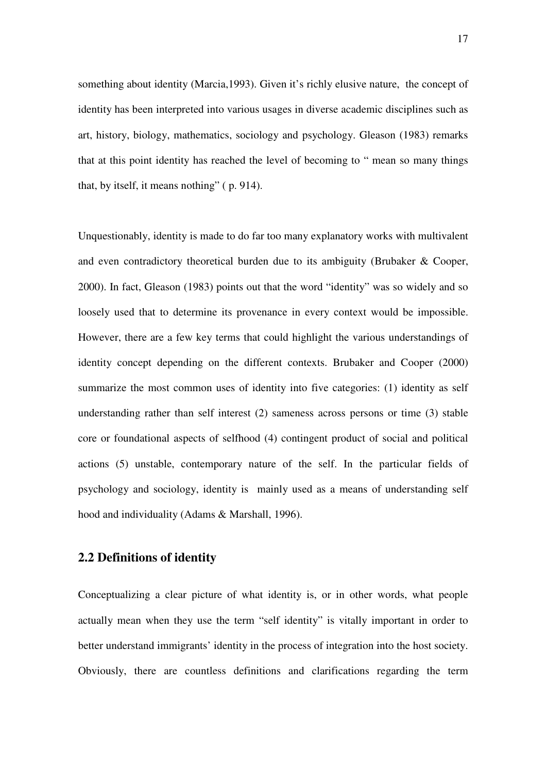something about identity (Marcia,1993). Given it's richly elusive nature, the concept of identity has been interpreted into various usages in diverse academic disciplines such as art, history, biology, mathematics, sociology and psychology. Gleason (1983) remarks that at this point identity has reached the level of becoming to " mean so many things that, by itself, it means nothing" ( p. 914).

Unquestionably, identity is made to do far too many explanatory works with multivalent and even contradictory theoretical burden due to its ambiguity (Brubaker & Cooper, 2000). In fact, Gleason (1983) points out that the word "identity" was so widely and so loosely used that to determine its provenance in every context would be impossible. However, there are a few key terms that could highlight the various understandings of identity concept depending on the different contexts. Brubaker and Cooper (2000) summarize the most common uses of identity into five categories: (1) identity as self understanding rather than self interest (2) sameness across persons or time (3) stable core or foundational aspects of selfhood (4) contingent product of social and political actions (5) unstable, contemporary nature of the self. In the particular fields of psychology and sociology, identity is mainly used as a means of understanding self hood and individuality (Adams & Marshall, 1996).

## **2.2 Definitions of identity**

Conceptualizing a clear picture of what identity is, or in other words, what people actually mean when they use the term "self identity" is vitally important in order to better understand immigrants' identity in the process of integration into the host society. Obviously, there are countless definitions and clarifications regarding the term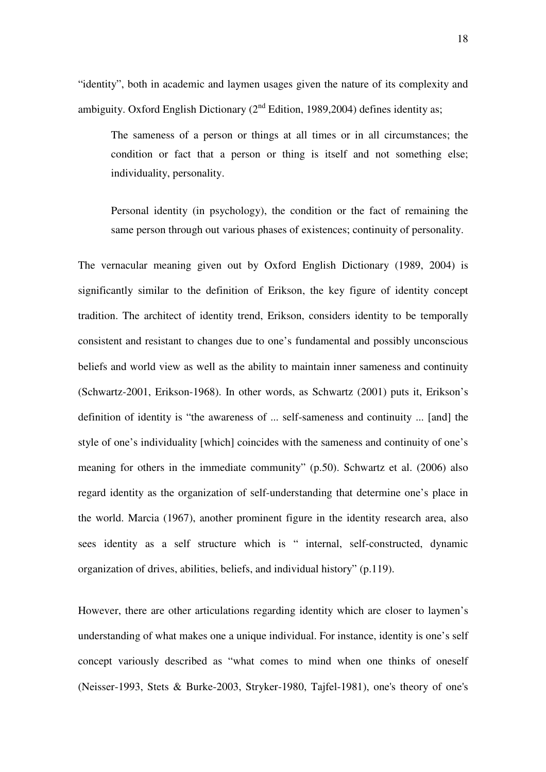"identity", both in academic and laymen usages given the nature of its complexity and ambiguity. Oxford English Dictionary  $(2<sup>nd</sup>$  Edition, 1989, 2004) defines identity as;

The sameness of a person or things at all times or in all circumstances; the condition or fact that a person or thing is itself and not something else; individuality, personality.

Personal identity (in psychology), the condition or the fact of remaining the same person through out various phases of existences; continuity of personality.

The vernacular meaning given out by Oxford English Dictionary (1989, 2004) is significantly similar to the definition of Erikson, the key figure of identity concept tradition. The architect of identity trend, Erikson, considers identity to be temporally consistent and resistant to changes due to one's fundamental and possibly unconscious beliefs and world view as well as the ability to maintain inner sameness and continuity (Schwartz-2001, Erikson-1968). In other words, as Schwartz (2001) puts it, Erikson's definition of identity is "the awareness of ... self-sameness and continuity ... [and] the style of one's individuality [which] coincides with the sameness and continuity of one's meaning for others in the immediate community" (p.50). Schwartz et al. (2006) also regard identity as the organization of self-understanding that determine one's place in the world. Marcia (1967), another prominent figure in the identity research area, also sees identity as a self structure which is " internal, self-constructed, dynamic organization of drives, abilities, beliefs, and individual history" (p.119).

However, there are other articulations regarding identity which are closer to laymen's understanding of what makes one a unique individual. For instance, identity is one's self concept variously described as "what comes to mind when one thinks of oneself (Neisser-1993, Stets & Burke-2003, Stryker-1980, Tajfel-1981), one's theory of one's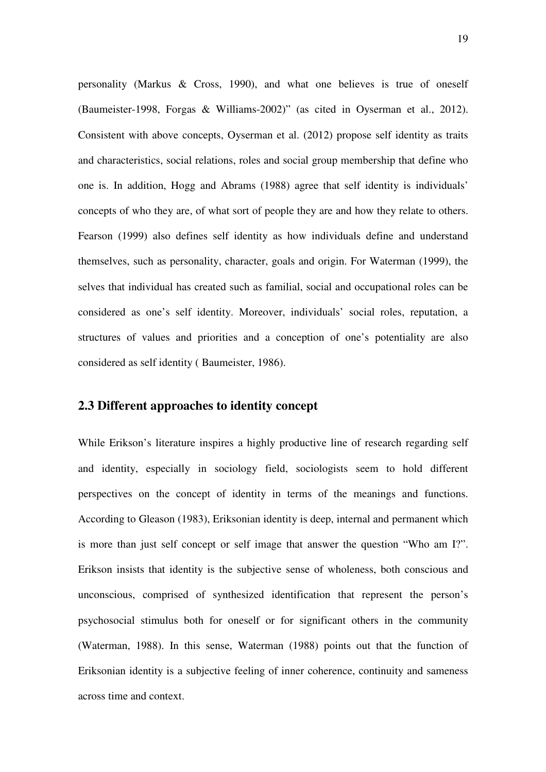personality (Markus & Cross, 1990), and what one believes is true of oneself (Baumeister-1998, Forgas & Williams-2002)" (as cited in Oyserman et al., 2012). Consistent with above concepts, Oyserman et al. (2012) propose self identity as traits and characteristics, social relations, roles and social group membership that define who one is. In addition, Hogg and Abrams (1988) agree that self identity is individuals' concepts of who they are, of what sort of people they are and how they relate to others. Fearson (1999) also defines self identity as how individuals define and understand themselves, such as personality, character, goals and origin. For Waterman (1999), the selves that individual has created such as familial, social and occupational roles can be considered as one's self identity. Moreover, individuals' social roles, reputation, a structures of values and priorities and a conception of one's potentiality are also considered as self identity ( Baumeister, 1986).

## **2.3 Different approaches to identity concept**

While Erikson's literature inspires a highly productive line of research regarding self and identity, especially in sociology field, sociologists seem to hold different perspectives on the concept of identity in terms of the meanings and functions. According to Gleason (1983), Eriksonian identity is deep, internal and permanent which is more than just self concept or self image that answer the question "Who am I?". Erikson insists that identity is the subjective sense of wholeness, both conscious and unconscious, comprised of synthesized identification that represent the person's psychosocial stimulus both for oneself or for significant others in the community (Waterman, 1988). In this sense, Waterman (1988) points out that the function of Eriksonian identity is a subjective feeling of inner coherence, continuity and sameness across time and context.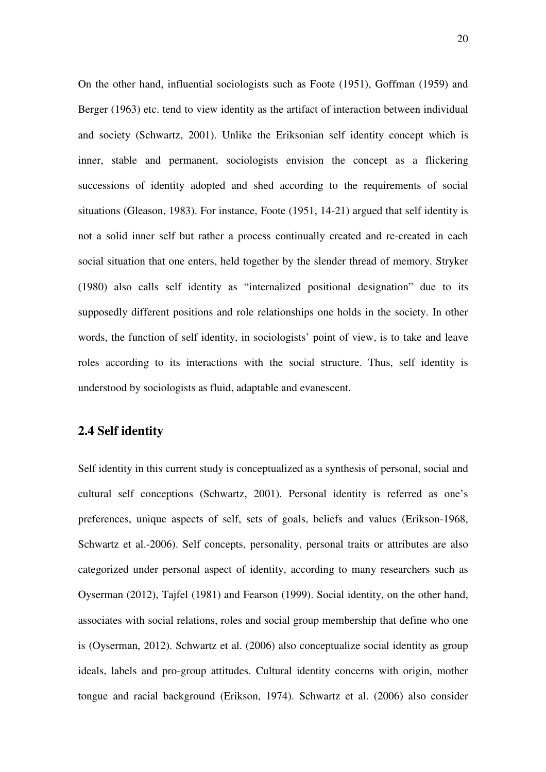On the other hand, influential sociologists such as Foote (1951), Goffman (1959) and Berger (1963) etc. tend to view identity as the artifact of interaction between individual and society (Schwartz, 2001). Unlike the Eriksonian self identity concept which is inner, stable and permanent, sociologists envision the concept as a flickering successions of identity adopted and shed according to the requirements of social situations (Gleason, 1983). For instance, Foote (1951, 14-21) argued that self identity is not a solid inner self but rather a process continually created and re-created in each social situation that one enters, held together by the slender thread of memory. Stryker (1980) also calls self identity as "internalized positional designation" due to its supposedly different positions and role relationships one holds in the society. In other words, the function of self identity, in sociologists' point of view, is to take and leave roles according to its interactions with the social structure. Thus, self identity is understood by sociologists as fluid, adaptable and evanescent.

### **2.4 Self identity**

Self identity in this current study is conceptualized as a synthesis of personal, social and cultural self conceptions (Schwartz, 2001). Personal identity is referred as one's preferences, unique aspects of self, sets of goals, beliefs and values (Erikson-1968, Schwartz et al.-2006). Self concepts, personality, personal traits or attributes are also categorized under personal aspect of identity, according to many researchers such as Oyserman (2012), Tajfel (1981) and Fearson (1999). Social identity, on the other hand, associates with social relations, roles and social group membership that define who one is (Oyserman, 2012). Schwartz et al. (2006) also conceptualize social identity as group ideals, labels and pro-group attitudes. Cultural identity concerns with origin, mother tongue and racial background (Erikson, 1974). Schwartz et al. (2006) also consider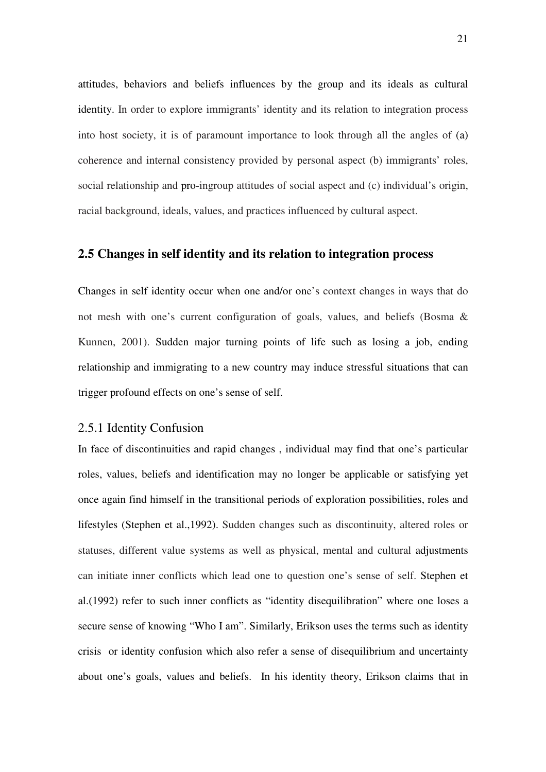attitudes, behaviors and beliefs influences by the group and its ideals as cultural identity. In order to explore immigrants' identity and its relation to integration process into host society, it is of paramount importance to look through all the angles of (a) coherence and internal consistency provided by personal aspect (b) immigrants' roles, social relationship and pro-ingroup attitudes of social aspect and (c) individual's origin, racial background, ideals, values, and practices influenced by cultural aspect.

#### **2.5 Changes in self identity and its relation to integration process**

Changes in self identity occur when one and/or one's context changes in ways that do not mesh with one's current configuration of goals, values, and beliefs (Bosma & Kunnen, 2001). Sudden major turning points of life such as losing a job, ending relationship and immigrating to a new country may induce stressful situations that can trigger profound effects on one's sense of self.

## 2.5.1 Identity Confusion

In face of discontinuities and rapid changes , individual may find that one's particular roles, values, beliefs and identification may no longer be applicable or satisfying yet once again find himself in the transitional periods of exploration possibilities, roles and lifestyles (Stephen et al.,1992). Sudden changes such as discontinuity, altered roles or statuses, different value systems as well as physical, mental and cultural adjustments can initiate inner conflicts which lead one to question one's sense of self. Stephen et al.(1992) refer to such inner conflicts as "identity disequilibration" where one loses a secure sense of knowing "Who I am". Similarly, Erikson uses the terms such as identity crisis or identity confusion which also refer a sense of disequilibrium and uncertainty about one's goals, values and beliefs. In his identity theory, Erikson claims that in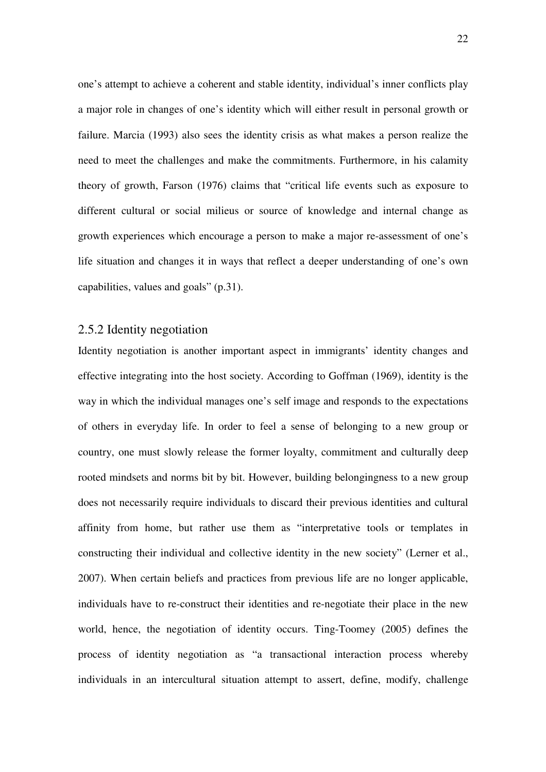one's attempt to achieve a coherent and stable identity, individual's inner conflicts play a major role in changes of one's identity which will either result in personal growth or failure. Marcia (1993) also sees the identity crisis as what makes a person realize the need to meet the challenges and make the commitments. Furthermore, in his calamity theory of growth, Farson (1976) claims that "critical life events such as exposure to different cultural or social milieus or source of knowledge and internal change as growth experiences which encourage a person to make a major re-assessment of one's life situation and changes it in ways that reflect a deeper understanding of one's own capabilities, values and goals" (p.31).

#### 2.5.2 Identity negotiation

Identity negotiation is another important aspect in immigrants' identity changes and effective integrating into the host society. According to Goffman (1969), identity is the way in which the individual manages one's self image and responds to the expectations of others in everyday life. In order to feel a sense of belonging to a new group or country, one must slowly release the former loyalty, commitment and culturally deep rooted mindsets and norms bit by bit. However, building belongingness to a new group does not necessarily require individuals to discard their previous identities and cultural affinity from home, but rather use them as "interpretative tools or templates in constructing their individual and collective identity in the new society" (Lerner et al., 2007). When certain beliefs and practices from previous life are no longer applicable, individuals have to re-construct their identities and re-negotiate their place in the new world, hence, the negotiation of identity occurs. Ting-Toomey (2005) defines the process of identity negotiation as "a transactional interaction process whereby individuals in an intercultural situation attempt to assert, define, modify, challenge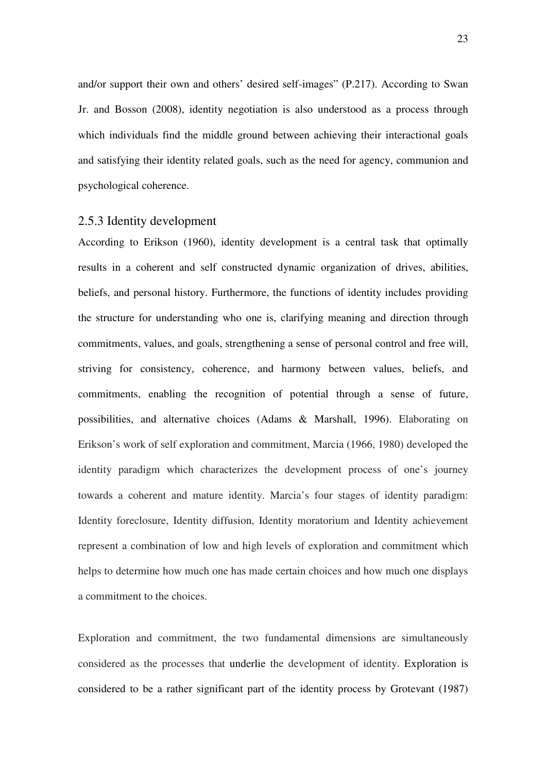and/or support their own and others' desired self-images" (P.217). According to Swan Jr. and Bosson (2008), identity negotiation is also understood as a process through which individuals find the middle ground between achieving their interactional goals and satisfying their identity related goals, such as the need for agency, communion and psychological coherence.

#### 2.5.3 Identity development

According to Erikson (1960), identity development is a central task that optimally results in a coherent and self constructed dynamic organization of drives, abilities, beliefs, and personal history. Furthermore, the functions of identity includes providing the structure for understanding who one is, clarifying meaning and direction through commitments, values, and goals, strengthening a sense of personal control and free will, striving for consistency, coherence, and harmony between values, beliefs, and commitments, enabling the recognition of potential through a sense of future, possibilities, and alternative choices (Adams & Marshall, 1996). Elaborating on Erikson's work of self exploration and commitment, Marcia (1966, 1980) developed the identity paradigm which characterizes the development process of one's journey towards a coherent and mature identity. Marcia's four stages of identity paradigm: Identity foreclosure, Identity diffusion, Identity moratorium and Identity achievement represent a combination of low and high levels of exploration and commitment which helps to determine how much one has made certain choices and how much one displays a commitment to the choices.

Exploration and commitment, the two fundamental dimensions are simultaneously considered as the processes that underlie the development of identity. Exploration is considered to be a rather significant part of the identity process by Grotevant (1987)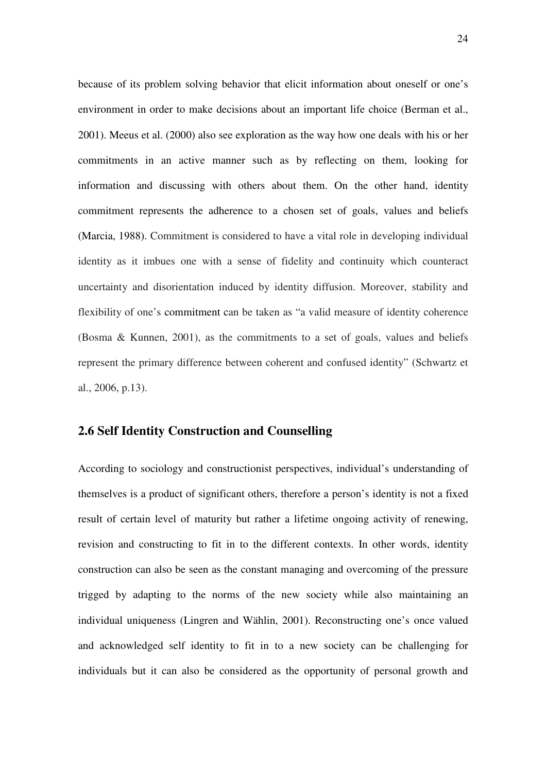because of its problem solving behavior that elicit information about oneself or one's environment in order to make decisions about an important life choice (Berman et al., 2001). Meeus et al. (2000) also see exploration as the way how one deals with his or her commitments in an active manner such as by reflecting on them, looking for information and discussing with others about them. On the other hand, identity commitment represents the adherence to a chosen set of goals, values and beliefs (Marcia, 1988). Commitment is considered to have a vital role in developing individual identity as it imbues one with a sense of fidelity and continuity which counteract uncertainty and disorientation induced by identity diffusion. Moreover, stability and flexibility of one's commitment can be taken as "a valid measure of identity coherence (Bosma & Kunnen, 2001), as the commitments to a set of goals, values and beliefs represent the primary difference between coherent and confused identity" (Schwartz et al., 2006, p.13).

## **2.6 Self Identity Construction and Counselling**

According to sociology and constructionist perspectives, individual's understanding of themselves is a product of significant others, therefore a person's identity is not a fixed result of certain level of maturity but rather a lifetime ongoing activity of renewing, revision and constructing to fit in to the different contexts. In other words, identity construction can also be seen as the constant managing and overcoming of the pressure trigged by adapting to the norms of the new society while also maintaining an individual uniqueness (Lingren and Wählin, 2001). Reconstructing one's once valued and acknowledged self identity to fit in to a new society can be challenging for individuals but it can also be considered as the opportunity of personal growth and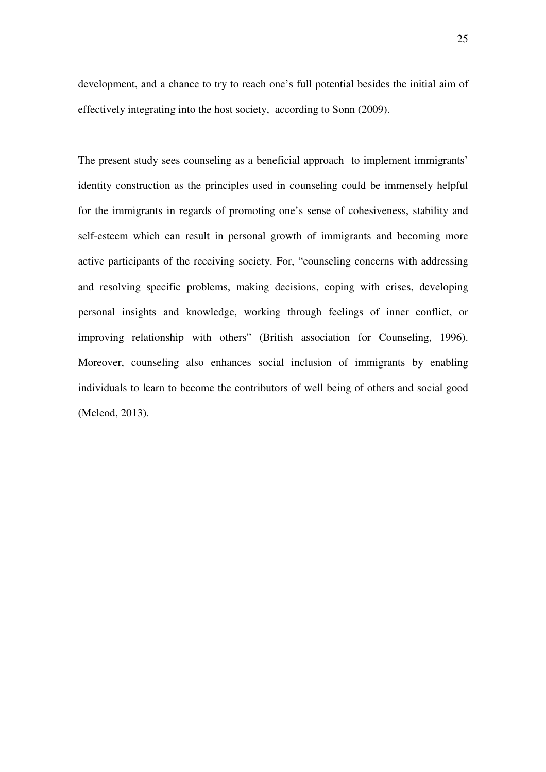development, and a chance to try to reach one's full potential besides the initial aim of effectively integrating into the host society, according to Sonn (2009).

The present study sees counseling as a beneficial approach to implement immigrants' identity construction as the principles used in counseling could be immensely helpful for the immigrants in regards of promoting one's sense of cohesiveness, stability and self-esteem which can result in personal growth of immigrants and becoming more active participants of the receiving society. For, "counseling concerns with addressing and resolving specific problems, making decisions, coping with crises, developing personal insights and knowledge, working through feelings of inner conflict, or improving relationship with others" (British association for Counseling, 1996). Moreover, counseling also enhances social inclusion of immigrants by enabling individuals to learn to become the contributors of well being of others and social good (Mcleod, 2013).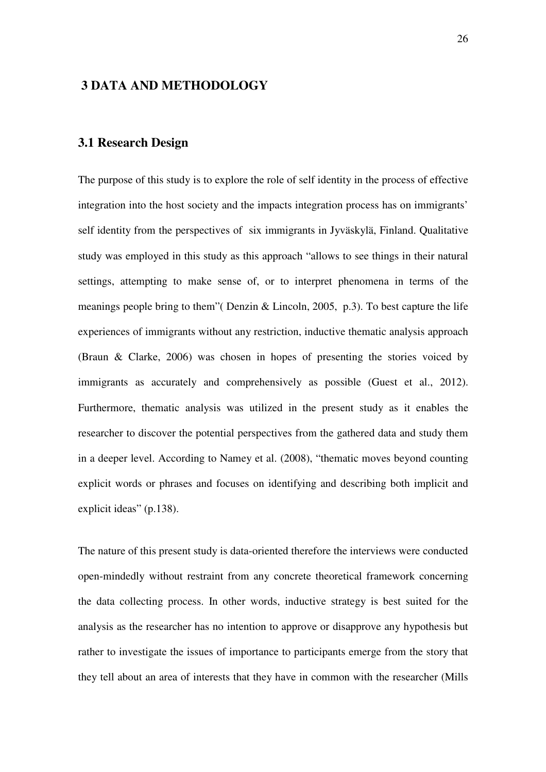## **3 DATA AND METHODOLOGY**

## **3.1 Research Design**

The purpose of this study is to explore the role of self identity in the process of effective integration into the host society and the impacts integration process has on immigrants' self identity from the perspectives of six immigrants in Jyväskylä, Finland. Qualitative study was employed in this study as this approach "allows to see things in their natural settings, attempting to make sense of, or to interpret phenomena in terms of the meanings people bring to them"( Denzin & Lincoln, 2005, p.3). To best capture the life experiences of immigrants without any restriction, inductive thematic analysis approach (Braun & Clarke, 2006) was chosen in hopes of presenting the stories voiced by immigrants as accurately and comprehensively as possible (Guest et al., 2012). Furthermore, thematic analysis was utilized in the present study as it enables the researcher to discover the potential perspectives from the gathered data and study them in a deeper level. According to Namey et al. (2008), "thematic moves beyond counting explicit words or phrases and focuses on identifying and describing both implicit and explicit ideas" (p.138).

The nature of this present study is data-oriented therefore the interviews were conducted open-mindedly without restraint from any concrete theoretical framework concerning the data collecting process. In other words, inductive strategy is best suited for the analysis as the researcher has no intention to approve or disapprove any hypothesis but rather to investigate the issues of importance to participants emerge from the story that they tell about an area of interests that they have in common with the researcher (Mills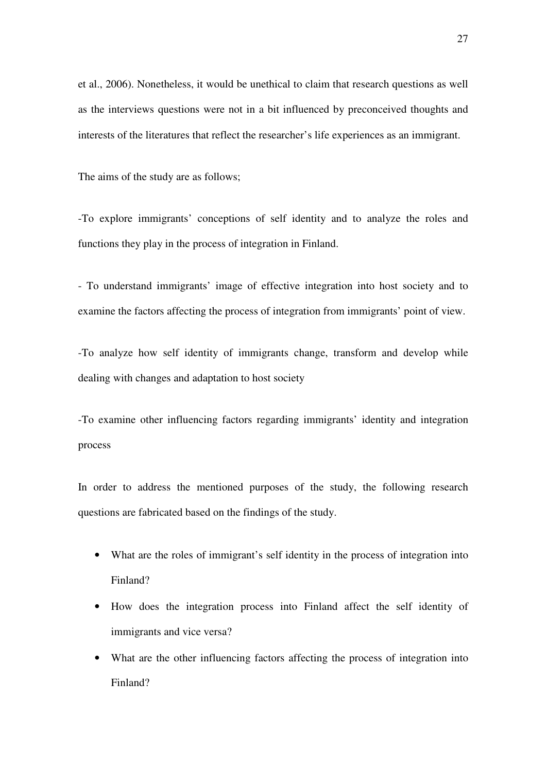et al., 2006). Nonetheless, it would be unethical to claim that research questions as well as the interviews questions were not in a bit influenced by preconceived thoughts and interests of the literatures that reflect the researcher's life experiences as an immigrant.

The aims of the study are as follows;

-To explore immigrants' conceptions of self identity and to analyze the roles and functions they play in the process of integration in Finland.

- To understand immigrants' image of effective integration into host society and to examine the factors affecting the process of integration from immigrants' point of view.

-To analyze how self identity of immigrants change, transform and develop while dealing with changes and adaptation to host society

-To examine other influencing factors regarding immigrants' identity and integration process

In order to address the mentioned purposes of the study, the following research questions are fabricated based on the findings of the study.

- What are the roles of immigrant's self identity in the process of integration into Finland?
- How does the integration process into Finland affect the self identity of immigrants and vice versa?
- What are the other influencing factors affecting the process of integration into Finland?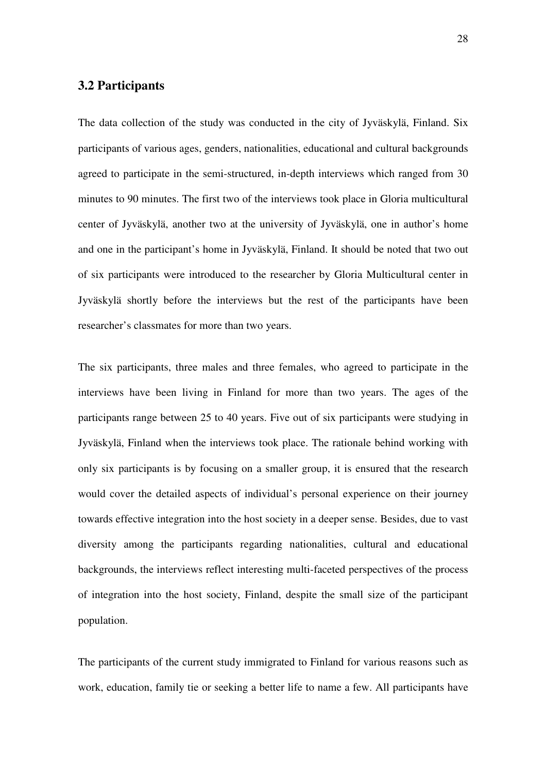# **3.2 Participants**

The data collection of the study was conducted in the city of Jyväskylä, Finland. Six participants of various ages, genders, nationalities, educational and cultural backgrounds agreed to participate in the semi-structured, in-depth interviews which ranged from 30 minutes to 90 minutes. The first two of the interviews took place in Gloria multicultural center of Jyväskylä, another two at the university of Jyväskylä, one in author's home and one in the participant's home in Jyväskylä, Finland. It should be noted that two out of six participants were introduced to the researcher by Gloria Multicultural center in Jyväskylä shortly before the interviews but the rest of the participants have been researcher's classmates for more than two years.

The six participants, three males and three females, who agreed to participate in the interviews have been living in Finland for more than two years. The ages of the participants range between 25 to 40 years. Five out of six participants were studying in Jyväskylä, Finland when the interviews took place. The rationale behind working with only six participants is by focusing on a smaller group, it is ensured that the research would cover the detailed aspects of individual's personal experience on their journey towards effective integration into the host society in a deeper sense. Besides, due to vast diversity among the participants regarding nationalities, cultural and educational backgrounds, the interviews reflect interesting multi-faceted perspectives of the process of integration into the host society, Finland, despite the small size of the participant population.

The participants of the current study immigrated to Finland for various reasons such as work, education, family tie or seeking a better life to name a few. All participants have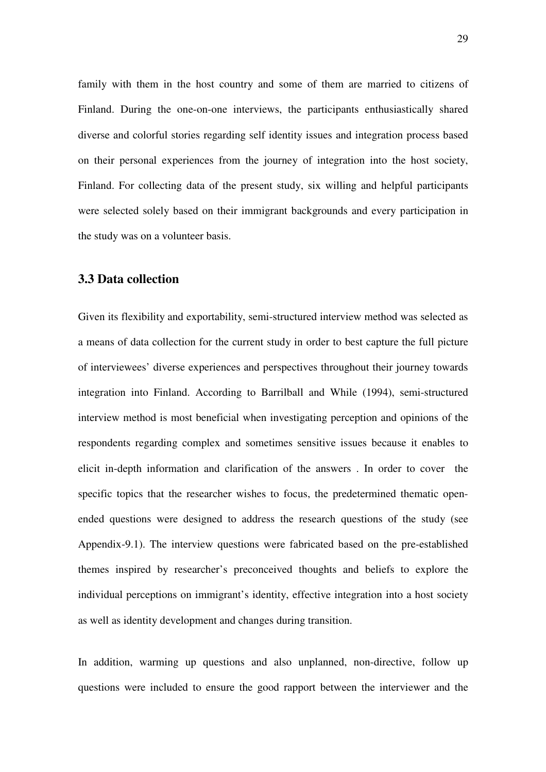family with them in the host country and some of them are married to citizens of Finland. During the one-on-one interviews, the participants enthusiastically shared diverse and colorful stories regarding self identity issues and integration process based on their personal experiences from the journey of integration into the host society, Finland. For collecting data of the present study, six willing and helpful participants were selected solely based on their immigrant backgrounds and every participation in the study was on a volunteer basis.

# **3.3 Data collection**

Given its flexibility and exportability, semi-structured interview method was selected as a means of data collection for the current study in order to best capture the full picture of interviewees' diverse experiences and perspectives throughout their journey towards integration into Finland. According to Barrilball and While (1994), semi-structured interview method is most beneficial when investigating perception and opinions of the respondents regarding complex and sometimes sensitive issues because it enables to elicit in-depth information and clarification of the answers . In order to cover the specific topics that the researcher wishes to focus, the predetermined thematic openended questions were designed to address the research questions of the study (see Appendix-9.1). The interview questions were fabricated based on the pre-established themes inspired by researcher's preconceived thoughts and beliefs to explore the individual perceptions on immigrant's identity, effective integration into a host society as well as identity development and changes during transition.

In addition, warming up questions and also unplanned, non-directive, follow up questions were included to ensure the good rapport between the interviewer and the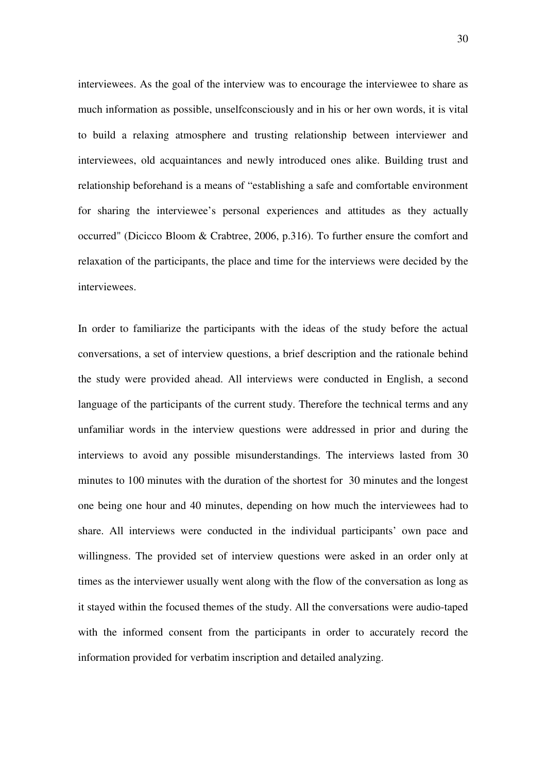interviewees. As the goal of the interview was to encourage the interviewee to share as much information as possible, unselfconsciously and in his or her own words, it is vital to build a relaxing atmosphere and trusting relationship between interviewer and interviewees, old acquaintances and newly introduced ones alike. Building trust and relationship beforehand is a means of "establishing a safe and comfortable environment for sharing the interviewee's personal experiences and attitudes as they actually occurred" (Dicicco Bloom & Crabtree, 2006, p.316). To further ensure the comfort and relaxation of the participants, the place and time for the interviews were decided by the interviewees.

In order to familiarize the participants with the ideas of the study before the actual conversations, a set of interview questions, a brief description and the rationale behind the study were provided ahead. All interviews were conducted in English, a second language of the participants of the current study. Therefore the technical terms and any unfamiliar words in the interview questions were addressed in prior and during the interviews to avoid any possible misunderstandings. The interviews lasted from 30 minutes to 100 minutes with the duration of the shortest for 30 minutes and the longest one being one hour and 40 minutes, depending on how much the interviewees had to share. All interviews were conducted in the individual participants' own pace and willingness. The provided set of interview questions were asked in an order only at times as the interviewer usually went along with the flow of the conversation as long as it stayed within the focused themes of the study. All the conversations were audio-taped with the informed consent from the participants in order to accurately record the information provided for verbatim inscription and detailed analyzing.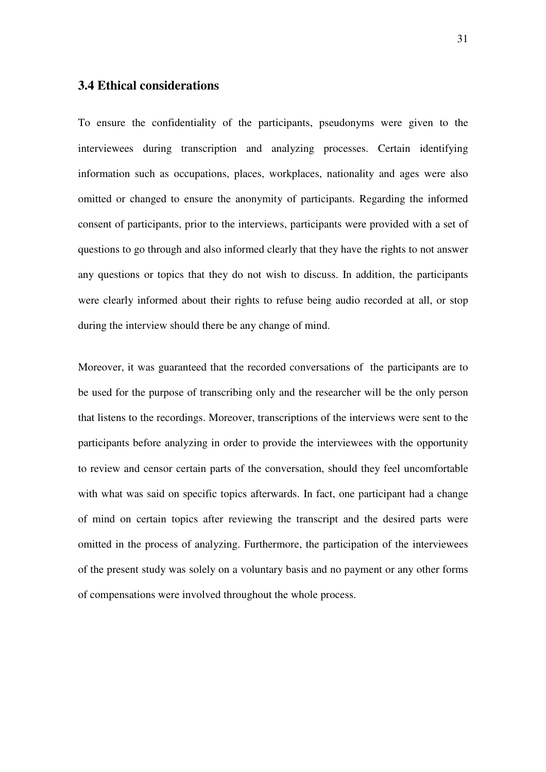## **3.4 Ethical considerations**

To ensure the confidentiality of the participants, pseudonyms were given to the interviewees during transcription and analyzing processes. Certain identifying information such as occupations, places, workplaces, nationality and ages were also omitted or changed to ensure the anonymity of participants. Regarding the informed consent of participants, prior to the interviews, participants were provided with a set of questions to go through and also informed clearly that they have the rights to not answer any questions or topics that they do not wish to discuss. In addition, the participants were clearly informed about their rights to refuse being audio recorded at all, or stop during the interview should there be any change of mind.

Moreover, it was guaranteed that the recorded conversations of the participants are to be used for the purpose of transcribing only and the researcher will be the only person that listens to the recordings. Moreover, transcriptions of the interviews were sent to the participants before analyzing in order to provide the interviewees with the opportunity to review and censor certain parts of the conversation, should they feel uncomfortable with what was said on specific topics afterwards. In fact, one participant had a change of mind on certain topics after reviewing the transcript and the desired parts were omitted in the process of analyzing. Furthermore, the participation of the interviewees of the present study was solely on a voluntary basis and no payment or any other forms of compensations were involved throughout the whole process.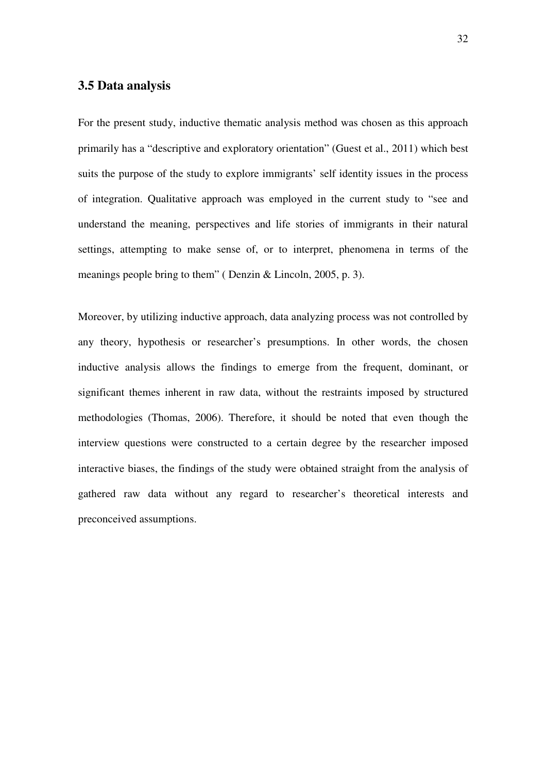# **3.5 Data analysis**

For the present study, inductive thematic analysis method was chosen as this approach primarily has a "descriptive and exploratory orientation" (Guest et al., 2011) which best suits the purpose of the study to explore immigrants' self identity issues in the process of integration. Qualitative approach was employed in the current study to "see and understand the meaning, perspectives and life stories of immigrants in their natural settings, attempting to make sense of, or to interpret, phenomena in terms of the meanings people bring to them" ( Denzin & Lincoln, 2005, p. 3).

Moreover, by utilizing inductive approach, data analyzing process was not controlled by any theory, hypothesis or researcher's presumptions. In other words, the chosen inductive analysis allows the findings to emerge from the frequent, dominant, or significant themes inherent in raw data, without the restraints imposed by structured methodologies (Thomas, 2006). Therefore, it should be noted that even though the interview questions were constructed to a certain degree by the researcher imposed interactive biases, the findings of the study were obtained straight from the analysis of gathered raw data without any regard to researcher's theoretical interests and preconceived assumptions.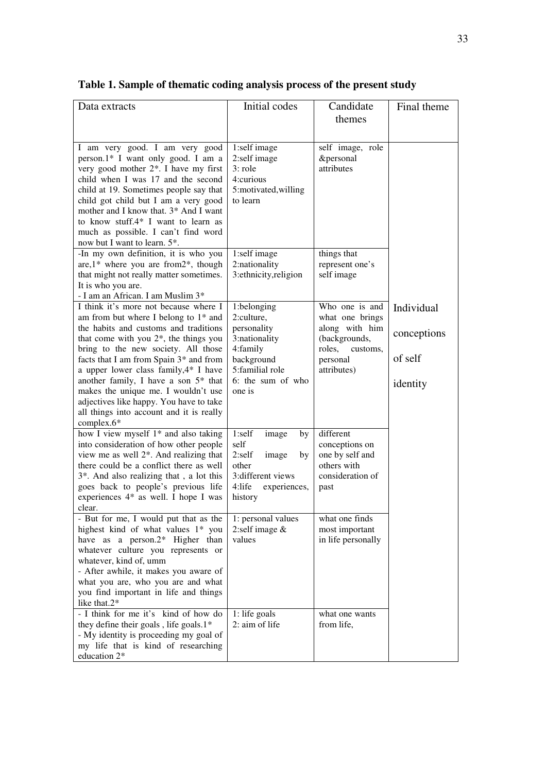| Data extracts                                                                                                                                                                                                                                                                                                                                                                                                                                                                       | Initial codes                                                                                                                          | Candidate                                                                                                             | Final theme                                      |
|-------------------------------------------------------------------------------------------------------------------------------------------------------------------------------------------------------------------------------------------------------------------------------------------------------------------------------------------------------------------------------------------------------------------------------------------------------------------------------------|----------------------------------------------------------------------------------------------------------------------------------------|-----------------------------------------------------------------------------------------------------------------------|--------------------------------------------------|
|                                                                                                                                                                                                                                                                                                                                                                                                                                                                                     |                                                                                                                                        | themes                                                                                                                |                                                  |
| I am very good. I am very good<br>person.1* I want only good. I am a<br>very good mother 2 <sup>*</sup> . I have my first<br>child when I was 17 and the second<br>child at 19. Sometimes people say that<br>child got child but I am a very good<br>mother and I know that, 3* And I want<br>to know stuff.4* I want to learn as<br>much as possible. I can't find word<br>now but I want to learn. 5*.                                                                            | 1:self image<br>2:self image<br>$3:$ role<br>4:curious<br>5:motivated, willing<br>to learn                                             | self image, role<br>&personal<br>attributes                                                                           |                                                  |
| -In my own definition, it is who you<br>are, $1$ <sup>*</sup> where you are from $2$ <sup>*</sup> , though<br>that might not really matter sometimes.<br>It is who you are.<br>- I am an African. I am Muslim 3*                                                                                                                                                                                                                                                                    | 1:self image<br>2:nationality<br>3: ethnicity, religion                                                                                | things that<br>represent one's<br>self image                                                                          |                                                  |
| I think it's more not because where I<br>am from but where I belong to 1* and<br>the habits and customs and traditions<br>that come with you $2^*$ , the things you<br>bring to the new society. All those<br>facts that I am from Spain 3* and from<br>a upper lower class family, 4* I have<br>another family, I have a son $5*$ that<br>makes the unique me. I wouldn't use<br>adjectives like happy. You have to take<br>all things into account and it is really<br>complex.6* | 1:belonging<br>2:culture,<br>personality<br>3:nationality<br>4:family<br>background<br>5: familial role<br>6: the sum of who<br>one is | Who one is and<br>what one brings<br>along with him<br>(backgrounds,<br>roles,<br>customs.<br>personal<br>attributes) | Individual<br>conceptions<br>of self<br>identity |
| how I view myself 1* and also taking<br>into consideration of how other people<br>view me as well $2^*$ . And realizing that<br>there could be a conflict there as well<br>3*. And also realizing that, a lot this<br>goes back to people's previous life<br>experiences 4* as well. I hope I was<br>clear.                                                                                                                                                                         | 1:self<br>image<br>by<br>self<br>2:self<br>image<br>by<br>other<br>3: different views<br>$4:$ life<br>experiences,<br>history          | different<br>conceptions on<br>one by self and<br>others with<br>consideration of<br>past                             |                                                  |
| - But for me, I would put that as the<br>highest kind of what values 1* you<br>have as a person. $2^*$ Higher than<br>whatever culture you represents or<br>whatever, kind of, umm<br>- After awhile, it makes you aware of<br>what you are, who you are and what<br>you find important in life and things<br>like that.2*                                                                                                                                                          | 1: personal values<br>2:self image $&$<br>values                                                                                       | what one finds<br>most important<br>in life personally                                                                |                                                  |
| - I think for me it's kind of how do<br>they define their goals, life goals.1*<br>- My identity is proceeding my goal of<br>my life that is kind of researching<br>education 2*                                                                                                                                                                                                                                                                                                     | 1: life goals<br>2: aim of life                                                                                                        | what one wants<br>from life,                                                                                          |                                                  |

**Table 1. Sample of thematic coding analysis process of the present study**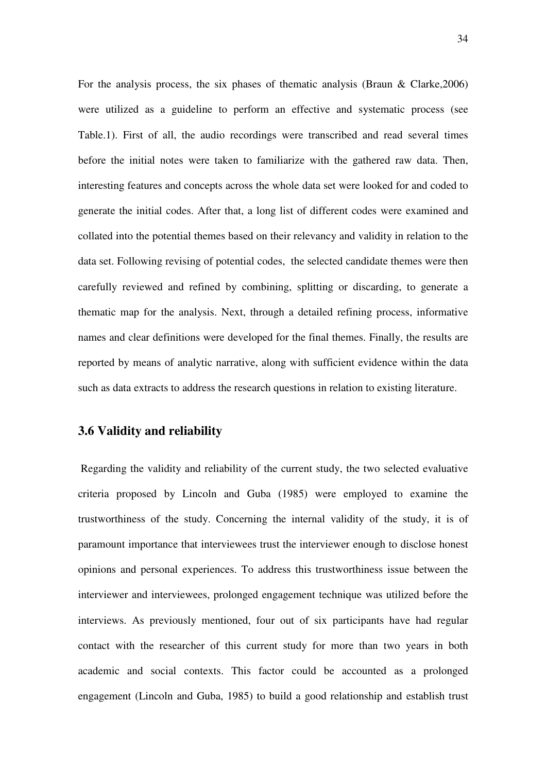For the analysis process, the six phases of thematic analysis (Braun & Clarke,2006) were utilized as a guideline to perform an effective and systematic process (see Table.1). First of all, the audio recordings were transcribed and read several times before the initial notes were taken to familiarize with the gathered raw data. Then, interesting features and concepts across the whole data set were looked for and coded to generate the initial codes. After that, a long list of different codes were examined and collated into the potential themes based on their relevancy and validity in relation to the data set. Following revising of potential codes, the selected candidate themes were then carefully reviewed and refined by combining, splitting or discarding, to generate a thematic map for the analysis. Next, through a detailed refining process, informative names and clear definitions were developed for the final themes. Finally, the results are reported by means of analytic narrative, along with sufficient evidence within the data such as data extracts to address the research questions in relation to existing literature.

### **3.6 Validity and reliability**

 Regarding the validity and reliability of the current study, the two selected evaluative criteria proposed by Lincoln and Guba (1985) were employed to examine the trustworthiness of the study. Concerning the internal validity of the study, it is of paramount importance that interviewees trust the interviewer enough to disclose honest opinions and personal experiences. To address this trustworthiness issue between the interviewer and interviewees, prolonged engagement technique was utilized before the interviews. As previously mentioned, four out of six participants have had regular contact with the researcher of this current study for more than two years in both academic and social contexts. This factor could be accounted as a prolonged engagement (Lincoln and Guba, 1985) to build a good relationship and establish trust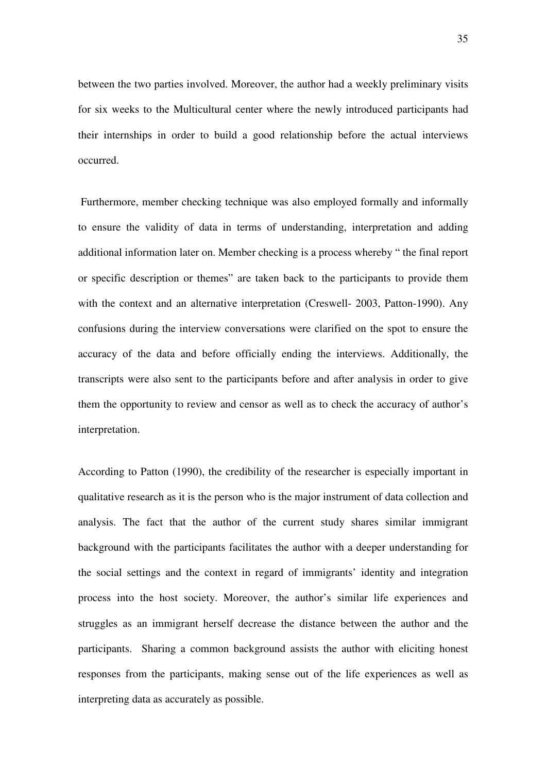between the two parties involved. Moreover, the author had a weekly preliminary visits for six weeks to the Multicultural center where the newly introduced participants had their internships in order to build a good relationship before the actual interviews occurred.

 Furthermore, member checking technique was also employed formally and informally to ensure the validity of data in terms of understanding, interpretation and adding additional information later on. Member checking is a process whereby " the final report or specific description or themes" are taken back to the participants to provide them with the context and an alternative interpretation (Creswell- 2003, Patton-1990). Any confusions during the interview conversations were clarified on the spot to ensure the accuracy of the data and before officially ending the interviews. Additionally, the transcripts were also sent to the participants before and after analysis in order to give them the opportunity to review and censor as well as to check the accuracy of author's interpretation.

According to Patton (1990), the credibility of the researcher is especially important in qualitative research as it is the person who is the major instrument of data collection and analysis. The fact that the author of the current study shares similar immigrant background with the participants facilitates the author with a deeper understanding for the social settings and the context in regard of immigrants' identity and integration process into the host society. Moreover, the author's similar life experiences and struggles as an immigrant herself decrease the distance between the author and the participants. Sharing a common background assists the author with eliciting honest responses from the participants, making sense out of the life experiences as well as interpreting data as accurately as possible.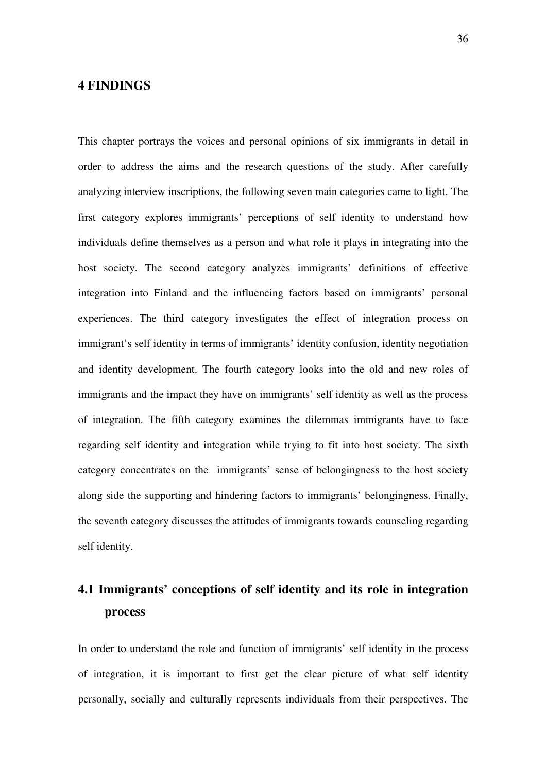# **4 FINDINGS**

This chapter portrays the voices and personal opinions of six immigrants in detail in order to address the aims and the research questions of the study. After carefully analyzing interview inscriptions, the following seven main categories came to light. The first category explores immigrants' perceptions of self identity to understand how individuals define themselves as a person and what role it plays in integrating into the host society. The second category analyzes immigrants' definitions of effective integration into Finland and the influencing factors based on immigrants' personal experiences. The third category investigates the effect of integration process on immigrant's self identity in terms of immigrants' identity confusion, identity negotiation and identity development. The fourth category looks into the old and new roles of immigrants and the impact they have on immigrants' self identity as well as the process of integration. The fifth category examines the dilemmas immigrants have to face regarding self identity and integration while trying to fit into host society. The sixth category concentrates on the immigrants' sense of belongingness to the host society along side the supporting and hindering factors to immigrants' belongingness. Finally, the seventh category discusses the attitudes of immigrants towards counseling regarding self identity.

# **4.1 Immigrants' conceptions of self identity and its role in integration process**

In order to understand the role and function of immigrants' self identity in the process of integration, it is important to first get the clear picture of what self identity personally, socially and culturally represents individuals from their perspectives. The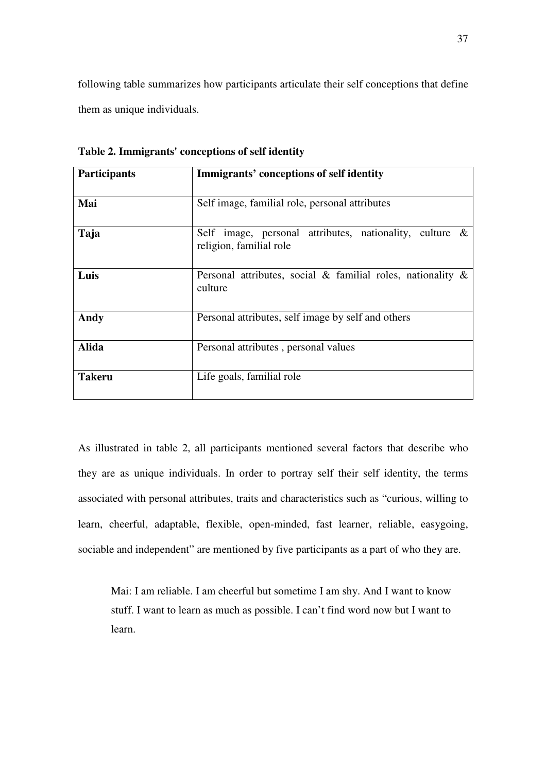following table summarizes how participants articulate their self conceptions that define them as unique individuals.

| <b>Participants</b> | Immigrants' conceptions of self identity                                              |  |  |  |
|---------------------|---------------------------------------------------------------------------------------|--|--|--|
| Mai                 | Self image, familial role, personal attributes                                        |  |  |  |
| Taja                | Self image, personal attributes, nationality, culture $\&$<br>religion, familial role |  |  |  |
| Luis                | Personal attributes, social & familial roles, nationality $\&$<br>culture             |  |  |  |
| Andy                | Personal attributes, self image by self and others                                    |  |  |  |
| <b>Alida</b>        | Personal attributes, personal values                                                  |  |  |  |
| <b>Takeru</b>       | Life goals, familial role                                                             |  |  |  |

**Table 2. Immigrants' conceptions of self identity** 

As illustrated in table 2, all participants mentioned several factors that describe who they are as unique individuals. In order to portray self their self identity, the terms associated with personal attributes, traits and characteristics such as "curious, willing to learn, cheerful, adaptable, flexible, open-minded, fast learner, reliable, easygoing, sociable and independent" are mentioned by five participants as a part of who they are.

Mai: I am reliable. I am cheerful but sometime I am shy. And I want to know stuff. I want to learn as much as possible. I can't find word now but I want to learn.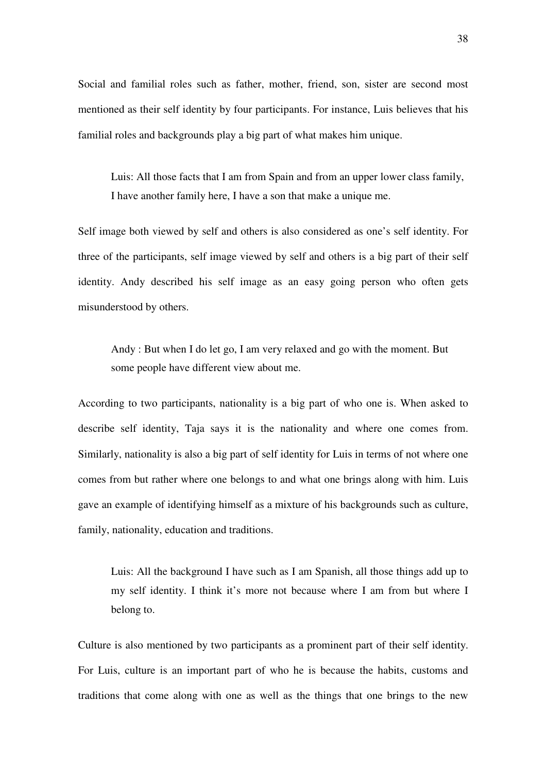Social and familial roles such as father, mother, friend, son, sister are second most mentioned as their self identity by four participants. For instance, Luis believes that his familial roles and backgrounds play a big part of what makes him unique.

Luis: All those facts that I am from Spain and from an upper lower class family, I have another family here, I have a son that make a unique me.

Self image both viewed by self and others is also considered as one's self identity. For three of the participants, self image viewed by self and others is a big part of their self identity. Andy described his self image as an easy going person who often gets misunderstood by others.

Andy : But when I do let go, I am very relaxed and go with the moment. But some people have different view about me.

According to two participants, nationality is a big part of who one is. When asked to describe self identity, Taja says it is the nationality and where one comes from. Similarly, nationality is also a big part of self identity for Luis in terms of not where one comes from but rather where one belongs to and what one brings along with him. Luis gave an example of identifying himself as a mixture of his backgrounds such as culture, family, nationality, education and traditions.

Luis: All the background I have such as I am Spanish, all those things add up to my self identity. I think it's more not because where I am from but where I belong to.

Culture is also mentioned by two participants as a prominent part of their self identity. For Luis, culture is an important part of who he is because the habits, customs and traditions that come along with one as well as the things that one brings to the new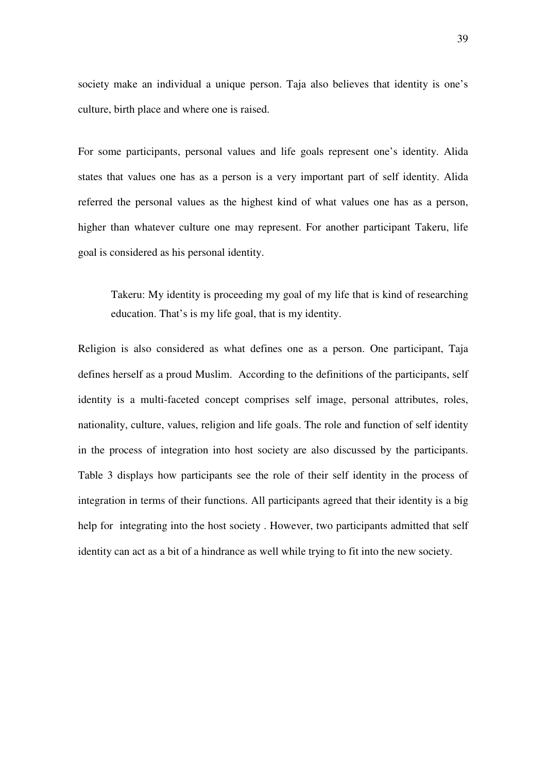society make an individual a unique person. Taja also believes that identity is one's culture, birth place and where one is raised.

For some participants, personal values and life goals represent one's identity. Alida states that values one has as a person is a very important part of self identity. Alida referred the personal values as the highest kind of what values one has as a person, higher than whatever culture one may represent. For another participant Takeru, life goal is considered as his personal identity.

Takeru: My identity is proceeding my goal of my life that is kind of researching education. That's is my life goal, that is my identity.

Religion is also considered as what defines one as a person. One participant, Taja defines herself as a proud Muslim. According to the definitions of the participants, self identity is a multi-faceted concept comprises self image, personal attributes, roles, nationality, culture, values, religion and life goals. The role and function of self identity in the process of integration into host society are also discussed by the participants. Table 3 displays how participants see the role of their self identity in the process of integration in terms of their functions. All participants agreed that their identity is a big help for integrating into the host society . However, two participants admitted that self identity can act as a bit of a hindrance as well while trying to fit into the new society.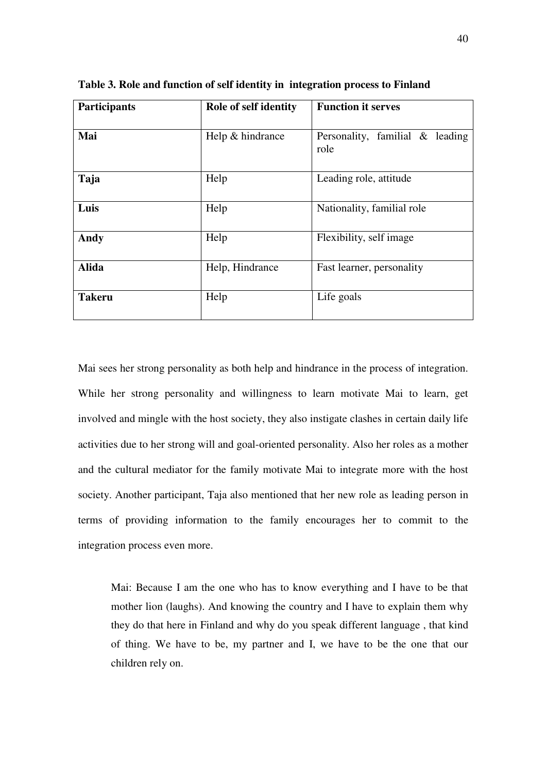| Participants  | Role of self identity | <b>Function it serves</b>               |  |  |
|---------------|-----------------------|-----------------------------------------|--|--|
| Mai           | Help & hindrance      | Personality, familial & leading<br>role |  |  |
| Taja          | Help                  | Leading role, attitude                  |  |  |
| Luis          | Help                  | Nationality, familial role              |  |  |
| Andy          | Help                  | Flexibility, self image                 |  |  |
| <b>Alida</b>  | Help, Hindrance       | Fast learner, personality               |  |  |
| <b>Takeru</b> | Help                  | Life goals                              |  |  |

**Table 3. Role and function of self identity in integration process to Finland** 

Mai sees her strong personality as both help and hindrance in the process of integration. While her strong personality and willingness to learn motivate Mai to learn, get involved and mingle with the host society, they also instigate clashes in certain daily life activities due to her strong will and goal-oriented personality. Also her roles as a mother and the cultural mediator for the family motivate Mai to integrate more with the host society. Another participant, Taja also mentioned that her new role as leading person in terms of providing information to the family encourages her to commit to the integration process even more.

Mai: Because I am the one who has to know everything and I have to be that mother lion (laughs). And knowing the country and I have to explain them why they do that here in Finland and why do you speak different language , that kind of thing. We have to be, my partner and I, we have to be the one that our children rely on.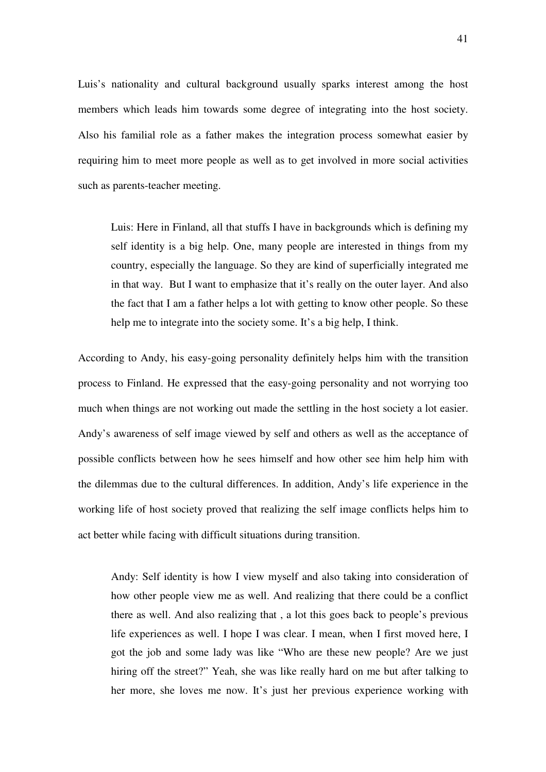Luis's nationality and cultural background usually sparks interest among the host members which leads him towards some degree of integrating into the host society. Also his familial role as a father makes the integration process somewhat easier by requiring him to meet more people as well as to get involved in more social activities such as parents-teacher meeting.

Luis: Here in Finland, all that stuffs I have in backgrounds which is defining my self identity is a big help. One, many people are interested in things from my country, especially the language. So they are kind of superficially integrated me in that way. But I want to emphasize that it's really on the outer layer. And also the fact that I am a father helps a lot with getting to know other people. So these help me to integrate into the society some. It's a big help, I think.

According to Andy, his easy-going personality definitely helps him with the transition process to Finland. He expressed that the easy-going personality and not worrying too much when things are not working out made the settling in the host society a lot easier. Andy's awareness of self image viewed by self and others as well as the acceptance of possible conflicts between how he sees himself and how other see him help him with the dilemmas due to the cultural differences. In addition, Andy's life experience in the working life of host society proved that realizing the self image conflicts helps him to act better while facing with difficult situations during transition.

Andy: Self identity is how I view myself and also taking into consideration of how other people view me as well. And realizing that there could be a conflict there as well. And also realizing that , a lot this goes back to people's previous life experiences as well. I hope I was clear. I mean, when I first moved here, I got the job and some lady was like "Who are these new people? Are we just hiring off the street?" Yeah, she was like really hard on me but after talking to her more, she loves me now. It's just her previous experience working with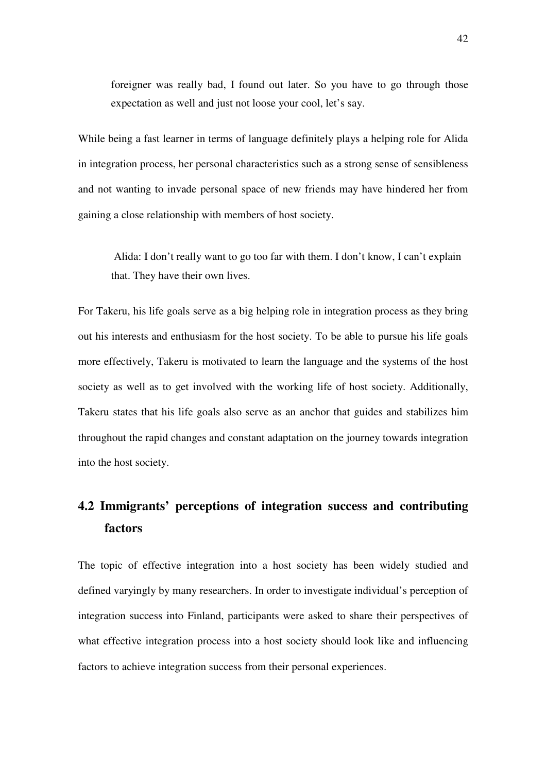foreigner was really bad, I found out later. So you have to go through those expectation as well and just not loose your cool, let's say.

While being a fast learner in terms of language definitely plays a helping role for Alida in integration process, her personal characteristics such as a strong sense of sensibleness and not wanting to invade personal space of new friends may have hindered her from gaining a close relationship with members of host society.

 Alida: I don't really want to go too far with them. I don't know, I can't explain that. They have their own lives.

For Takeru, his life goals serve as a big helping role in integration process as they bring out his interests and enthusiasm for the host society. To be able to pursue his life goals more effectively, Takeru is motivated to learn the language and the systems of the host society as well as to get involved with the working life of host society. Additionally, Takeru states that his life goals also serve as an anchor that guides and stabilizes him throughout the rapid changes and constant adaptation on the journey towards integration into the host society.

# **4.2 Immigrants' perceptions of integration success and contributing factors**

The topic of effective integration into a host society has been widely studied and defined varyingly by many researchers. In order to investigate individual's perception of integration success into Finland, participants were asked to share their perspectives of what effective integration process into a host society should look like and influencing factors to achieve integration success from their personal experiences.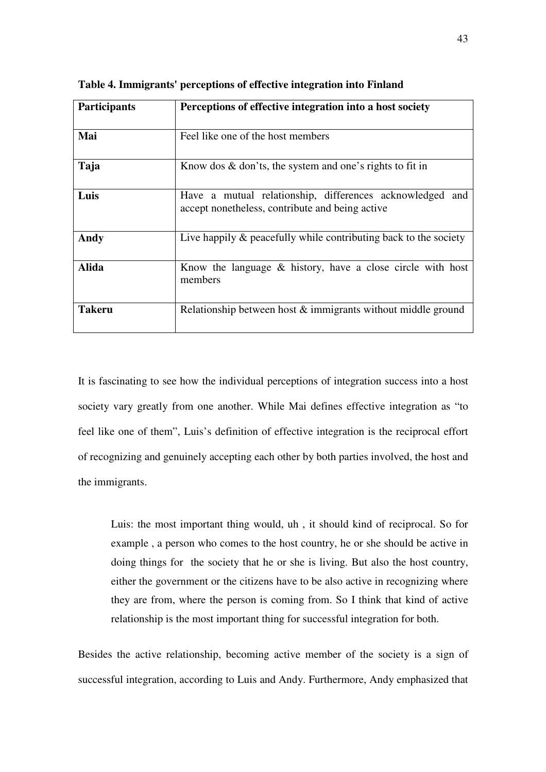| <b>Participants</b> | Perceptions of effective integration into a host society                                                    |  |  |  |
|---------------------|-------------------------------------------------------------------------------------------------------------|--|--|--|
| Mai                 | Feel like one of the host members                                                                           |  |  |  |
| Taja                | Know dos $\&$ don'ts, the system and one's rights to fit in                                                 |  |  |  |
| Luis                | Have a mutual relationship, differences acknowledged and<br>accept nonetheless, contribute and being active |  |  |  |
| Andy                | Live happily $\&$ peacefully while contributing back to the society                                         |  |  |  |
| <b>Alida</b>        | Know the language $\&$ history, have a close circle with host<br>members                                    |  |  |  |
| Takeru              | Relationship between host & immigrants without middle ground                                                |  |  |  |

**Table 4. Immigrants' perceptions of effective integration into Finland** 

It is fascinating to see how the individual perceptions of integration success into a host society vary greatly from one another. While Mai defines effective integration as "to feel like one of them", Luis's definition of effective integration is the reciprocal effort of recognizing and genuinely accepting each other by both parties involved, the host and the immigrants.

Luis: the most important thing would, uh , it should kind of reciprocal. So for example , a person who comes to the host country, he or she should be active in doing things for the society that he or she is living. But also the host country, either the government or the citizens have to be also active in recognizing where they are from, where the person is coming from. So I think that kind of active relationship is the most important thing for successful integration for both.

Besides the active relationship, becoming active member of the society is a sign of successful integration, according to Luis and Andy. Furthermore, Andy emphasized that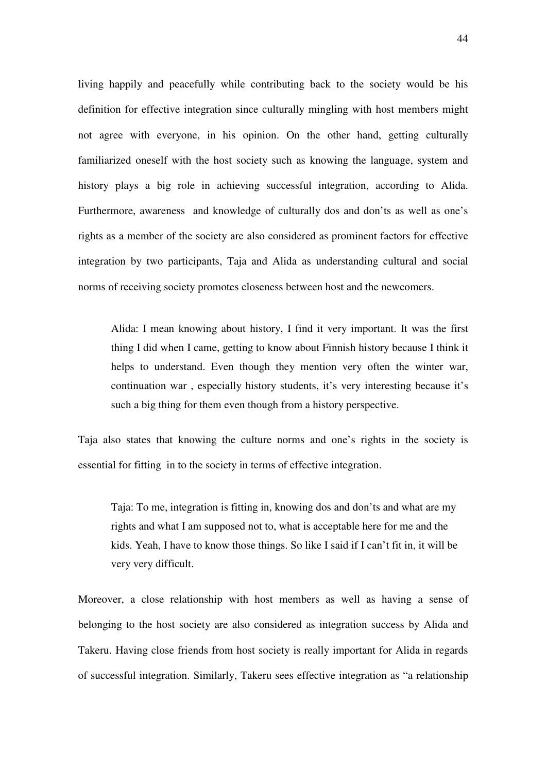living happily and peacefully while contributing back to the society would be his definition for effective integration since culturally mingling with host members might not agree with everyone, in his opinion. On the other hand, getting culturally familiarized oneself with the host society such as knowing the language, system and history plays a big role in achieving successful integration, according to Alida. Furthermore, awareness and knowledge of culturally dos and don'ts as well as one's rights as a member of the society are also considered as prominent factors for effective integration by two participants, Taja and Alida as understanding cultural and social norms of receiving society promotes closeness between host and the newcomers.

Alida: I mean knowing about history, I find it very important. It was the first thing I did when I came, getting to know about Finnish history because I think it helps to understand. Even though they mention very often the winter war, continuation war , especially history students, it's very interesting because it's such a big thing for them even though from a history perspective.

Taja also states that knowing the culture norms and one's rights in the society is essential for fitting in to the society in terms of effective integration.

Taja: To me, integration is fitting in, knowing dos and don'ts and what are my rights and what I am supposed not to, what is acceptable here for me and the kids. Yeah, I have to know those things. So like I said if I can't fit in, it will be very very difficult.

Moreover, a close relationship with host members as well as having a sense of belonging to the host society are also considered as integration success by Alida and Takeru. Having close friends from host society is really important for Alida in regards of successful integration. Similarly, Takeru sees effective integration as "a relationship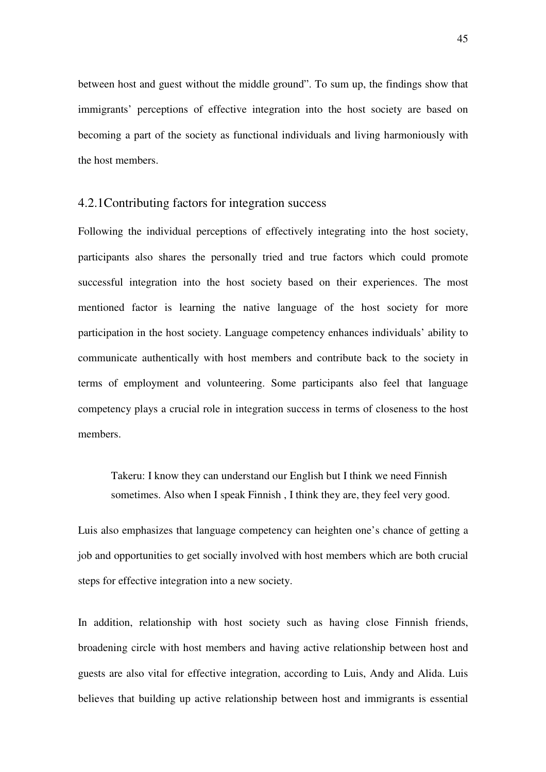between host and guest without the middle ground". To sum up, the findings show that immigrants' perceptions of effective integration into the host society are based on becoming a part of the society as functional individuals and living harmoniously with the host members.

#### 4.2.1Contributing factors for integration success

Following the individual perceptions of effectively integrating into the host society, participants also shares the personally tried and true factors which could promote successful integration into the host society based on their experiences. The most mentioned factor is learning the native language of the host society for more participation in the host society. Language competency enhances individuals' ability to communicate authentically with host members and contribute back to the society in terms of employment and volunteering. Some participants also feel that language competency plays a crucial role in integration success in terms of closeness to the host members.

Takeru: I know they can understand our English but I think we need Finnish sometimes. Also when I speak Finnish , I think they are, they feel very good.

Luis also emphasizes that language competency can heighten one's chance of getting a job and opportunities to get socially involved with host members which are both crucial steps for effective integration into a new society.

In addition, relationship with host society such as having close Finnish friends, broadening circle with host members and having active relationship between host and guests are also vital for effective integration, according to Luis, Andy and Alida. Luis believes that building up active relationship between host and immigrants is essential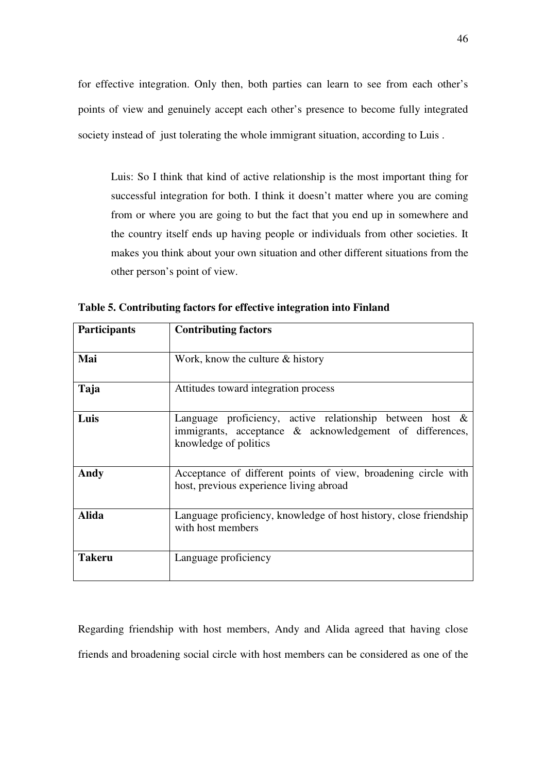for effective integration. Only then, both parties can learn to see from each other's points of view and genuinely accept each other's presence to become fully integrated society instead of just tolerating the whole immigrant situation, according to Luis .

Luis: So I think that kind of active relationship is the most important thing for successful integration for both. I think it doesn't matter where you are coming from or where you are going to but the fact that you end up in somewhere and the country itself ends up having people or individuals from other societies. It makes you think about your own situation and other different situations from the other person's point of view.

| <b>Participants</b> | <b>Contributing factors</b>                                                                                                                      |
|---------------------|--------------------------------------------------------------------------------------------------------------------------------------------------|
| Mai                 | Work, know the culture $\&$ history                                                                                                              |
| Taja                | Attitudes toward integration process                                                                                                             |
| Luis                | Language proficiency, active relationship between host $\&$<br>immigrants, acceptance & acknowledgement of differences,<br>knowledge of politics |
| Andy                | Acceptance of different points of view, broadening circle with<br>host, previous experience living abroad                                        |
| <b>Alida</b>        | Language proficiency, knowledge of host history, close friendship<br>with host members                                                           |
| <b>Takeru</b>       | Language proficiency                                                                                                                             |

**Table 5. Contributing factors for effective integration into Finland** 

Regarding friendship with host members, Andy and Alida agreed that having close friends and broadening social circle with host members can be considered as one of the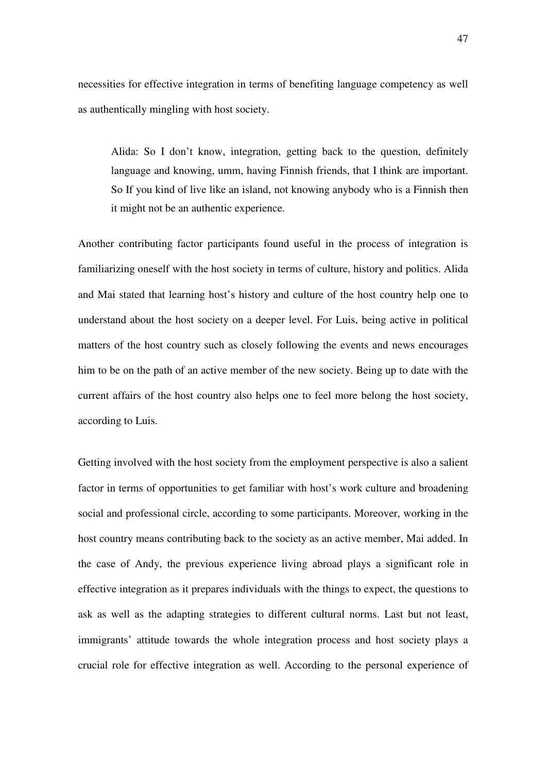necessities for effective integration in terms of benefiting language competency as well as authentically mingling with host society.

Alida: So I don't know, integration, getting back to the question, definitely language and knowing, umm, having Finnish friends, that I think are important. So If you kind of live like an island, not knowing anybody who is a Finnish then it might not be an authentic experience.

Another contributing factor participants found useful in the process of integration is familiarizing oneself with the host society in terms of culture, history and politics. Alida and Mai stated that learning host's history and culture of the host country help one to understand about the host society on a deeper level. For Luis, being active in political matters of the host country such as closely following the events and news encourages him to be on the path of an active member of the new society. Being up to date with the current affairs of the host country also helps one to feel more belong the host society, according to Luis.

Getting involved with the host society from the employment perspective is also a salient factor in terms of opportunities to get familiar with host's work culture and broadening social and professional circle, according to some participants. Moreover, working in the host country means contributing back to the society as an active member, Mai added. In the case of Andy, the previous experience living abroad plays a significant role in effective integration as it prepares individuals with the things to expect, the questions to ask as well as the adapting strategies to different cultural norms. Last but not least, immigrants' attitude towards the whole integration process and host society plays a crucial role for effective integration as well. According to the personal experience of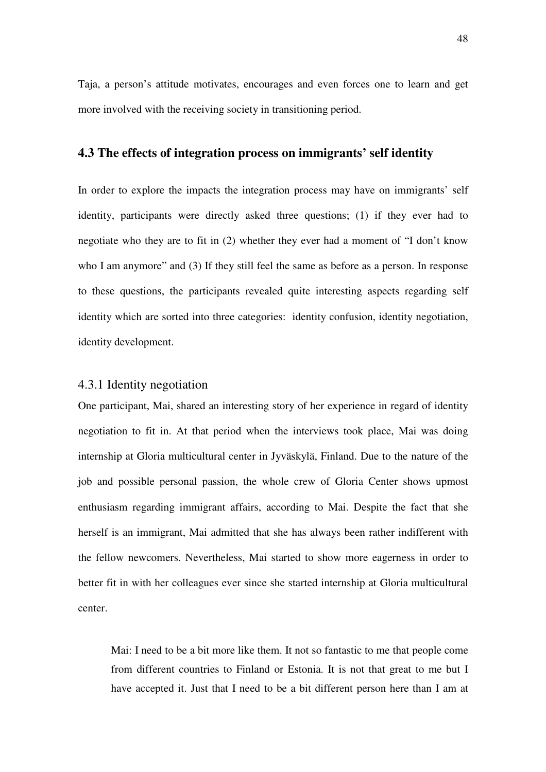Taja, a person's attitude motivates, encourages and even forces one to learn and get more involved with the receiving society in transitioning period.

#### **4.3 The effects of integration process on immigrants' self identity**

In order to explore the impacts the integration process may have on immigrants' self identity, participants were directly asked three questions; (1) if they ever had to negotiate who they are to fit in (2) whether they ever had a moment of "I don't know who I am anymore" and (3) If they still feel the same as before as a person. In response to these questions, the participants revealed quite interesting aspects regarding self identity which are sorted into three categories: identity confusion, identity negotiation, identity development.

#### 4.3.1 Identity negotiation

One participant, Mai, shared an interesting story of her experience in regard of identity negotiation to fit in. At that period when the interviews took place, Mai was doing internship at Gloria multicultural center in Jyväskylä, Finland. Due to the nature of the job and possible personal passion, the whole crew of Gloria Center shows upmost enthusiasm regarding immigrant affairs, according to Mai. Despite the fact that she herself is an immigrant, Mai admitted that she has always been rather indifferent with the fellow newcomers. Nevertheless, Mai started to show more eagerness in order to better fit in with her colleagues ever since she started internship at Gloria multicultural center.

Mai: I need to be a bit more like them. It not so fantastic to me that people come from different countries to Finland or Estonia. It is not that great to me but I have accepted it. Just that I need to be a bit different person here than I am at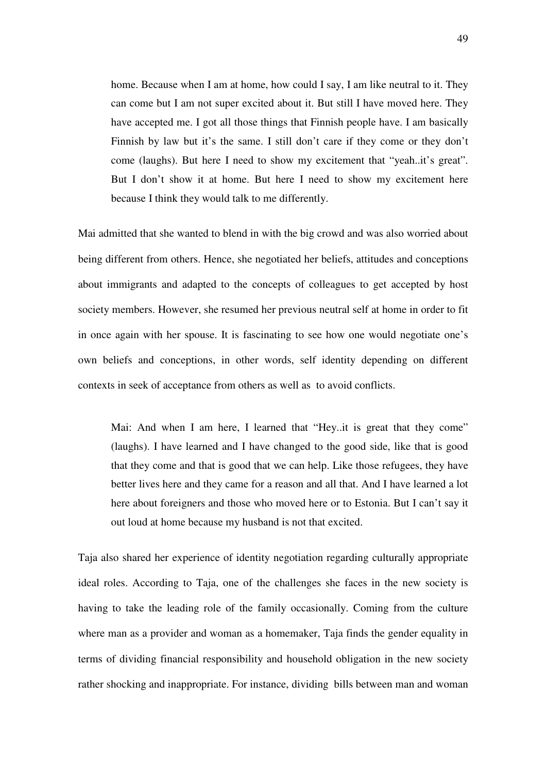home. Because when I am at home, how could I say, I am like neutral to it. They can come but I am not super excited about it. But still I have moved here. They have accepted me. I got all those things that Finnish people have. I am basically Finnish by law but it's the same. I still don't care if they come or they don't come (laughs). But here I need to show my excitement that "yeah..it's great". But I don't show it at home. But here I need to show my excitement here because I think they would talk to me differently.

Mai admitted that she wanted to blend in with the big crowd and was also worried about being different from others. Hence, she negotiated her beliefs, attitudes and conceptions about immigrants and adapted to the concepts of colleagues to get accepted by host society members. However, she resumed her previous neutral self at home in order to fit in once again with her spouse. It is fascinating to see how one would negotiate one's own beliefs and conceptions, in other words, self identity depending on different contexts in seek of acceptance from others as well as to avoid conflicts.

Mai: And when I am here, I learned that "Hey..it is great that they come" (laughs). I have learned and I have changed to the good side, like that is good that they come and that is good that we can help. Like those refugees, they have better lives here and they came for a reason and all that. And I have learned a lot here about foreigners and those who moved here or to Estonia. But I can't say it out loud at home because my husband is not that excited.

Taja also shared her experience of identity negotiation regarding culturally appropriate ideal roles. According to Taja, one of the challenges she faces in the new society is having to take the leading role of the family occasionally. Coming from the culture where man as a provider and woman as a homemaker, Taja finds the gender equality in terms of dividing financial responsibility and household obligation in the new society rather shocking and inappropriate. For instance, dividing bills between man and woman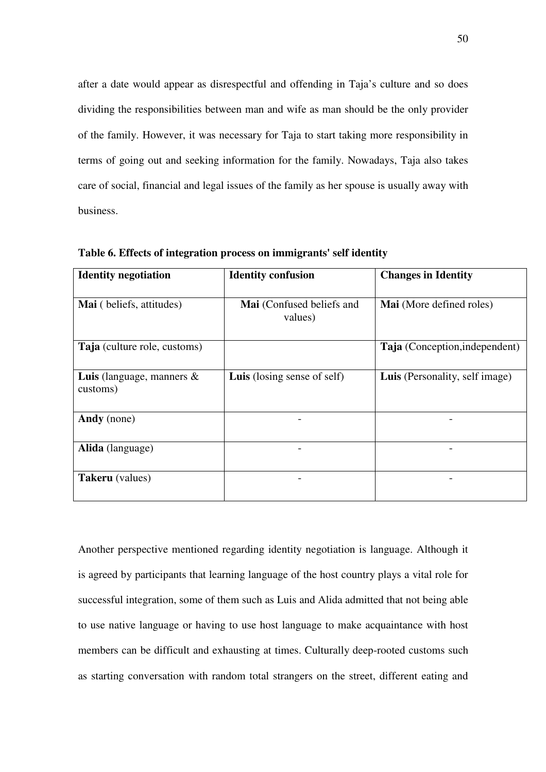after a date would appear as disrespectful and offending in Taja's culture and so does dividing the responsibilities between man and wife as man should be the only provider of the family. However, it was necessary for Taja to start taking more responsibility in terms of going out and seeking information for the family. Nowadays, Taja also takes care of social, financial and legal issues of the family as her spouse is usually away with business.

| <b>Identity negotiation</b>                     | <b>Identity confusion</b>            | <b>Changes in Identity</b>     |  |
|-------------------------------------------------|--------------------------------------|--------------------------------|--|
| Mai (beliefs, attitudes)                        | Mai (Confused beliefs and<br>values) | Mai (More defined roles)       |  |
| Taja (culture role, customs)                    |                                      | Taja (Conception, independent) |  |
| <b>Luis</b> (language, manners $\&$<br>customs) | <b>Luis</b> (losing sense of self)   | Luis (Personality, self image) |  |
| Andy (none)                                     |                                      |                                |  |
| Alida (language)                                |                                      |                                |  |
| <b>Takeru</b> (values)                          |                                      |                                |  |

**Table 6. Effects of integration process on immigrants' self identity** 

Another perspective mentioned regarding identity negotiation is language. Although it is agreed by participants that learning language of the host country plays a vital role for successful integration, some of them such as Luis and Alida admitted that not being able to use native language or having to use host language to make acquaintance with host members can be difficult and exhausting at times. Culturally deep-rooted customs such as starting conversation with random total strangers on the street, different eating and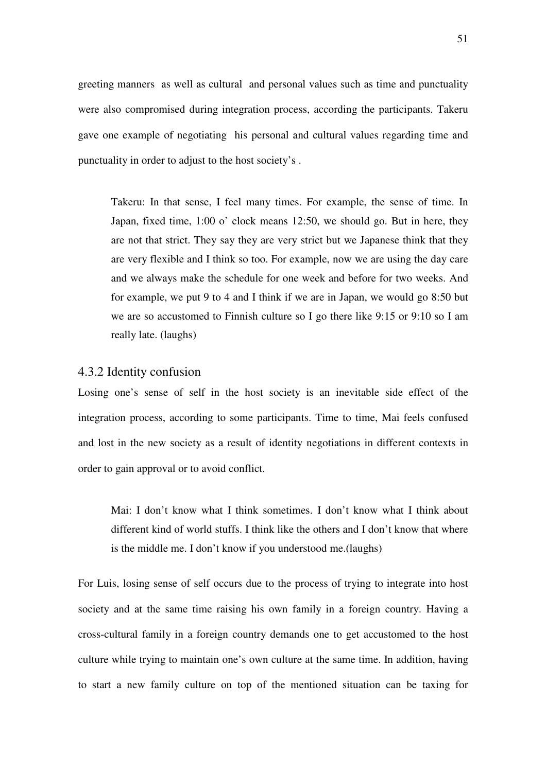greeting manners as well as cultural and personal values such as time and punctuality were also compromised during integration process, according the participants. Takeru gave one example of negotiating his personal and cultural values regarding time and punctuality in order to adjust to the host society's .

Takeru: In that sense, I feel many times. For example, the sense of time. In Japan, fixed time, 1:00 o' clock means 12:50, we should go. But in here, they are not that strict. They say they are very strict but we Japanese think that they are very flexible and I think so too. For example, now we are using the day care and we always make the schedule for one week and before for two weeks. And for example, we put 9 to 4 and I think if we are in Japan, we would go 8:50 but we are so accustomed to Finnish culture so I go there like 9:15 or 9:10 so I am really late. (laughs)

#### 4.3.2 Identity confusion

Losing one's sense of self in the host society is an inevitable side effect of the integration process, according to some participants. Time to time, Mai feels confused and lost in the new society as a result of identity negotiations in different contexts in order to gain approval or to avoid conflict.

Mai: I don't know what I think sometimes. I don't know what I think about different kind of world stuffs. I think like the others and I don't know that where is the middle me. I don't know if you understood me.(laughs)

For Luis, losing sense of self occurs due to the process of trying to integrate into host society and at the same time raising his own family in a foreign country. Having a cross-cultural family in a foreign country demands one to get accustomed to the host culture while trying to maintain one's own culture at the same time. In addition, having to start a new family culture on top of the mentioned situation can be taxing for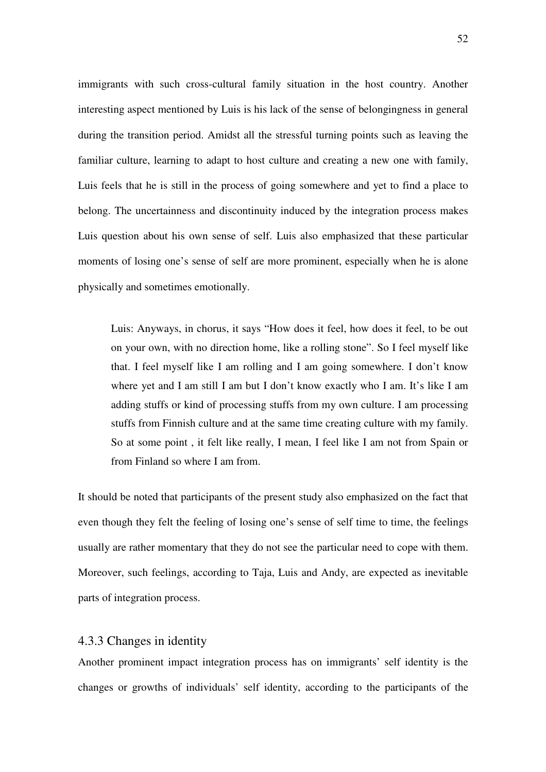immigrants with such cross-cultural family situation in the host country. Another interesting aspect mentioned by Luis is his lack of the sense of belongingness in general during the transition period. Amidst all the stressful turning points such as leaving the familiar culture, learning to adapt to host culture and creating a new one with family, Luis feels that he is still in the process of going somewhere and yet to find a place to belong. The uncertainness and discontinuity induced by the integration process makes Luis question about his own sense of self. Luis also emphasized that these particular moments of losing one's sense of self are more prominent, especially when he is alone physically and sometimes emotionally.

Luis: Anyways, in chorus, it says "How does it feel, how does it feel, to be out on your own, with no direction home, like a rolling stone". So I feel myself like that. I feel myself like I am rolling and I am going somewhere. I don't know where yet and I am still I am but I don't know exactly who I am. It's like I am adding stuffs or kind of processing stuffs from my own culture. I am processing stuffs from Finnish culture and at the same time creating culture with my family. So at some point , it felt like really, I mean, I feel like I am not from Spain or from Finland so where I am from.

It should be noted that participants of the present study also emphasized on the fact that even though they felt the feeling of losing one's sense of self time to time, the feelings usually are rather momentary that they do not see the particular need to cope with them. Moreover, such feelings, according to Taja, Luis and Andy, are expected as inevitable parts of integration process.

#### 4.3.3 Changes in identity

Another prominent impact integration process has on immigrants' self identity is the changes or growths of individuals' self identity, according to the participants of the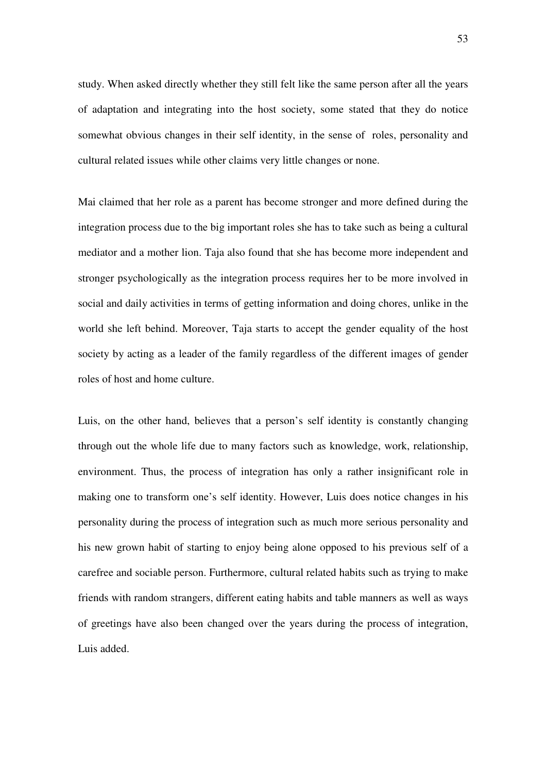study. When asked directly whether they still felt like the same person after all the years of adaptation and integrating into the host society, some stated that they do notice somewhat obvious changes in their self identity, in the sense of roles, personality and cultural related issues while other claims very little changes or none.

Mai claimed that her role as a parent has become stronger and more defined during the integration process due to the big important roles she has to take such as being a cultural mediator and a mother lion. Taja also found that she has become more independent and stronger psychologically as the integration process requires her to be more involved in social and daily activities in terms of getting information and doing chores, unlike in the world she left behind. Moreover, Taja starts to accept the gender equality of the host society by acting as a leader of the family regardless of the different images of gender roles of host and home culture.

Luis, on the other hand, believes that a person's self identity is constantly changing through out the whole life due to many factors such as knowledge, work, relationship, environment. Thus, the process of integration has only a rather insignificant role in making one to transform one's self identity. However, Luis does notice changes in his personality during the process of integration such as much more serious personality and his new grown habit of starting to enjoy being alone opposed to his previous self of a carefree and sociable person. Furthermore, cultural related habits such as trying to make friends with random strangers, different eating habits and table manners as well as ways of greetings have also been changed over the years during the process of integration, Luis added.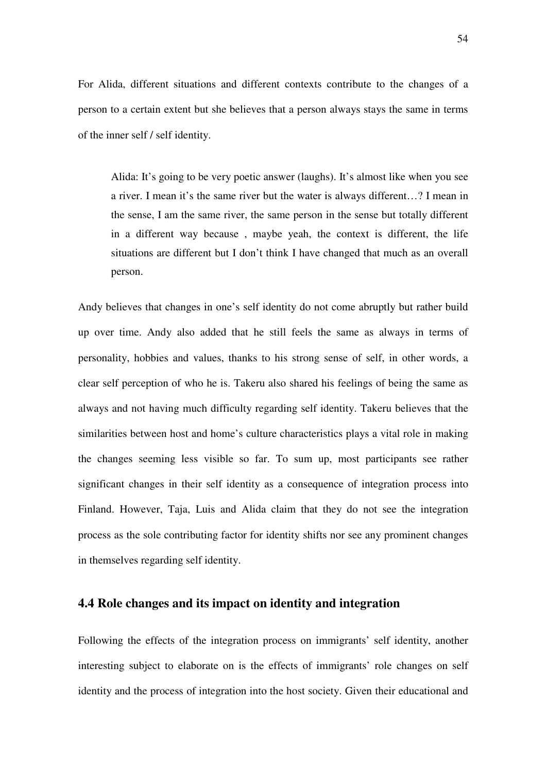For Alida, different situations and different contexts contribute to the changes of a person to a certain extent but she believes that a person always stays the same in terms of the inner self / self identity.

Alida: It's going to be very poetic answer (laughs). It's almost like when you see a river. I mean it's the same river but the water is always different…? I mean in the sense, I am the same river, the same person in the sense but totally different in a different way because , maybe yeah, the context is different, the life situations are different but I don't think I have changed that much as an overall person.

Andy believes that changes in one's self identity do not come abruptly but rather build up over time. Andy also added that he still feels the same as always in terms of personality, hobbies and values, thanks to his strong sense of self, in other words, a clear self perception of who he is. Takeru also shared his feelings of being the same as always and not having much difficulty regarding self identity. Takeru believes that the similarities between host and home's culture characteristics plays a vital role in making the changes seeming less visible so far. To sum up, most participants see rather significant changes in their self identity as a consequence of integration process into Finland. However, Taja, Luis and Alida claim that they do not see the integration process as the sole contributing factor for identity shifts nor see any prominent changes in themselves regarding self identity.

# **4.4 Role changes and its impact on identity and integration**

Following the effects of the integration process on immigrants' self identity, another interesting subject to elaborate on is the effects of immigrants' role changes on self identity and the process of integration into the host society. Given their educational and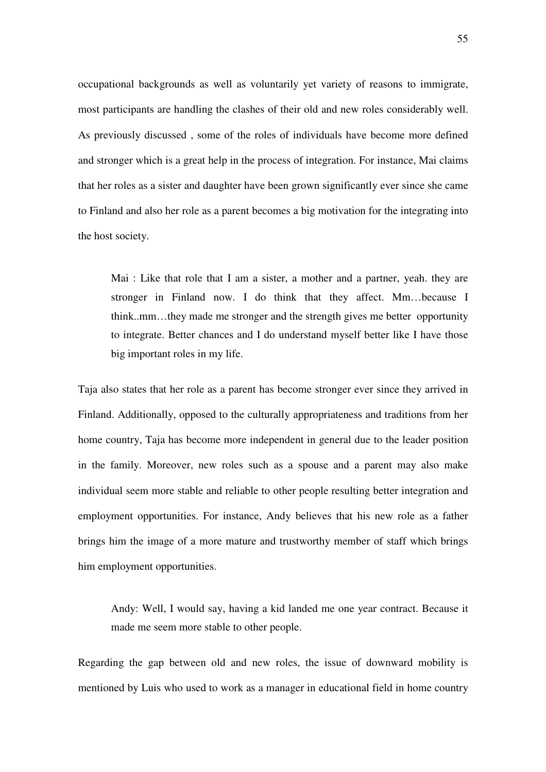occupational backgrounds as well as voluntarily yet variety of reasons to immigrate, most participants are handling the clashes of their old and new roles considerably well. As previously discussed , some of the roles of individuals have become more defined and stronger which is a great help in the process of integration. For instance, Mai claims that her roles as a sister and daughter have been grown significantly ever since she came to Finland and also her role as a parent becomes a big motivation for the integrating into the host society.

Mai : Like that role that I am a sister, a mother and a partner, yeah. they are stronger in Finland now. I do think that they affect. Mm…because I think..mm…they made me stronger and the strength gives me better opportunity to integrate. Better chances and I do understand myself better like I have those big important roles in my life.

Taja also states that her role as a parent has become stronger ever since they arrived in Finland. Additionally, opposed to the culturally appropriateness and traditions from her home country, Taja has become more independent in general due to the leader position in the family. Moreover, new roles such as a spouse and a parent may also make individual seem more stable and reliable to other people resulting better integration and employment opportunities. For instance, Andy believes that his new role as a father brings him the image of a more mature and trustworthy member of staff which brings him employment opportunities.

Andy: Well, I would say, having a kid landed me one year contract. Because it made me seem more stable to other people.

Regarding the gap between old and new roles, the issue of downward mobility is mentioned by Luis who used to work as a manager in educational field in home country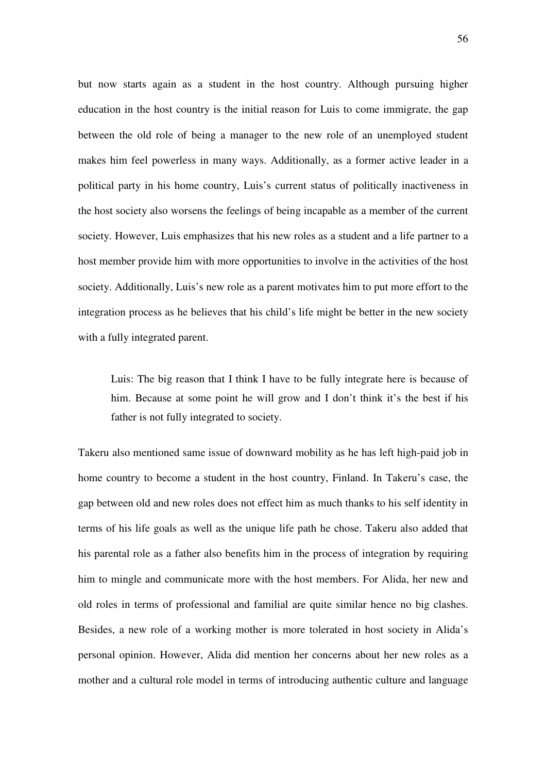but now starts again as a student in the host country. Although pursuing higher education in the host country is the initial reason for Luis to come immigrate, the gap between the old role of being a manager to the new role of an unemployed student makes him feel powerless in many ways. Additionally, as a former active leader in a political party in his home country, Luis's current status of politically inactiveness in the host society also worsens the feelings of being incapable as a member of the current society. However, Luis emphasizes that his new roles as a student and a life partner to a host member provide him with more opportunities to involve in the activities of the host society. Additionally, Luis's new role as a parent motivates him to put more effort to the integration process as he believes that his child's life might be better in the new society with a fully integrated parent.

Luis: The big reason that I think I have to be fully integrate here is because of him. Because at some point he will grow and I don't think it's the best if his father is not fully integrated to society.

Takeru also mentioned same issue of downward mobility as he has left high-paid job in home country to become a student in the host country, Finland. In Takeru's case, the gap between old and new roles does not effect him as much thanks to his self identity in terms of his life goals as well as the unique life path he chose. Takeru also added that his parental role as a father also benefits him in the process of integration by requiring him to mingle and communicate more with the host members. For Alida, her new and old roles in terms of professional and familial are quite similar hence no big clashes. Besides, a new role of a working mother is more tolerated in host society in Alida's personal opinion. However, Alida did mention her concerns about her new roles as a mother and a cultural role model in terms of introducing authentic culture and language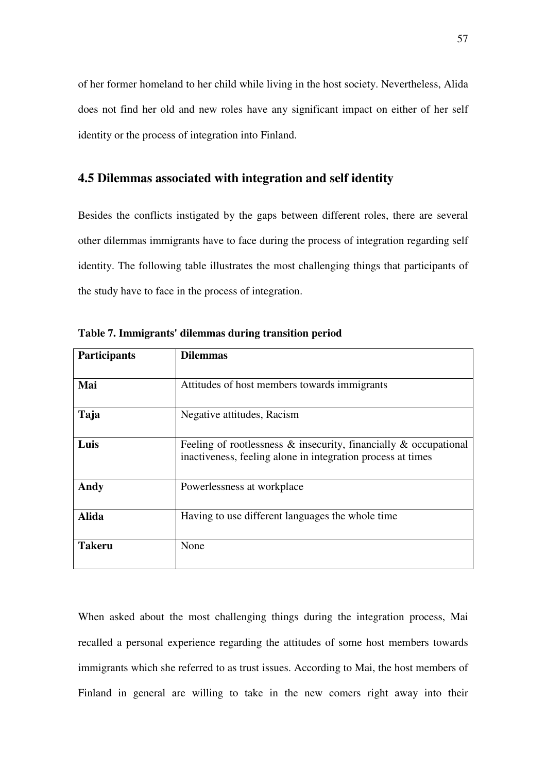of her former homeland to her child while living in the host society. Nevertheless, Alida does not find her old and new roles have any significant impact on either of her self identity or the process of integration into Finland.

# **4.5 Dilemmas associated with integration and self identity**

Besides the conflicts instigated by the gaps between different roles, there are several other dilemmas immigrants have to face during the process of integration regarding self identity. The following table illustrates the most challenging things that participants of the study have to face in the process of integration.

| <b>Participants</b> | <b>Dilemmas</b>                                                                                                                       |  |  |  |
|---------------------|---------------------------------------------------------------------------------------------------------------------------------------|--|--|--|
| Mai                 | Attitudes of host members towards immigrants                                                                                          |  |  |  |
| Taja                | Negative attitudes, Racism                                                                                                            |  |  |  |
| Luis                | Feeling of rootlessness $\&$ insecurity, financially $\&$ occupational<br>inactiveness, feeling alone in integration process at times |  |  |  |
| Andy                | Powerlessness at workplace                                                                                                            |  |  |  |
| <b>Alida</b>        | Having to use different languages the whole time                                                                                      |  |  |  |
| <b>Takeru</b>       | None                                                                                                                                  |  |  |  |

**Table 7. Immigrants' dilemmas during transition period** 

When asked about the most challenging things during the integration process, Mai recalled a personal experience regarding the attitudes of some host members towards immigrants which she referred to as trust issues. According to Mai, the host members of Finland in general are willing to take in the new comers right away into their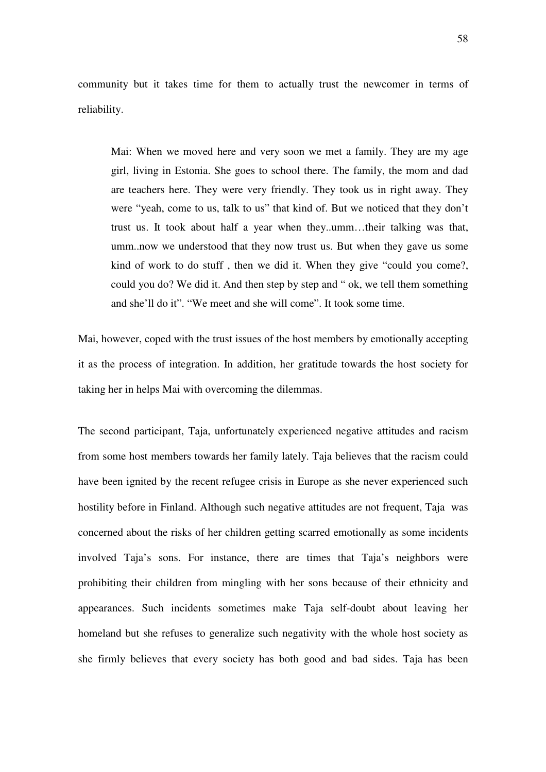community but it takes time for them to actually trust the newcomer in terms of reliability.

Mai: When we moved here and very soon we met a family. They are my age girl, living in Estonia. She goes to school there. The family, the mom and dad are teachers here. They were very friendly. They took us in right away. They were "yeah, come to us, talk to us" that kind of. But we noticed that they don't trust us. It took about half a year when they..umm…their talking was that, umm..now we understood that they now trust us. But when they gave us some kind of work to do stuff , then we did it. When they give "could you come?, could you do? We did it. And then step by step and " ok, we tell them something and she'll do it". "We meet and she will come". It took some time.

Mai, however, coped with the trust issues of the host members by emotionally accepting it as the process of integration. In addition, her gratitude towards the host society for taking her in helps Mai with overcoming the dilemmas.

The second participant, Taja, unfortunately experienced negative attitudes and racism from some host members towards her family lately. Taja believes that the racism could have been ignited by the recent refugee crisis in Europe as she never experienced such hostility before in Finland. Although such negative attitudes are not frequent, Taja was concerned about the risks of her children getting scarred emotionally as some incidents involved Taja's sons. For instance, there are times that Taja's neighbors were prohibiting their children from mingling with her sons because of their ethnicity and appearances. Such incidents sometimes make Taja self-doubt about leaving her homeland but she refuses to generalize such negativity with the whole host society as she firmly believes that every society has both good and bad sides. Taja has been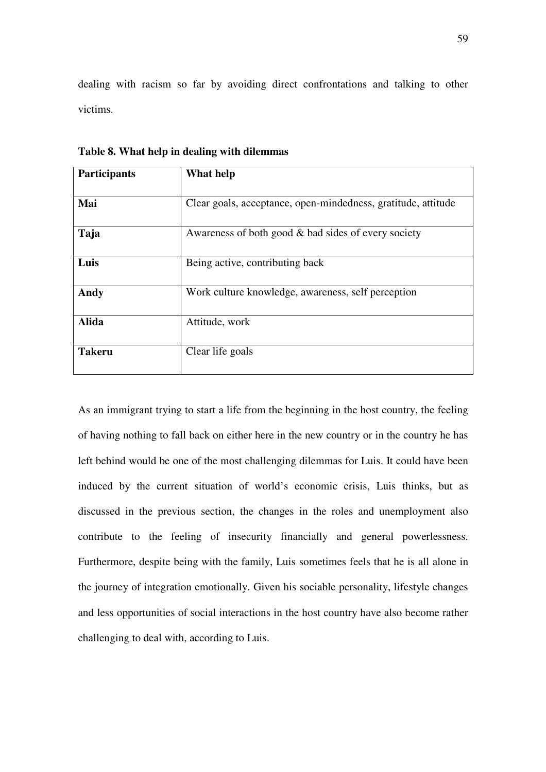dealing with racism so far by avoiding direct confrontations and talking to other victims.

| <b>Participants</b> | What help                                                     |  |  |  |
|---------------------|---------------------------------------------------------------|--|--|--|
|                     |                                                               |  |  |  |
| Mai                 | Clear goals, acceptance, open-mindedness, gratitude, attitude |  |  |  |
| Taja                | Awareness of both good & bad sides of every society           |  |  |  |
| Luis                | Being active, contributing back                               |  |  |  |
| Andy                | Work culture knowledge, awareness, self perception            |  |  |  |
| <b>Alida</b>        | Attitude, work                                                |  |  |  |
| <b>Takeru</b>       | Clear life goals                                              |  |  |  |

**Table 8. What help in dealing with dilemmas** 

As an immigrant trying to start a life from the beginning in the host country, the feeling of having nothing to fall back on either here in the new country or in the country he has left behind would be one of the most challenging dilemmas for Luis. It could have been induced by the current situation of world's economic crisis, Luis thinks, but as discussed in the previous section, the changes in the roles and unemployment also contribute to the feeling of insecurity financially and general powerlessness. Furthermore, despite being with the family, Luis sometimes feels that he is all alone in the journey of integration emotionally. Given his sociable personality, lifestyle changes and less opportunities of social interactions in the host country have also become rather challenging to deal with, according to Luis.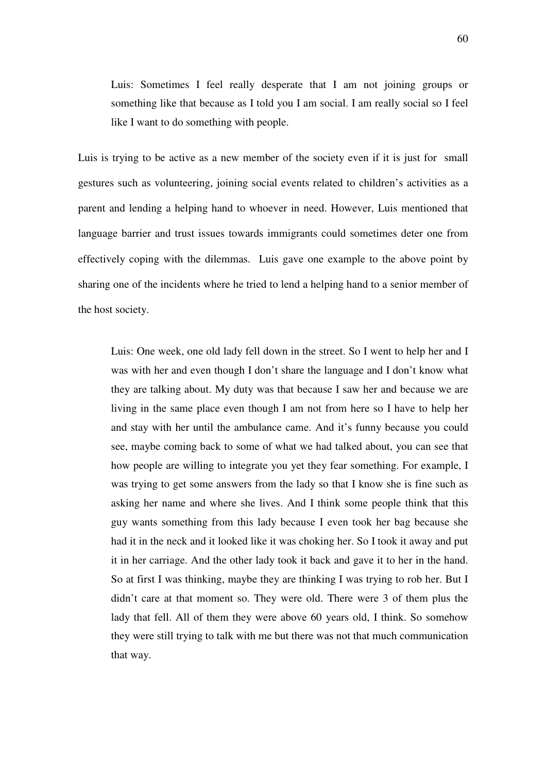Luis: Sometimes I feel really desperate that I am not joining groups or something like that because as I told you I am social. I am really social so I feel like I want to do something with people.

Luis is trying to be active as a new member of the society even if it is just for small gestures such as volunteering, joining social events related to children's activities as a parent and lending a helping hand to whoever in need. However, Luis mentioned that language barrier and trust issues towards immigrants could sometimes deter one from effectively coping with the dilemmas. Luis gave one example to the above point by sharing one of the incidents where he tried to lend a helping hand to a senior member of the host society.

Luis: One week, one old lady fell down in the street. So I went to help her and I was with her and even though I don't share the language and I don't know what they are talking about. My duty was that because I saw her and because we are living in the same place even though I am not from here so I have to help her and stay with her until the ambulance came. And it's funny because you could see, maybe coming back to some of what we had talked about, you can see that how people are willing to integrate you yet they fear something. For example, I was trying to get some answers from the lady so that I know she is fine such as asking her name and where she lives. And I think some people think that this guy wants something from this lady because I even took her bag because she had it in the neck and it looked like it was choking her. So I took it away and put it in her carriage. And the other lady took it back and gave it to her in the hand. So at first I was thinking, maybe they are thinking I was trying to rob her. But I didn't care at that moment so. They were old. There were 3 of them plus the lady that fell. All of them they were above 60 years old, I think. So somehow they were still trying to talk with me but there was not that much communication that way.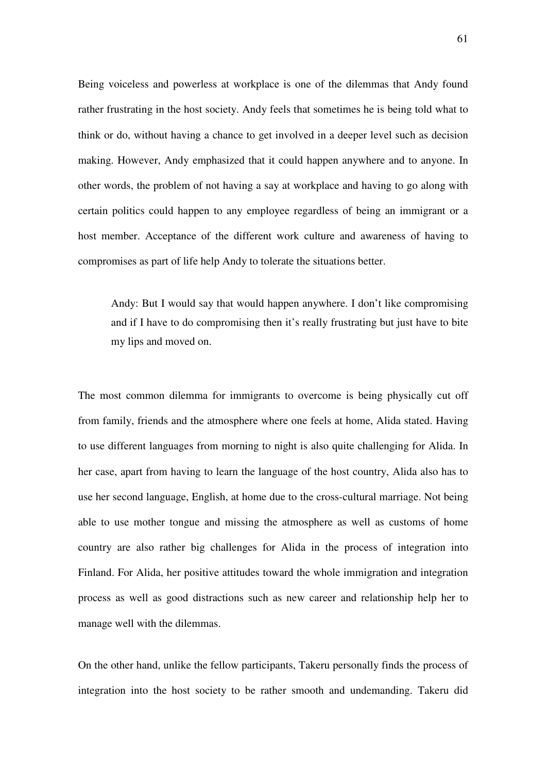Being voiceless and powerless at workplace is one of the dilemmas that Andy found rather frustrating in the host society. Andy feels that sometimes he is being told what to think or do, without having a chance to get involved in a deeper level such as decision making. However, Andy emphasized that it could happen anywhere and to anyone. In other words, the problem of not having a say at workplace and having to go along with certain politics could happen to any employee regardless of being an immigrant or a host member. Acceptance of the different work culture and awareness of having to compromises as part of life help Andy to tolerate the situations better.

Andy: But I would say that would happen anywhere. I don't like compromising and if I have to do compromising then it's really frustrating but just have to bite my lips and moved on.

The most common dilemma for immigrants to overcome is being physically cut off from family, friends and the atmosphere where one feels at home, Alida stated. Having to use different languages from morning to night is also quite challenging for Alida. In her case, apart from having to learn the language of the host country, Alida also has to use her second language, English, at home due to the cross-cultural marriage. Not being able to use mother tongue and missing the atmosphere as well as customs of home country are also rather big challenges for Alida in the process of integration into Finland. For Alida, her positive attitudes toward the whole immigration and integration process as well as good distractions such as new career and relationship help her to manage well with the dilemmas.

On the other hand, unlike the fellow participants, Takeru personally finds the process of integration into the host society to be rather smooth and undemanding. Takeru did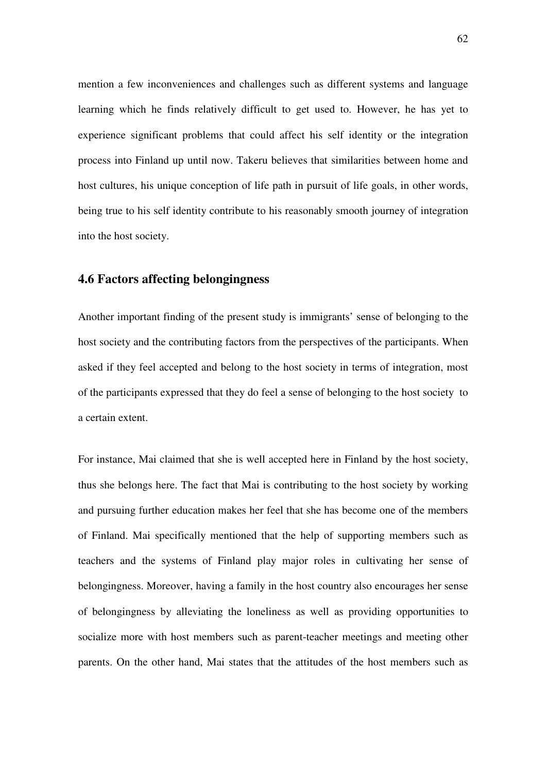mention a few inconveniences and challenges such as different systems and language learning which he finds relatively difficult to get used to. However, he has yet to experience significant problems that could affect his self identity or the integration process into Finland up until now. Takeru believes that similarities between home and host cultures, his unique conception of life path in pursuit of life goals, in other words, being true to his self identity contribute to his reasonably smooth journey of integration into the host society.

### **4.6 Factors affecting belongingness**

Another important finding of the present study is immigrants' sense of belonging to the host society and the contributing factors from the perspectives of the participants. When asked if they feel accepted and belong to the host society in terms of integration, most of the participants expressed that they do feel a sense of belonging to the host society to a certain extent.

For instance, Mai claimed that she is well accepted here in Finland by the host society, thus she belongs here. The fact that Mai is contributing to the host society by working and pursuing further education makes her feel that she has become one of the members of Finland. Mai specifically mentioned that the help of supporting members such as teachers and the systems of Finland play major roles in cultivating her sense of belongingness. Moreover, having a family in the host country also encourages her sense of belongingness by alleviating the loneliness as well as providing opportunities to socialize more with host members such as parent-teacher meetings and meeting other parents. On the other hand, Mai states that the attitudes of the host members such as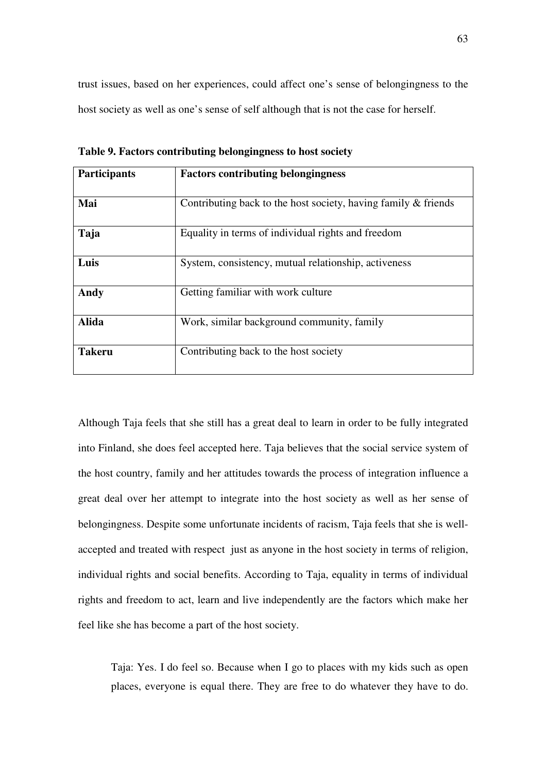trust issues, based on her experiences, could affect one's sense of belongingness to the host society as well as one's sense of self although that is not the case for herself.

| <b>Participants</b> | <b>Factors contributing belongingness</b>                      |  |  |  |
|---------------------|----------------------------------------------------------------|--|--|--|
| Mai                 | Contributing back to the host society, having family & friends |  |  |  |
|                     |                                                                |  |  |  |
| Taja                | Equality in terms of individual rights and freedom             |  |  |  |
| Luis                | System, consistency, mutual relationship, activeness           |  |  |  |
| Andy                | Getting familiar with work culture                             |  |  |  |
| <b>Alida</b>        | Work, similar background community, family                     |  |  |  |
| <b>Takeru</b>       | Contributing back to the host society                          |  |  |  |

**Table 9. Factors contributing belongingness to host society** 

Although Taja feels that she still has a great deal to learn in order to be fully integrated into Finland, she does feel accepted here. Taja believes that the social service system of the host country, family and her attitudes towards the process of integration influence a great deal over her attempt to integrate into the host society as well as her sense of belongingness. Despite some unfortunate incidents of racism, Taja feels that she is wellaccepted and treated with respect just as anyone in the host society in terms of religion, individual rights and social benefits. According to Taja, equality in terms of individual rights and freedom to act, learn and live independently are the factors which make her feel like she has become a part of the host society.

Taja: Yes. I do feel so. Because when I go to places with my kids such as open places, everyone is equal there. They are free to do whatever they have to do.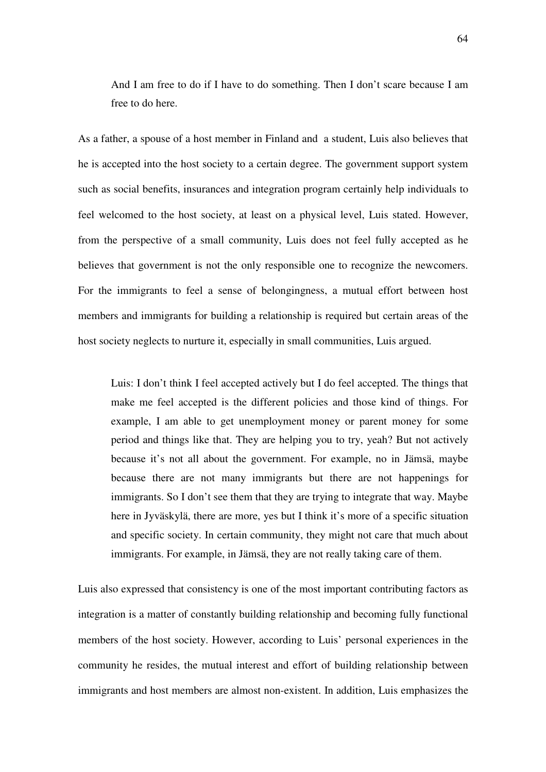And I am free to do if I have to do something. Then I don't scare because I am free to do here.

As a father, a spouse of a host member in Finland and a student, Luis also believes that he is accepted into the host society to a certain degree. The government support system such as social benefits, insurances and integration program certainly help individuals to feel welcomed to the host society, at least on a physical level, Luis stated. However, from the perspective of a small community, Luis does not feel fully accepted as he believes that government is not the only responsible one to recognize the newcomers. For the immigrants to feel a sense of belongingness, a mutual effort between host members and immigrants for building a relationship is required but certain areas of the host society neglects to nurture it, especially in small communities, Luis argued.

Luis: I don't think I feel accepted actively but I do feel accepted. The things that make me feel accepted is the different policies and those kind of things. For example, I am able to get unemployment money or parent money for some period and things like that. They are helping you to try, yeah? But not actively because it's not all about the government. For example, no in Jämsä, maybe because there are not many immigrants but there are not happenings for immigrants. So I don't see them that they are trying to integrate that way. Maybe here in Jyväskylä, there are more, yes but I think it's more of a specific situation and specific society. In certain community, they might not care that much about immigrants. For example, in Jämsä, they are not really taking care of them.

Luis also expressed that consistency is one of the most important contributing factors as integration is a matter of constantly building relationship and becoming fully functional members of the host society. However, according to Luis' personal experiences in the community he resides, the mutual interest and effort of building relationship between immigrants and host members are almost non-existent. In addition, Luis emphasizes the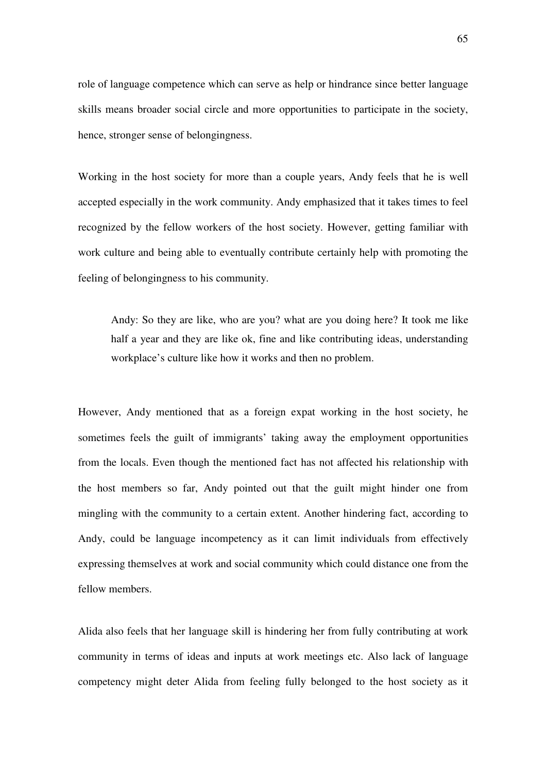role of language competence which can serve as help or hindrance since better language skills means broader social circle and more opportunities to participate in the society, hence, stronger sense of belongingness.

Working in the host society for more than a couple years, Andy feels that he is well accepted especially in the work community. Andy emphasized that it takes times to feel recognized by the fellow workers of the host society. However, getting familiar with work culture and being able to eventually contribute certainly help with promoting the feeling of belongingness to his community.

Andy: So they are like, who are you? what are you doing here? It took me like half a year and they are like ok, fine and like contributing ideas, understanding workplace's culture like how it works and then no problem.

However, Andy mentioned that as a foreign expat working in the host society, he sometimes feels the guilt of immigrants' taking away the employment opportunities from the locals. Even though the mentioned fact has not affected his relationship with the host members so far, Andy pointed out that the guilt might hinder one from mingling with the community to a certain extent. Another hindering fact, according to Andy, could be language incompetency as it can limit individuals from effectively expressing themselves at work and social community which could distance one from the fellow members.

Alida also feels that her language skill is hindering her from fully contributing at work community in terms of ideas and inputs at work meetings etc. Also lack of language competency might deter Alida from feeling fully belonged to the host society as it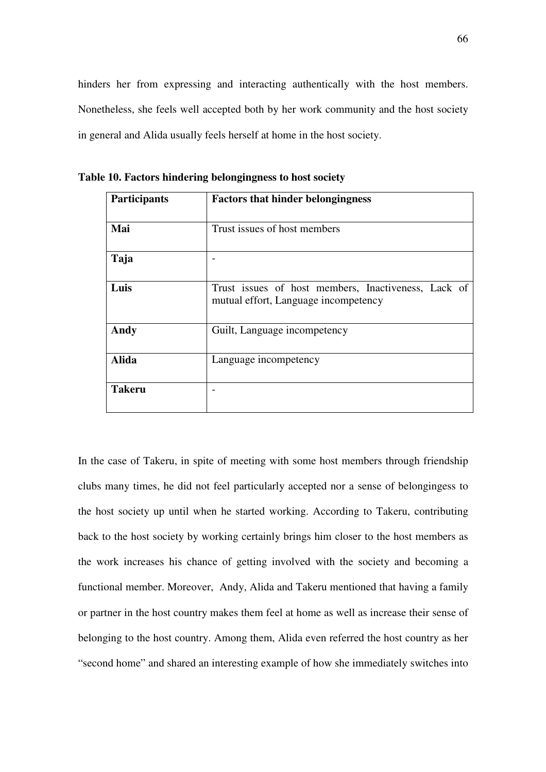hinders her from expressing and interacting authentically with the host members. Nonetheless, she feels well accepted both by her work community and the host society in general and Alida usually feels herself at home in the host society.

| Participants  | <b>Factors that hinder belongingness</b>                                                    |  |  |  |  |
|---------------|---------------------------------------------------------------------------------------------|--|--|--|--|
| Mai           | Trust issues of host members                                                                |  |  |  |  |
| Taja          |                                                                                             |  |  |  |  |
| Luis          | Trust issues of host members, Inactiveness, Lack of<br>mutual effort, Language incompetency |  |  |  |  |
| Andy          | Guilt, Language incompetency                                                                |  |  |  |  |
| <b>Alida</b>  | Language incompetency                                                                       |  |  |  |  |
| <b>Takeru</b> |                                                                                             |  |  |  |  |

**Table 10. Factors hindering belongingness to host society** 

In the case of Takeru, in spite of meeting with some host members through friendship clubs many times, he did not feel particularly accepted nor a sense of belongingess to the host society up until when he started working. According to Takeru, contributing back to the host society by working certainly brings him closer to the host members as the work increases his chance of getting involved with the society and becoming a functional member. Moreover, Andy, Alida and Takeru mentioned that having a family or partner in the host country makes them feel at home as well as increase their sense of belonging to the host country. Among them, Alida even referred the host country as her "second home" and shared an interesting example of how she immediately switches into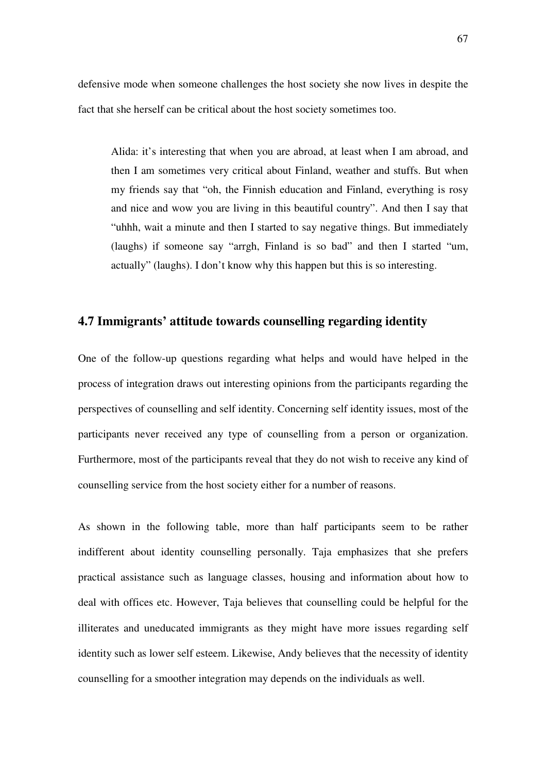defensive mode when someone challenges the host society she now lives in despite the fact that she herself can be critical about the host society sometimes too.

Alida: it's interesting that when you are abroad, at least when I am abroad, and then I am sometimes very critical about Finland, weather and stuffs. But when my friends say that "oh, the Finnish education and Finland, everything is rosy and nice and wow you are living in this beautiful country". And then I say that "uhhh, wait a minute and then I started to say negative things. But immediately (laughs) if someone say "arrgh, Finland is so bad" and then I started "um, actually" (laughs). I don't know why this happen but this is so interesting.

# **4.7 Immigrants' attitude towards counselling regarding identity**

One of the follow-up questions regarding what helps and would have helped in the process of integration draws out interesting opinions from the participants regarding the perspectives of counselling and self identity. Concerning self identity issues, most of the participants never received any type of counselling from a person or organization. Furthermore, most of the participants reveal that they do not wish to receive any kind of counselling service from the host society either for a number of reasons.

As shown in the following table, more than half participants seem to be rather indifferent about identity counselling personally. Taja emphasizes that she prefers practical assistance such as language classes, housing and information about how to deal with offices etc. However, Taja believes that counselling could be helpful for the illiterates and uneducated immigrants as they might have more issues regarding self identity such as lower self esteem. Likewise, Andy believes that the necessity of identity counselling for a smoother integration may depends on the individuals as well.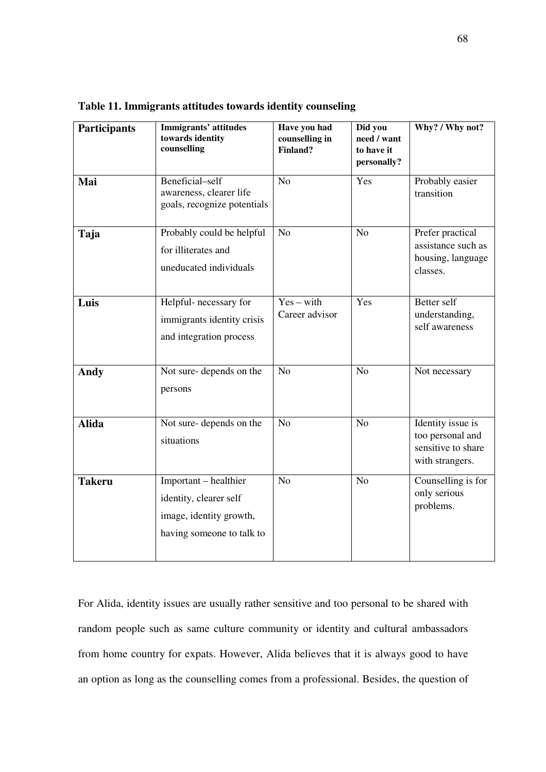| Participants  | Immigrants' attitudes<br>towards identity<br>counselling                                                | Have you had<br>counselling in<br>Finland? | Did you<br>need / want<br>to have it<br>personally? | Why? / Why not?                                                                |
|---------------|---------------------------------------------------------------------------------------------------------|--------------------------------------------|-----------------------------------------------------|--------------------------------------------------------------------------------|
| Mai           | Beneficial-self<br>awareness, clearer life<br>goals, recognize potentials                               | N <sub>o</sub>                             | Yes                                                 | Probably easier<br>transition                                                  |
| Taja          | Probably could be helpful<br>for illiterates and<br>uneducated individuals                              | N <sub>o</sub>                             | N <sub>o</sub>                                      | Prefer practical<br>assistance such as<br>housing, language<br>classes.        |
| Luis          | Helpful- necessary for<br>immigrants identity crisis<br>and integration process                         | $Yes - with$<br>Career advisor             | Yes                                                 | Better self<br>understanding,<br>self awareness                                |
| <b>Andy</b>   | Not sure-depends on the<br>persons                                                                      | N <sub>o</sub>                             | N <sub>o</sub>                                      | Not necessary                                                                  |
| <b>Alida</b>  | Not sure-depends on the<br>situations                                                                   | N <sub>o</sub>                             | N <sub>o</sub>                                      | Identity issue is<br>too personal and<br>sensitive to share<br>with strangers. |
| <b>Takeru</b> | Important - healthier<br>identity, clearer self<br>image, identity growth,<br>having someone to talk to | N <sub>o</sub>                             | N <sub>o</sub>                                      | Counselling is for<br>only serious<br>problems.                                |

**Table 11. Immigrants attitudes towards identity counseling** 

For Alida, identity issues are usually rather sensitive and too personal to be shared with random people such as same culture community or identity and cultural ambassadors from home country for expats. However, Alida believes that it is always good to have an option as long as the counselling comes from a professional. Besides, the question of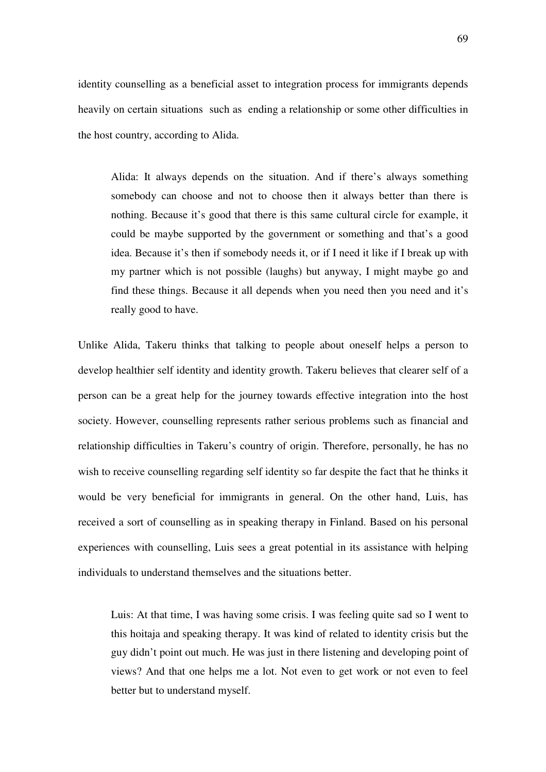identity counselling as a beneficial asset to integration process for immigrants depends heavily on certain situations such as ending a relationship or some other difficulties in the host country, according to Alida.

Alida: It always depends on the situation. And if there's always something somebody can choose and not to choose then it always better than there is nothing. Because it's good that there is this same cultural circle for example, it could be maybe supported by the government or something and that's a good idea. Because it's then if somebody needs it, or if I need it like if I break up with my partner which is not possible (laughs) but anyway, I might maybe go and find these things. Because it all depends when you need then you need and it's really good to have.

Unlike Alida, Takeru thinks that talking to people about oneself helps a person to develop healthier self identity and identity growth. Takeru believes that clearer self of a person can be a great help for the journey towards effective integration into the host society. However, counselling represents rather serious problems such as financial and relationship difficulties in Takeru's country of origin. Therefore, personally, he has no wish to receive counselling regarding self identity so far despite the fact that he thinks it would be very beneficial for immigrants in general. On the other hand, Luis, has received a sort of counselling as in speaking therapy in Finland. Based on his personal experiences with counselling, Luis sees a great potential in its assistance with helping individuals to understand themselves and the situations better.

Luis: At that time, I was having some crisis. I was feeling quite sad so I went to this hoitaja and speaking therapy. It was kind of related to identity crisis but the guy didn't point out much. He was just in there listening and developing point of views? And that one helps me a lot. Not even to get work or not even to feel better but to understand myself.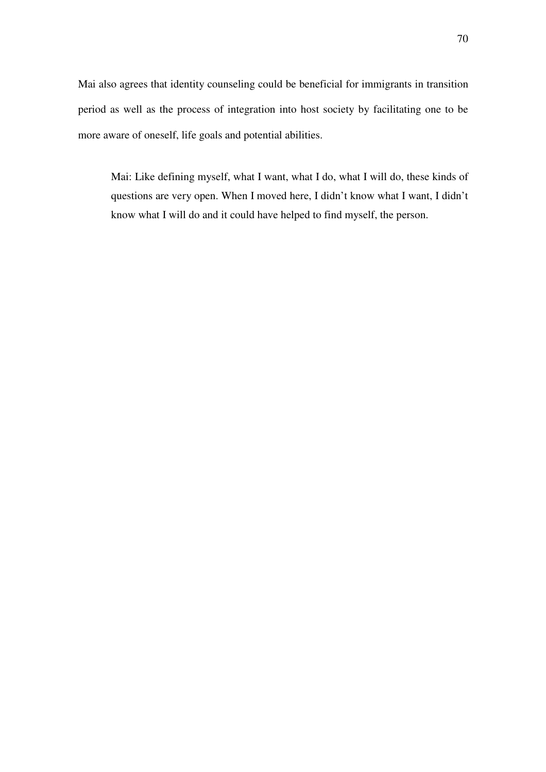Mai also agrees that identity counseling could be beneficial for immigrants in transition period as well as the process of integration into host society by facilitating one to be more aware of oneself, life goals and potential abilities.

Mai: Like defining myself, what I want, what I do, what I will do, these kinds of questions are very open. When I moved here, I didn't know what I want, I didn't know what I will do and it could have helped to find myself, the person.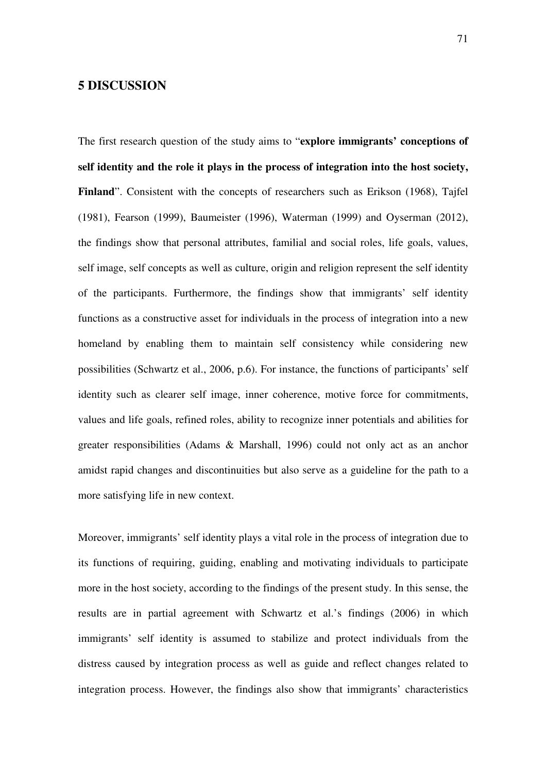# **5 DISCUSSION**

The first research question of the study aims to "**explore immigrants' conceptions of self identity and the role it plays in the process of integration into the host society, Finland**". Consistent with the concepts of researchers such as Erikson (1968), Tajfel (1981), Fearson (1999), Baumeister (1996), Waterman (1999) and Oyserman (2012), the findings show that personal attributes, familial and social roles, life goals, values, self image, self concepts as well as culture, origin and religion represent the self identity of the participants. Furthermore, the findings show that immigrants' self identity functions as a constructive asset for individuals in the process of integration into a new homeland by enabling them to maintain self consistency while considering new possibilities (Schwartz et al., 2006, p.6). For instance, the functions of participants' self identity such as clearer self image, inner coherence, motive force for commitments, values and life goals, refined roles, ability to recognize inner potentials and abilities for greater responsibilities (Adams & Marshall, 1996) could not only act as an anchor amidst rapid changes and discontinuities but also serve as a guideline for the path to a more satisfying life in new context.

Moreover, immigrants' self identity plays a vital role in the process of integration due to its functions of requiring, guiding, enabling and motivating individuals to participate more in the host society, according to the findings of the present study. In this sense, the results are in partial agreement with Schwartz et al.'s findings (2006) in which immigrants' self identity is assumed to stabilize and protect individuals from the distress caused by integration process as well as guide and reflect changes related to integration process. However, the findings also show that immigrants' characteristics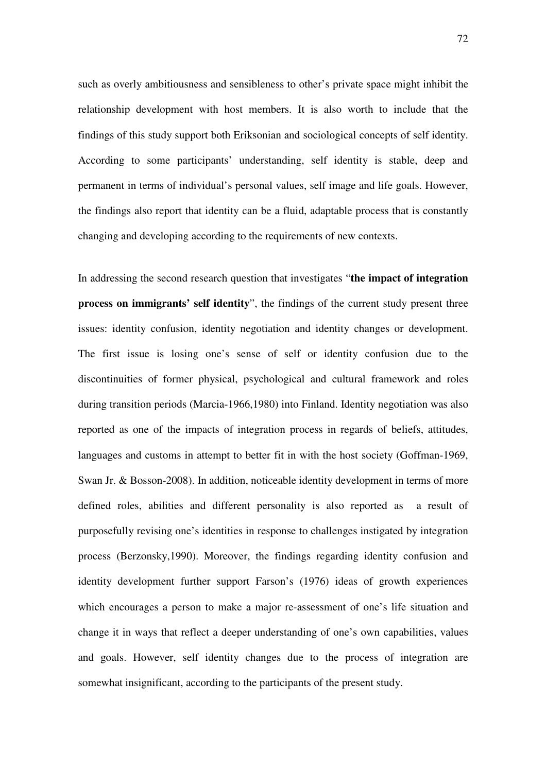such as overly ambitiousness and sensibleness to other's private space might inhibit the relationship development with host members. It is also worth to include that the findings of this study support both Eriksonian and sociological concepts of self identity. According to some participants' understanding, self identity is stable, deep and permanent in terms of individual's personal values, self image and life goals. However, the findings also report that identity can be a fluid, adaptable process that is constantly changing and developing according to the requirements of new contexts.

In addressing the second research question that investigates "**the impact of integration process on immigrants' self identity**", the findings of the current study present three issues: identity confusion, identity negotiation and identity changes or development. The first issue is losing one's sense of self or identity confusion due to the discontinuities of former physical, psychological and cultural framework and roles during transition periods (Marcia-1966,1980) into Finland. Identity negotiation was also reported as one of the impacts of integration process in regards of beliefs, attitudes, languages and customs in attempt to better fit in with the host society (Goffman-1969, Swan Jr. & Bosson-2008). In addition, noticeable identity development in terms of more defined roles, abilities and different personality is also reported as a result of purposefully revising one's identities in response to challenges instigated by integration process (Berzonsky,1990). Moreover, the findings regarding identity confusion and identity development further support Farson's (1976) ideas of growth experiences which encourages a person to make a major re-assessment of one's life situation and change it in ways that reflect a deeper understanding of one's own capabilities, values and goals. However, self identity changes due to the process of integration are somewhat insignificant, according to the participants of the present study.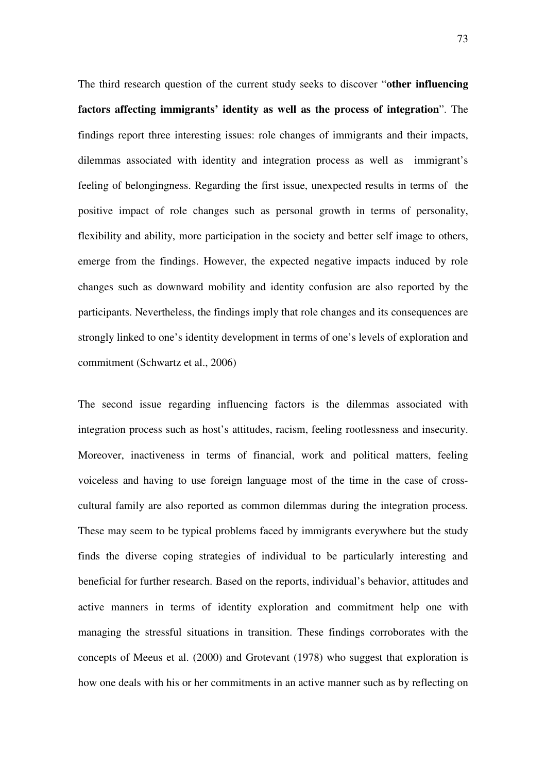The third research question of the current study seeks to discover "**other influencing factors affecting immigrants' identity as well as the process of integration**". The findings report three interesting issues: role changes of immigrants and their impacts, dilemmas associated with identity and integration process as well as immigrant's feeling of belongingness. Regarding the first issue, unexpected results in terms of the positive impact of role changes such as personal growth in terms of personality, flexibility and ability, more participation in the society and better self image to others, emerge from the findings. However, the expected negative impacts induced by role changes such as downward mobility and identity confusion are also reported by the participants. Nevertheless, the findings imply that role changes and its consequences are strongly linked to one's identity development in terms of one's levels of exploration and commitment (Schwartz et al., 2006)

The second issue regarding influencing factors is the dilemmas associated with integration process such as host's attitudes, racism, feeling rootlessness and insecurity. Moreover, inactiveness in terms of financial, work and political matters, feeling voiceless and having to use foreign language most of the time in the case of crosscultural family are also reported as common dilemmas during the integration process. These may seem to be typical problems faced by immigrants everywhere but the study finds the diverse coping strategies of individual to be particularly interesting and beneficial for further research. Based on the reports, individual's behavior, attitudes and active manners in terms of identity exploration and commitment help one with managing the stressful situations in transition. These findings corroborates with the concepts of Meeus et al. (2000) and Grotevant (1978) who suggest that exploration is how one deals with his or her commitments in an active manner such as by reflecting on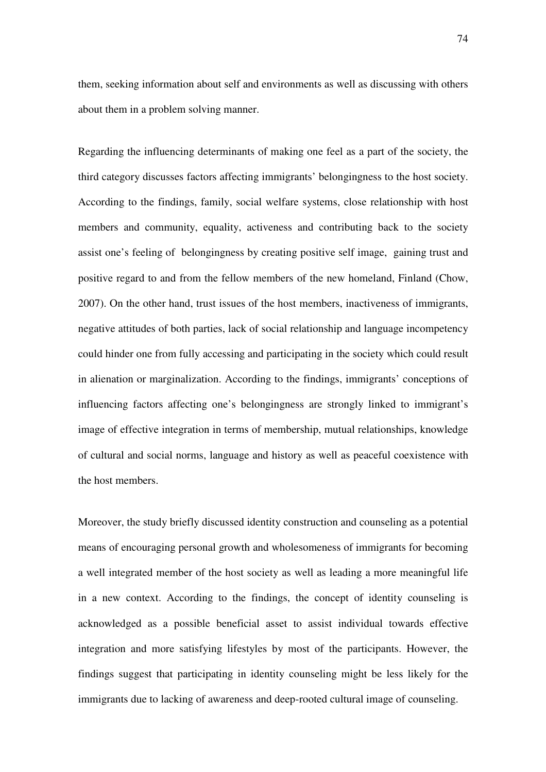them, seeking information about self and environments as well as discussing with others about them in a problem solving manner.

Regarding the influencing determinants of making one feel as a part of the society, the third category discusses factors affecting immigrants' belongingness to the host society. According to the findings, family, social welfare systems, close relationship with host members and community, equality, activeness and contributing back to the society assist one's feeling of belongingness by creating positive self image, gaining trust and positive regard to and from the fellow members of the new homeland, Finland (Chow, 2007). On the other hand, trust issues of the host members, inactiveness of immigrants, negative attitudes of both parties, lack of social relationship and language incompetency could hinder one from fully accessing and participating in the society which could result in alienation or marginalization. According to the findings, immigrants' conceptions of influencing factors affecting one's belongingness are strongly linked to immigrant's image of effective integration in terms of membership, mutual relationships, knowledge of cultural and social norms, language and history as well as peaceful coexistence with the host members.

Moreover, the study briefly discussed identity construction and counseling as a potential means of encouraging personal growth and wholesomeness of immigrants for becoming a well integrated member of the host society as well as leading a more meaningful life in a new context. According to the findings, the concept of identity counseling is acknowledged as a possible beneficial asset to assist individual towards effective integration and more satisfying lifestyles by most of the participants. However, the findings suggest that participating in identity counseling might be less likely for the immigrants due to lacking of awareness and deep-rooted cultural image of counseling.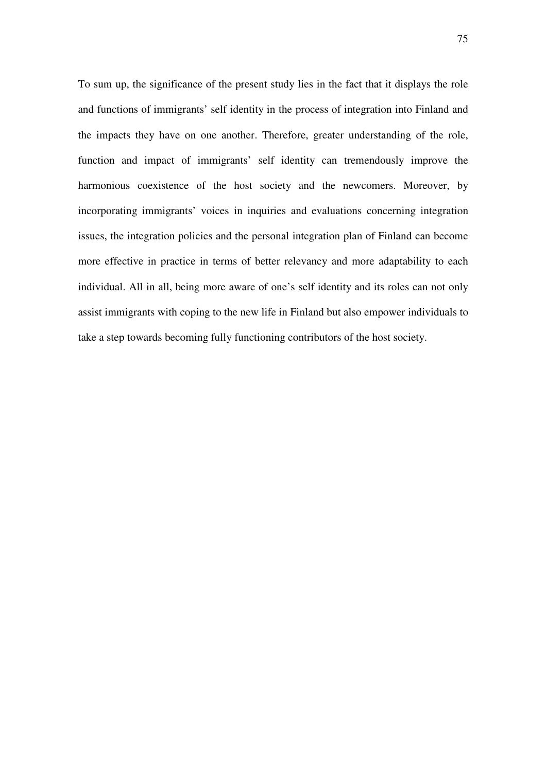To sum up, the significance of the present study lies in the fact that it displays the role and functions of immigrants' self identity in the process of integration into Finland and the impacts they have on one another. Therefore, greater understanding of the role, function and impact of immigrants' self identity can tremendously improve the harmonious coexistence of the host society and the newcomers. Moreover, by incorporating immigrants' voices in inquiries and evaluations concerning integration issues, the integration policies and the personal integration plan of Finland can become more effective in practice in terms of better relevancy and more adaptability to each individual. All in all, being more aware of one's self identity and its roles can not only assist immigrants with coping to the new life in Finland but also empower individuals to take a step towards becoming fully functioning contributors of the host society.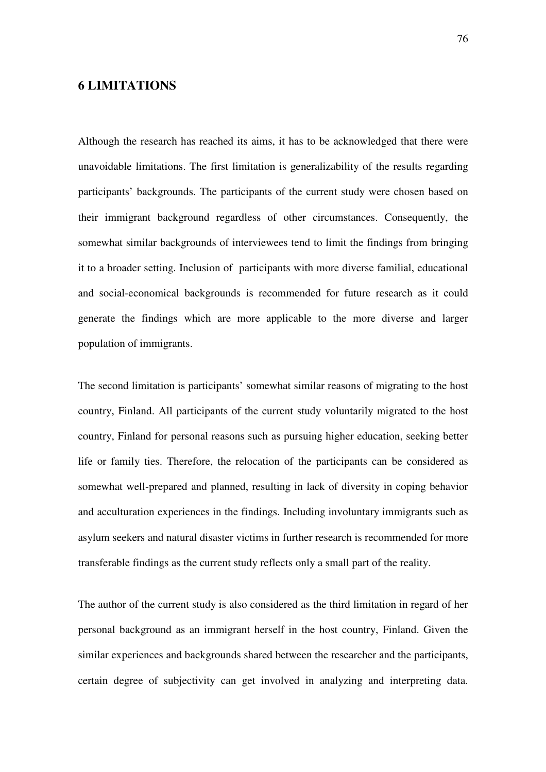### **6 LIMITATIONS**

Although the research has reached its aims, it has to be acknowledged that there were unavoidable limitations. The first limitation is generalizability of the results regarding participants' backgrounds. The participants of the current study were chosen based on their immigrant background regardless of other circumstances. Consequently, the somewhat similar backgrounds of interviewees tend to limit the findings from bringing it to a broader setting. Inclusion of participants with more diverse familial, educational and social-economical backgrounds is recommended for future research as it could generate the findings which are more applicable to the more diverse and larger population of immigrants.

The second limitation is participants' somewhat similar reasons of migrating to the host country, Finland. All participants of the current study voluntarily migrated to the host country, Finland for personal reasons such as pursuing higher education, seeking better life or family ties. Therefore, the relocation of the participants can be considered as somewhat well-prepared and planned, resulting in lack of diversity in coping behavior and acculturation experiences in the findings. Including involuntary immigrants such as asylum seekers and natural disaster victims in further research is recommended for more transferable findings as the current study reflects only a small part of the reality.

The author of the current study is also considered as the third limitation in regard of her personal background as an immigrant herself in the host country, Finland. Given the similar experiences and backgrounds shared between the researcher and the participants, certain degree of subjectivity can get involved in analyzing and interpreting data.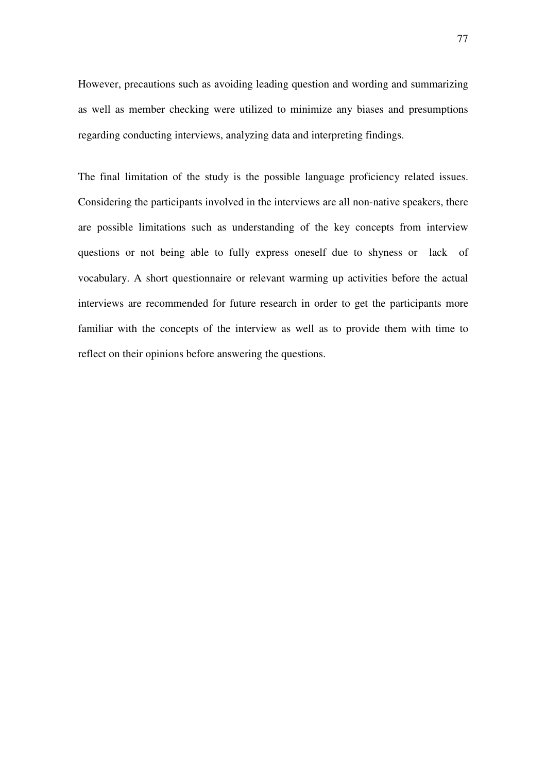However, precautions such as avoiding leading question and wording and summarizing as well as member checking were utilized to minimize any biases and presumptions regarding conducting interviews, analyzing data and interpreting findings.

The final limitation of the study is the possible language proficiency related issues. Considering the participants involved in the interviews are all non-native speakers, there are possible limitations such as understanding of the key concepts from interview questions or not being able to fully express oneself due to shyness or lack of vocabulary. A short questionnaire or relevant warming up activities before the actual interviews are recommended for future research in order to get the participants more familiar with the concepts of the interview as well as to provide them with time to reflect on their opinions before answering the questions.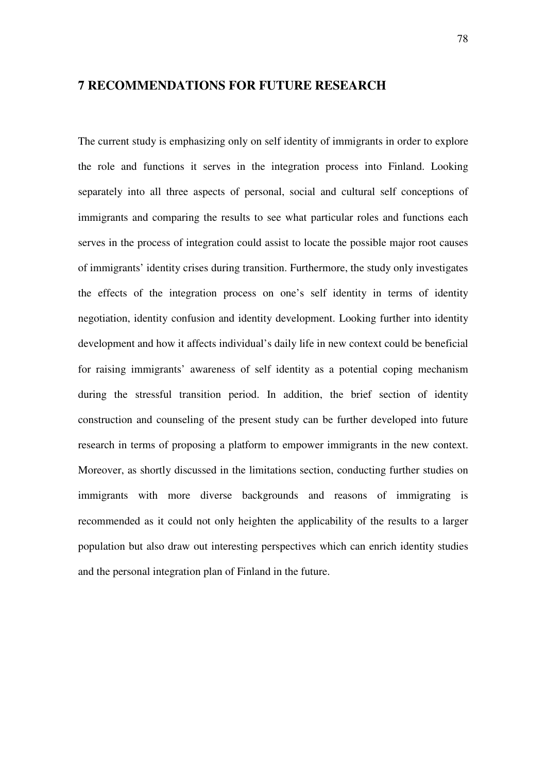#### **7 RECOMMENDATIONS FOR FUTURE RESEARCH**

The current study is emphasizing only on self identity of immigrants in order to explore the role and functions it serves in the integration process into Finland. Looking separately into all three aspects of personal, social and cultural self conceptions of immigrants and comparing the results to see what particular roles and functions each serves in the process of integration could assist to locate the possible major root causes of immigrants' identity crises during transition. Furthermore, the study only investigates the effects of the integration process on one's self identity in terms of identity negotiation, identity confusion and identity development. Looking further into identity development and how it affects individual's daily life in new context could be beneficial for raising immigrants' awareness of self identity as a potential coping mechanism during the stressful transition period. In addition, the brief section of identity construction and counseling of the present study can be further developed into future research in terms of proposing a platform to empower immigrants in the new context. Moreover, as shortly discussed in the limitations section, conducting further studies on immigrants with more diverse backgrounds and reasons of immigrating is recommended as it could not only heighten the applicability of the results to a larger population but also draw out interesting perspectives which can enrich identity studies and the personal integration plan of Finland in the future.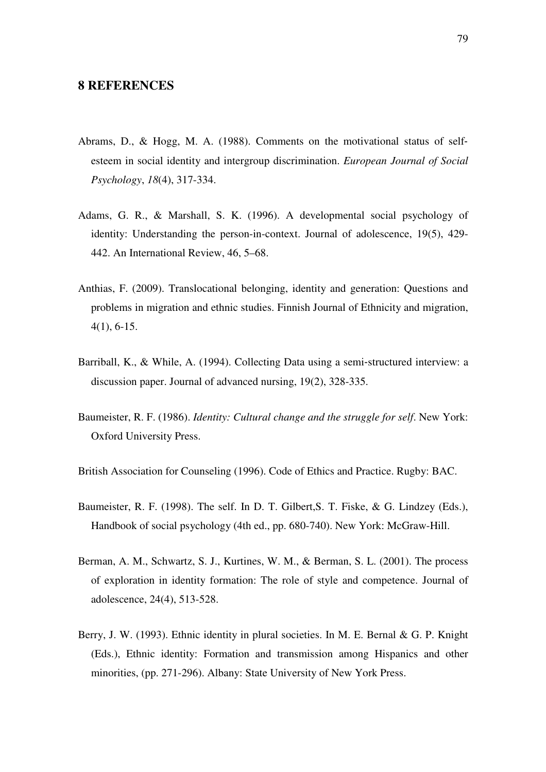#### **8 REFERENCES**

- Abrams, D., & Hogg, M. A. (1988). Comments on the motivational status of self‐ esteem in social identity and intergroup discrimination. *European Journal of Social Psychology*, *18*(4), 317-334.
- Adams, G. R., & Marshall, S. K. (1996). A developmental social psychology of identity: Understanding the person-in-context. Journal of adolescence, 19(5), 429- 442. An International Review, 46, 5–68.
- Anthias, F. (2009). Translocational belonging, identity and generation: Questions and problems in migration and ethnic studies. Finnish Journal of Ethnicity and migration, 4(1), 6-15.
- Barriball, K., & While, A. (1994). Collecting Data using a semi-structured interview: a discussion paper. Journal of advanced nursing, 19(2), 328-335.
- Baumeister, R. F. (1986). *Identity: Cultural change and the struggle for self*. New York: Oxford University Press.
- British Association for Counseling (1996). Code of Ethics and Practice. Rugby: BAC.
- Baumeister, R. F. (1998). The self. In D. T. Gilbert,S. T. Fiske, & G. Lindzey (Eds.), Handbook of social psychology (4th ed., pp. 680-740). New York: McGraw-Hill.
- Berman, A. M., Schwartz, S. J., Kurtines, W. M., & Berman, S. L. (2001). The process of exploration in identity formation: The role of style and competence. Journal of adolescence, 24(4), 513-528.
- Berry, J. W. (1993). Ethnic identity in plural societies. In M. E. Bernal & G. P. Knight (Eds.), Ethnic identity: Formation and transmission among Hispanics and other minorities, (pp. 271-296). Albany: State University of New York Press.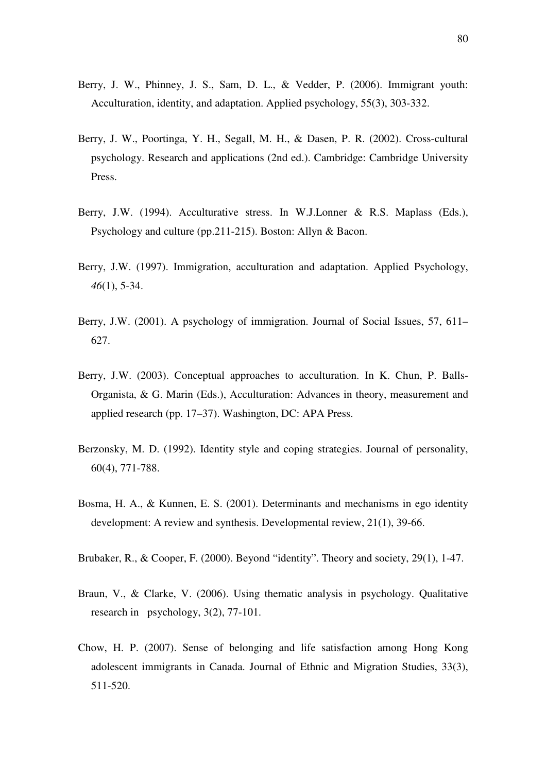- Berry, J. W., Phinney, J. S., Sam, D. L., & Vedder, P. (2006). Immigrant youth: Acculturation, identity, and adaptation. Applied psychology, 55(3), 303-332.
- Berry, J. W., Poortinga, Y. H., Segall, M. H., & Dasen, P. R. (2002). Cross-cultural psychology. Research and applications (2nd ed.). Cambridge: Cambridge University Press.
- Berry, J.W. (1994). Acculturative stress. In W.J.Lonner & R.S. Maplass (Eds.), Psychology and culture (pp.211-215). Boston: Allyn & Bacon.
- Berry, J.W. (1997). Immigration, acculturation and adaptation. Applied Psychology, *46*(1), 5-34.
- Berry, J.W. (2001). A psychology of immigration. Journal of Social Issues, 57, 611– 627.
- Berry, J.W. (2003). Conceptual approaches to acculturation. In K. Chun, P. Balls-Organista, & G. Marin (Eds.), Acculturation: Advances in theory, measurement and applied research (pp. 17–37). Washington, DC: APA Press.
- Berzonsky, M. D. (1992). Identity style and coping strategies. Journal of personality, 60(4), 771-788.
- Bosma, H. A., & Kunnen, E. S. (2001). Determinants and mechanisms in ego identity development: A review and synthesis. Developmental review, 21(1), 39-66.
- Brubaker, R., & Cooper, F. (2000). Beyond "identity". Theory and society, 29(1), 1-47.
- Braun, V., & Clarke, V. (2006). Using thematic analysis in psychology. Qualitative research in psychology, 3(2), 77-101.
- Chow, H. P. (2007). Sense of belonging and life satisfaction among Hong Kong adolescent immigrants in Canada. Journal of Ethnic and Migration Studies, 33(3), 511-520.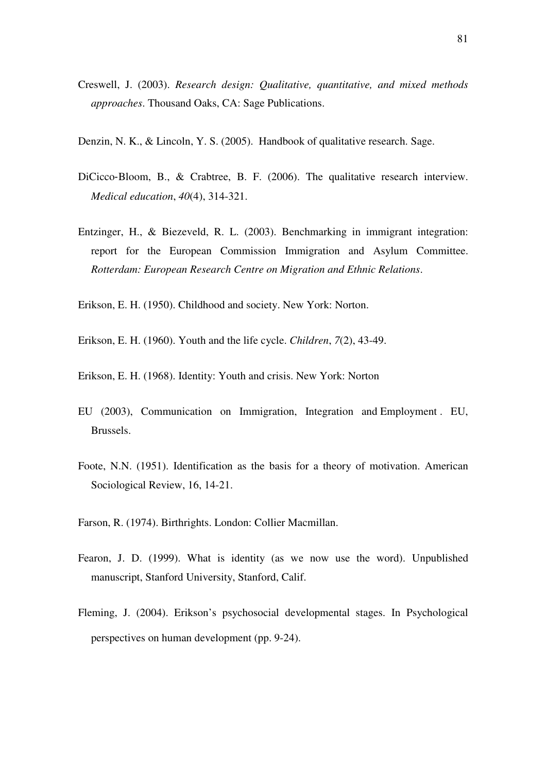- Creswell, J. (2003). *Research design: Qualitative, quantitative, and mixed methods approaches*. Thousand Oaks, CA: Sage Publications.
- Denzin, N. K., & Lincoln, Y. S. (2005). Handbook of qualitative research. Sage.
- DiCicco-Bloom, B., & Crabtree, B. F. (2006). The qualitative research interview. *Medical education*, *40*(4), 314-321.
- Entzinger, H., & Biezeveld, R. L. (2003). Benchmarking in immigrant integration: report for the European Commission Immigration and Asylum Committee. *Rotterdam: European Research Centre on Migration and Ethnic Relations*.
- Erikson, E. H. (1950). Childhood and society. New York: Norton.
- Erikson, E. H. (1960). Youth and the life cycle. *Children*, *7*(2), 43-49.
- Erikson, E. H. (1968). Identity: Youth and crisis. New York: Norton
- EU (2003), Communication on Immigration, Integration and Employment . EU, Brussels.
- Foote, N.N. (1951). Identification as the basis for a theory of motivation. American Sociological Review, 16, 14-21.
- Farson, R. (1974). Birthrights. London: Collier Macmillan.
- Fearon, J. D. (1999). What is identity (as we now use the word). Unpublished manuscript, Stanford University, Stanford, Calif.
- Fleming, J. (2004). Erikson's psychosocial developmental stages. In Psychological perspectives on human development (pp. 9-24).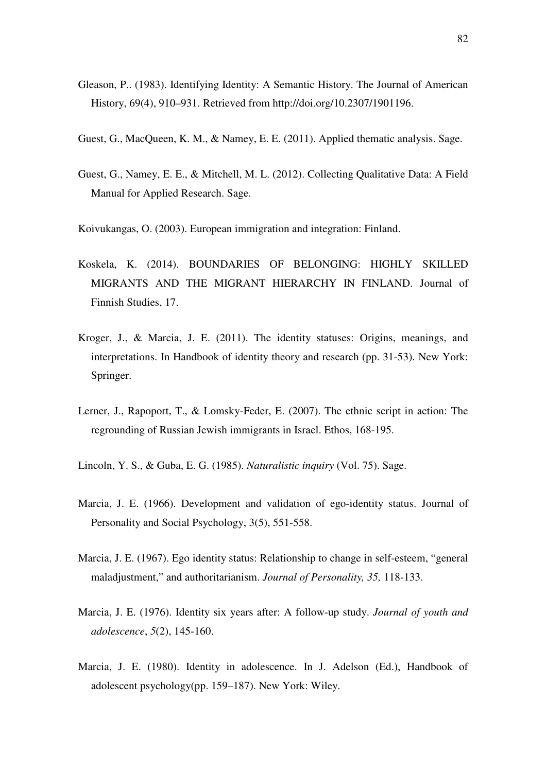- Gleason, P.. (1983). Identifying Identity: A Semantic History. The Journal of American History, 69(4), 910–931. Retrieved from http://doi.org/10.2307/1901196.
- Guest, G., MacQueen, K. M., & Namey, E. E. (2011). Applied thematic analysis. Sage.
- Guest, G., Namey, E. E., & Mitchell, M. L. (2012). Collecting Qualitative Data: A Field Manual for Applied Research. Sage.
- Koivukangas, O. (2003). European immigration and integration: Finland.
- Koskela, K. (2014). BOUNDARIES OF BELONGING: HIGHLY SKILLED MIGRANTS AND THE MIGRANT HIERARCHY IN FINLAND. Journal of Finnish Studies, 17.
- Kroger, J., & Marcia, J. E. (2011). The identity statuses: Origins, meanings, and interpretations. In Handbook of identity theory and research (pp. 31-53). New York: Springer.
- Lerner, J., Rapoport, T., & Lomsky-Feder, E. (2007). The ethnic script in action: The regrounding of Russian Jewish immigrants in Israel. Ethos, 168-195.
- Lincoln, Y. S., & Guba, E. G. (1985). *Naturalistic inquiry* (Vol. 75). Sage.
- Marcia, J. E. (1966). Development and validation of ego-identity status. Journal of Personality and Social Psychology, 3(5), 551-558.
- Marcia, J. E. (1967). Ego identity status: Relationship to change in self-esteem, "general maladjustment," and authoritarianism. *Journal of Personality, 35,* 118-133.
- Marcia, J. E. (1976). Identity six years after: A follow-up study. *Journal of youth and adolescence*, *5*(2), 145-160.
- Marcia, J. E. (1980). Identity in adolescence. In J. Adelson (Ed.), Handbook of adolescent psychology(pp. 159–187). New York: Wiley.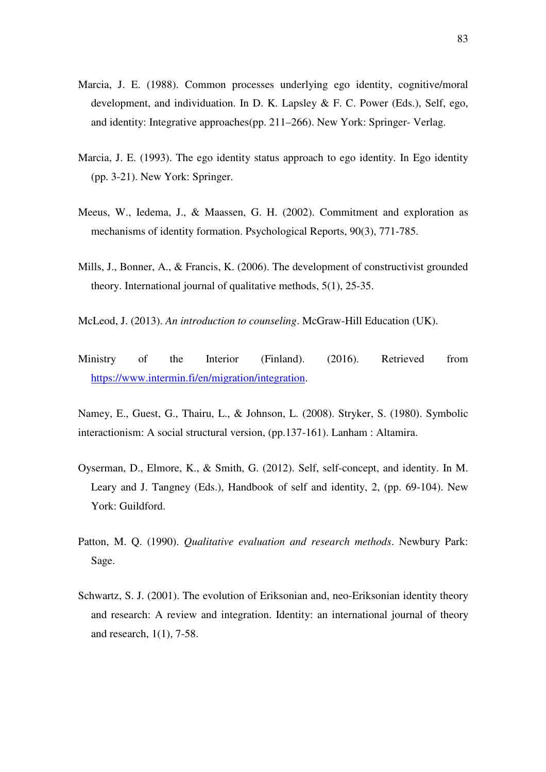- Marcia, J. E. (1988). Common processes underlying ego identity, cognitive/moral development, and individuation. In D. K. Lapsley & F. C. Power (Eds.), Self, ego, and identity: Integrative approaches(pp. 211–266). New York: Springer- Verlag.
- Marcia, J. E. (1993). The ego identity status approach to ego identity. In Ego identity (pp. 3-21). New York: Springer.
- Meeus, W., Iedema, J., & Maassen, G. H. (2002). Commitment and exploration as mechanisms of identity formation. Psychological Reports, 90(3), 771-785.
- Mills, J., Bonner, A., & Francis, K. (2006). The development of constructivist grounded theory. International journal of qualitative methods, 5(1), 25-35.
- McLeod, J. (2013). *An introduction to counseling*. McGraw-Hill Education (UK).
- Ministry of the Interior (Finland). (2016). Retrieved from https://www.intermin.fi/en/migration/integration.
- Namey, E., Guest, G., Thairu, L., & Johnson, L. (2008). Stryker, S. (1980). Symbolic interactionism: A social structural version, (pp.137-161). Lanham : Altamira.
- Oyserman, D., Elmore, K., & Smith, G. (2012). Self, self-concept, and identity. In M. Leary and J. Tangney (Eds.), Handbook of self and identity, 2, (pp. 69-104). New York: Guildford.
- Patton, M. Q. (1990). *Qualitative evaluation and research methods*. Newbury Park: Sage.
- Schwartz, S. J. (2001). The evolution of Eriksonian and, neo-Eriksonian identity theory and research: A review and integration. Identity: an international journal of theory and research, 1(1), 7-58.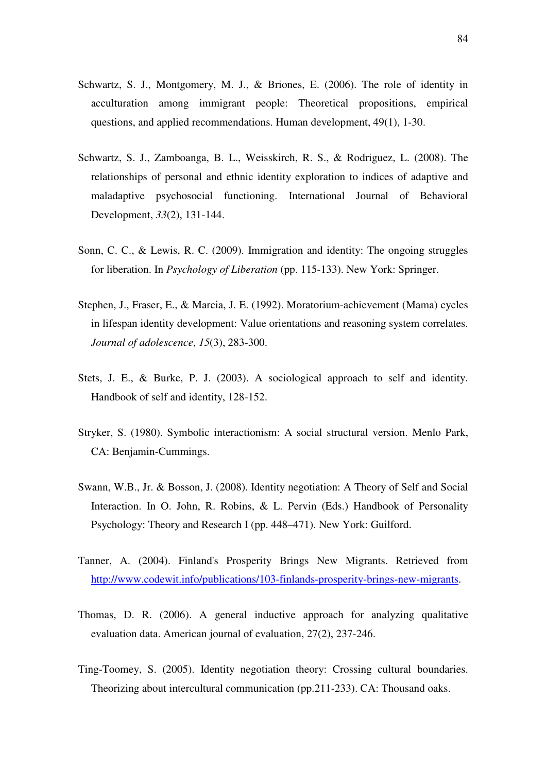- Schwartz, S. J., Montgomery, M. J., & Briones, E. (2006). The role of identity in acculturation among immigrant people: Theoretical propositions, empirical questions, and applied recommendations. Human development, 49(1), 1-30.
- Schwartz, S. J., Zamboanga, B. L., Weisskirch, R. S., & Rodriguez, L. (2008). The relationships of personal and ethnic identity exploration to indices of adaptive and maladaptive psychosocial functioning. International Journal of Behavioral Development, *33*(2), 131-144.
- Sonn, C. C., & Lewis, R. C. (2009). Immigration and identity: The ongoing struggles for liberation. In *Psychology of Liberation* (pp. 115-133). New York: Springer.
- Stephen, J., Fraser, E., & Marcia, J. E. (1992). Moratorium-achievement (Mama) cycles in lifespan identity development: Value orientations and reasoning system correlates. *Journal of adolescence*, *15*(3), 283-300.
- Stets, J. E., & Burke, P. J. (2003). A sociological approach to self and identity. Handbook of self and identity, 128-152.
- Stryker, S. (1980). Symbolic interactionism: A social structural version. Menlo Park, CA: Benjamin-Cummings.
- Swann, W.B., Jr. & Bosson, J. (2008). Identity negotiation: A Theory of Self and Social Interaction. In O. John, R. Robins, & L. Pervin (Eds.) Handbook of Personality Psychology: Theory and Research I (pp. 448–471). New York: Guilford.
- Tanner, A. (2004). Finland's Prosperity Brings New Migrants. Retrieved from http://www.codewit.info/publications/103-finlands-prosperity-brings-new-migrants.
- Thomas, D. R. (2006). A general inductive approach for analyzing qualitative evaluation data. American journal of evaluation, 27(2), 237-246.
- Ting-Toomey, S. (2005). Identity negotiation theory: Crossing cultural boundaries. Theorizing about intercultural communication (pp.211-233). CA: Thousand oaks.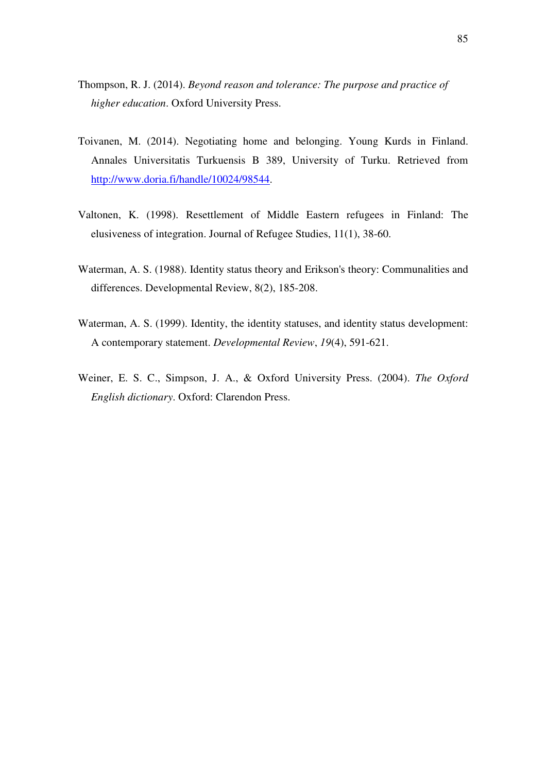- Thompson, R. J. (2014). *Beyond reason and tolerance: The purpose and practice of higher education*. Oxford University Press.
- Toivanen, M. (2014). Negotiating home and belonging. Young Kurds in Finland. Annales Universitatis Turkuensis B 389, University of Turku. Retrieved from http://www.doria.fi/handle/10024/98544.
- Valtonen, K. (1998). Resettlement of Middle Eastern refugees in Finland: The elusiveness of integration. Journal of Refugee Studies, 11(1), 38-60.
- Waterman, A. S. (1988). Identity status theory and Erikson's theory: Communalities and differences. Developmental Review, 8(2), 185-208.
- Waterman, A. S. (1999). Identity, the identity statuses, and identity status development: A contemporary statement. *Developmental Review*, *19*(4), 591-621.
- Weiner, E. S. C., Simpson, J. A., & Oxford University Press. (2004). *The Oxford English dictionary*. Oxford: Clarendon Press.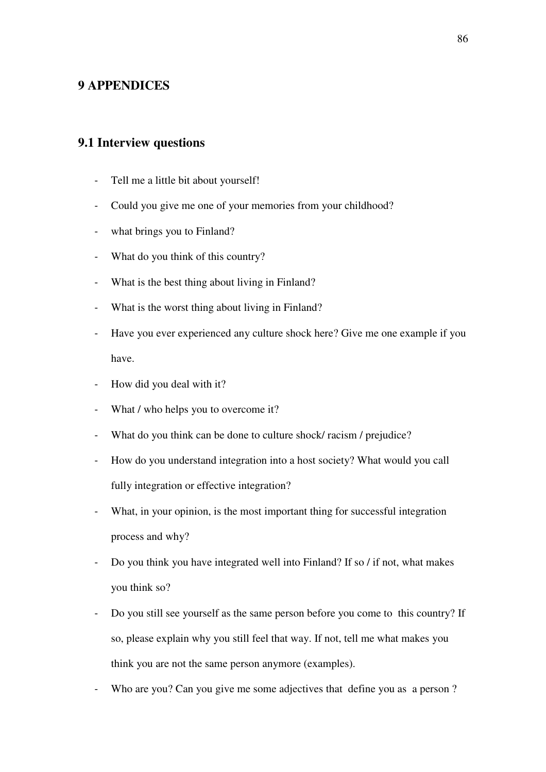## **9 APPENDICES**

# **9.1 Interview questions**

- Tell me a little bit about yourself!
- Could you give me one of your memories from your childhood?
- what brings you to Finland?
- What do you think of this country?
- What is the best thing about living in Finland?
- What is the worst thing about living in Finland?
- Have you ever experienced any culture shock here? Give me one example if you have.
- How did you deal with it?
- What / who helps you to overcome it?
- What do you think can be done to culture shock/ racism / prejudice?
- How do you understand integration into a host society? What would you call fully integration or effective integration?
- What, in your opinion, is the most important thing for successful integration process and why?
- Do you think you have integrated well into Finland? If so / if not, what makes you think so?
- Do you still see yourself as the same person before you come to this country? If so, please explain why you still feel that way. If not, tell me what makes you think you are not the same person anymore (examples).
- Who are you? Can you give me some adjectives that define you as a person?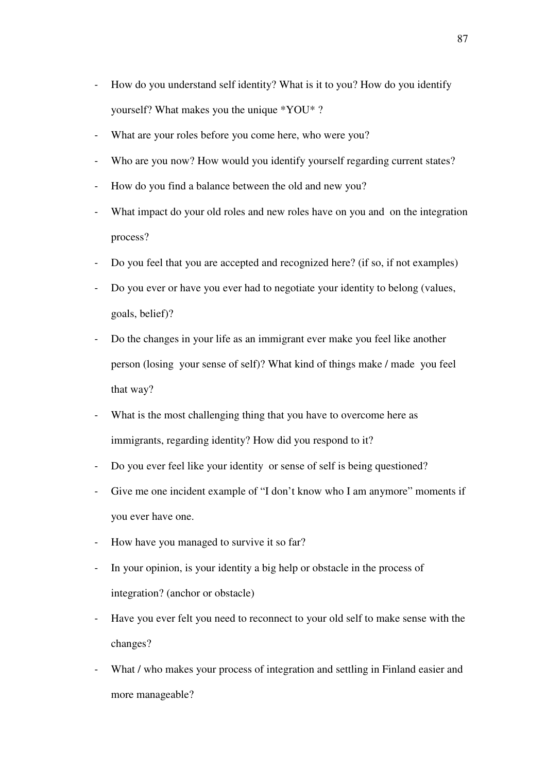- How do you understand self identity? What is it to you? How do you identify yourself? What makes you the unique \*YOU\* ?
- What are your roles before you come here, who were you?
- Who are you now? How would you identify yourself regarding current states?
- How do you find a balance between the old and new you?
- What impact do your old roles and new roles have on you and on the integration process?
- Do you feel that you are accepted and recognized here? (if so, if not examples)
- Do you ever or have you ever had to negotiate your identity to belong (values, goals, belief)?
- Do the changes in your life as an immigrant ever make you feel like another person (losing your sense of self)? What kind of things make / made you feel that way?
- What is the most challenging thing that you have to overcome here as immigrants, regarding identity? How did you respond to it?
- Do you ever feel like your identity or sense of self is being questioned?
- Give me one incident example of "I don't know who I am anymore" moments if you ever have one.
- How have you managed to survive it so far?
- In your opinion, is your identity a big help or obstacle in the process of integration? (anchor or obstacle)
- Have you ever felt you need to reconnect to your old self to make sense with the changes?
- What / who makes your process of integration and settling in Finland easier and more manageable?